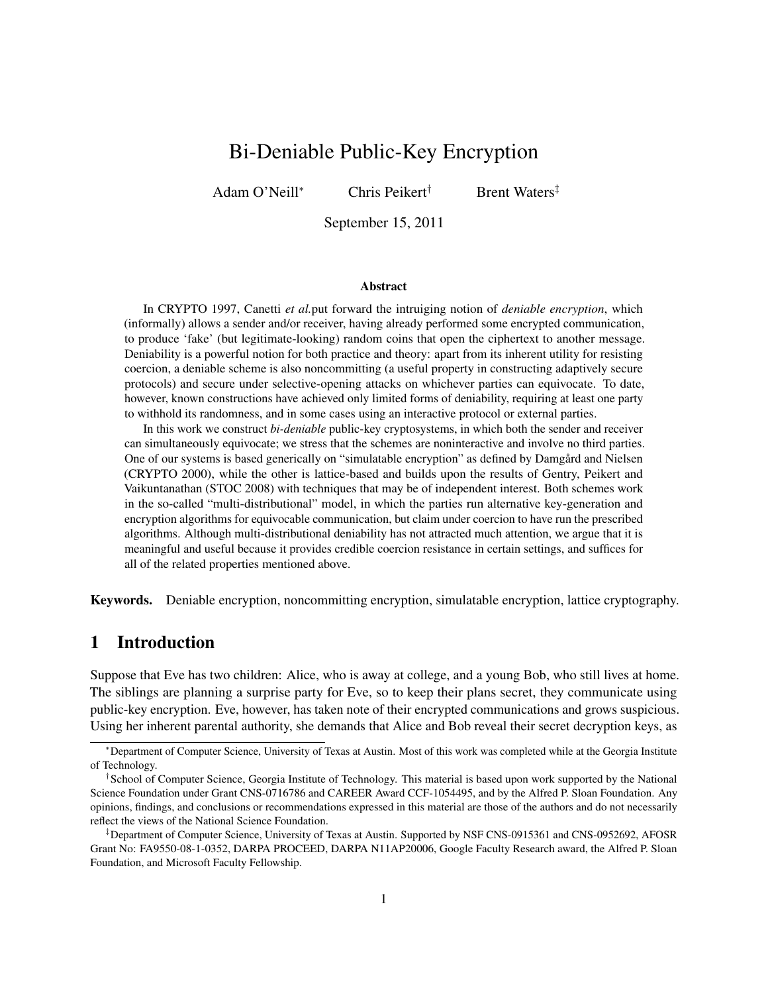# Bi-Deniable Public-Key Encryption

Adam O'Neill<sup>∗</sup> Chris Peikert<sup>†</sup> Brent Waters<sup>‡</sup>

September 15, 2011

#### Abstract

In CRYPTO 1997, Canetti *et al.*put forward the intruiging notion of *deniable encryption*, which (informally) allows a sender and/or receiver, having already performed some encrypted communication, to produce 'fake' (but legitimate-looking) random coins that open the ciphertext to another message. Deniability is a powerful notion for both practice and theory: apart from its inherent utility for resisting coercion, a deniable scheme is also noncommitting (a useful property in constructing adaptively secure protocols) and secure under selective-opening attacks on whichever parties can equivocate. To date, however, known constructions have achieved only limited forms of deniability, requiring at least one party to withhold its randomness, and in some cases using an interactive protocol or external parties.

In this work we construct *bi-deniable* public-key cryptosystems, in which both the sender and receiver can simultaneously equivocate; we stress that the schemes are noninteractive and involve no third parties. One of our systems is based generically on "simulatable encryption" as defined by Damgard and Nielsen (CRYPTO 2000), while the other is lattice-based and builds upon the results of Gentry, Peikert and Vaikuntanathan (STOC 2008) with techniques that may be of independent interest. Both schemes work in the so-called "multi-distributional" model, in which the parties run alternative key-generation and encryption algorithms for equivocable communication, but claim under coercion to have run the prescribed algorithms. Although multi-distributional deniability has not attracted much attention, we argue that it is meaningful and useful because it provides credible coercion resistance in certain settings, and suffices for all of the related properties mentioned above.

Keywords. Deniable encryption, noncommitting encryption, simulatable encryption, lattice cryptography.

## 1 Introduction

Suppose that Eve has two children: Alice, who is away at college, and a young Bob, who still lives at home. The siblings are planning a surprise party for Eve, so to keep their plans secret, they communicate using public-key encryption. Eve, however, has taken note of their encrypted communications and grows suspicious. Using her inherent parental authority, she demands that Alice and Bob reveal their secret decryption keys, as

<sup>∗</sup>Department of Computer Science, University of Texas at Austin. Most of this work was completed while at the Georgia Institute of Technology.

<sup>†</sup> School of Computer Science, Georgia Institute of Technology. This material is based upon work supported by the National Science Foundation under Grant CNS-0716786 and CAREER Award CCF-1054495, and by the Alfred P. Sloan Foundation. Any opinions, findings, and conclusions or recommendations expressed in this material are those of the authors and do not necessarily reflect the views of the National Science Foundation.

<sup>‡</sup>Department of Computer Science, University of Texas at Austin. Supported by NSF CNS-0915361 and CNS-0952692, AFOSR Grant No: FA9550-08-1-0352, DARPA PROCEED, DARPA N11AP20006, Google Faculty Research award, the Alfred P. Sloan Foundation, and Microsoft Faculty Fellowship.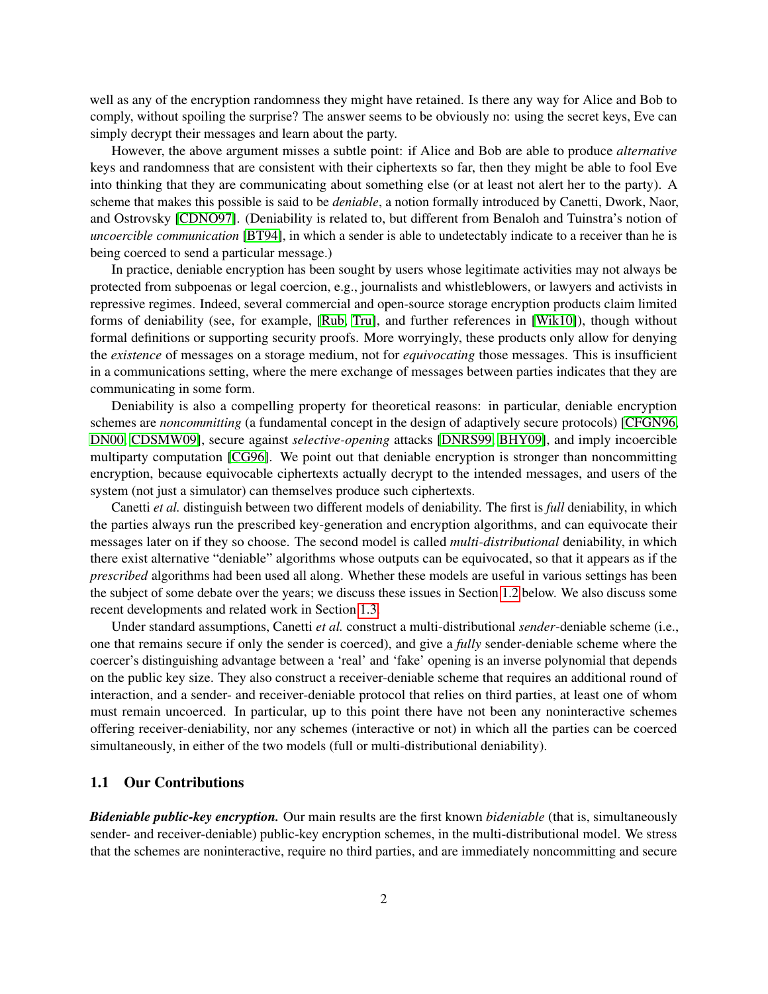well as any of the encryption randomness they might have retained. Is there any way for Alice and Bob to comply, without spoiling the surprise? The answer seems to be obviously no: using the secret keys, Eve can simply decrypt their messages and learn about the party.

However, the above argument misses a subtle point: if Alice and Bob are able to produce *alternative* keys and randomness that are consistent with their ciphertexts so far, then they might be able to fool Eve into thinking that they are communicating about something else (or at least not alert her to the party). A scheme that makes this possible is said to be *deniable*, a notion formally introduced by Canetti, Dwork, Naor, and Ostrovsky [\[CDNO97\]](#page-33-0). (Deniability is related to, but different from Benaloh and Tuinstra's notion of *uncoercible communication* [\[BT94\]](#page-33-1), in which a sender is able to undetectably indicate to a receiver than he is being coerced to send a particular message.)

In practice, deniable encryption has been sought by users whose legitimate activities may not always be protected from subpoenas or legal coercion, e.g., journalists and whistleblowers, or lawyers and activists in repressive regimes. Indeed, several commercial and open-source storage encryption products claim limited forms of deniability (see, for example, [\[Rub,](#page-34-0) [Tru\]](#page-34-1), and further references in [\[Wik10\]](#page-34-2)), though without formal definitions or supporting security proofs. More worryingly, these products only allow for denying the *existence* of messages on a storage medium, not for *equivocating* those messages. This is insufficient in a communications setting, where the mere exchange of messages between parties indicates that they are communicating in some form.

Deniability is also a compelling property for theoretical reasons: in particular, deniable encryption schemes are *noncommitting* (a fundamental concept in the design of adaptively secure protocols) [\[CFGN96,](#page-33-2) [DN00,](#page-34-3) [CDSMW09\]](#page-33-3), secure against *selective-opening* attacks [\[DNRS99,](#page-34-4) [BHY09\]](#page-33-4), and imply incoercible multiparty computation [\[CG96\]](#page-33-5). We point out that deniable encryption is stronger than noncommitting encryption, because equivocable ciphertexts actually decrypt to the intended messages, and users of the system (not just a simulator) can themselves produce such ciphertexts.

Canetti *et al.* distinguish between two different models of deniability. The first is *full* deniability, in which the parties always run the prescribed key-generation and encryption algorithms, and can equivocate their messages later on if they so choose. The second model is called *multi-distributional* deniability, in which there exist alternative "deniable" algorithms whose outputs can be equivocated, so that it appears as if the *prescribed* algorithms had been used all along. Whether these models are useful in various settings has been the subject of some debate over the years; we discuss these issues in Section [1.2](#page-3-0) below. We also discuss some recent developments and related work in Section [1.3.](#page-4-0)

Under standard assumptions, Canetti *et al.* construct a multi-distributional *sender*-deniable scheme (i.e., one that remains secure if only the sender is coerced), and give a *fully* sender-deniable scheme where the coercer's distinguishing advantage between a 'real' and 'fake' opening is an inverse polynomial that depends on the public key size. They also construct a receiver-deniable scheme that requires an additional round of interaction, and a sender- and receiver-deniable protocol that relies on third parties, at least one of whom must remain uncoerced. In particular, up to this point there have not been any noninteractive schemes offering receiver-deniability, nor any schemes (interactive or not) in which all the parties can be coerced simultaneously, in either of the two models (full or multi-distributional deniability).

## 1.1 Our Contributions

*Bideniable public-key encryption.* Our main results are the first known *bideniable* (that is, simultaneously sender- and receiver-deniable) public-key encryption schemes, in the multi-distributional model. We stress that the schemes are noninteractive, require no third parties, and are immediately noncommitting and secure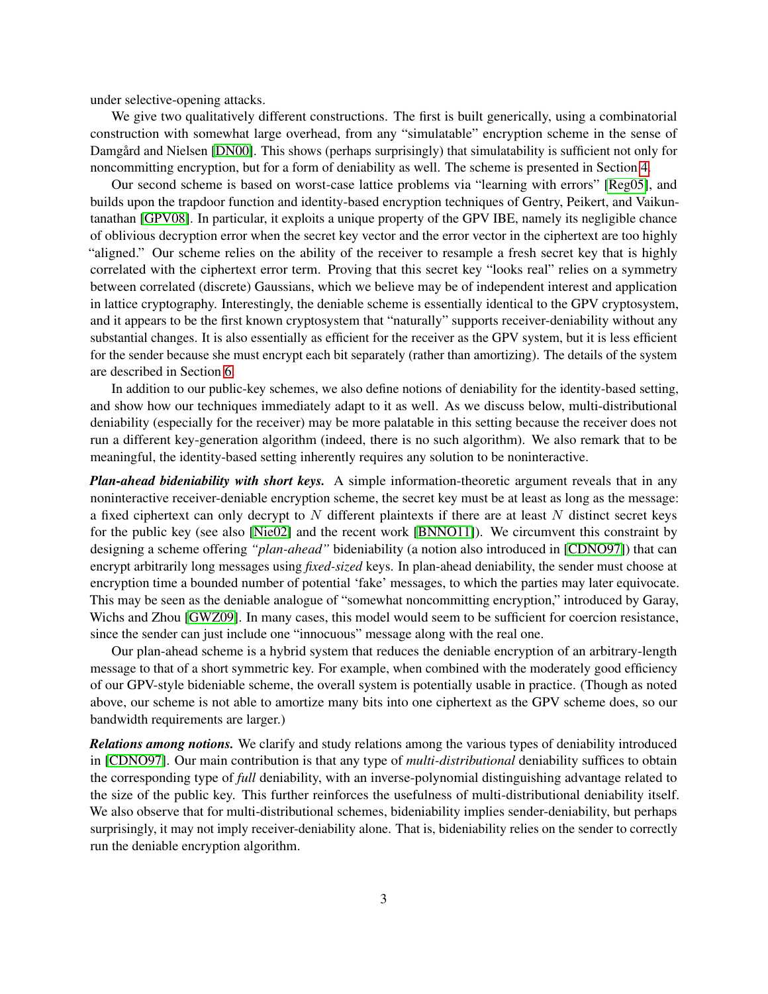under selective-opening attacks.

We give two qualitatively different constructions. The first is built generically, using a combinatorial construction with somewhat large overhead, from any "simulatable" encryption scheme in the sense of Damgård and Nielsen [[DN00\]](#page-34-3). This shows (perhaps surprisingly) that simulatability is sufficient not only for noncommitting encryption, but for a form of deniability as well. The scheme is presented in Section [4.](#page-8-0)

Our second scheme is based on worst-case lattice problems via "learning with errors" [\[Reg05\]](#page-34-5), and builds upon the trapdoor function and identity-based encryption techniques of Gentry, Peikert, and Vaikuntanathan [\[GPV08\]](#page-34-6). In particular, it exploits a unique property of the GPV IBE, namely its negligible chance of oblivious decryption error when the secret key vector and the error vector in the ciphertext are too highly "aligned." Our scheme relies on the ability of the receiver to resample a fresh secret key that is highly correlated with the ciphertext error term. Proving that this secret key "looks real" relies on a symmetry between correlated (discrete) Gaussians, which we believe may be of independent interest and application in lattice cryptography. Interestingly, the deniable scheme is essentially identical to the GPV cryptosystem, and it appears to be the first known cryptosystem that "naturally" supports receiver-deniability without any substantial changes. It is also essentially as efficient for the receiver as the GPV system, but it is less efficient for the sender because she must encrypt each bit separately (rather than amortizing). The details of the system are described in Section [6.](#page-18-0)

In addition to our public-key schemes, we also define notions of deniability for the identity-based setting, and show how our techniques immediately adapt to it as well. As we discuss below, multi-distributional deniability (especially for the receiver) may be more palatable in this setting because the receiver does not run a different key-generation algorithm (indeed, there is no such algorithm). We also remark that to be meaningful, the identity-based setting inherently requires any solution to be noninteractive.

*Plan-ahead bideniability with short keys.* A simple information-theoretic argument reveals that in any noninteractive receiver-deniable encryption scheme, the secret key must be at least as long as the message: a fixed ciphertext can only decrypt to  $N$  different plaintexts if there are at least  $N$  distinct secret keys for the public key (see also [\[Nie02\]](#page-34-7) and the recent work [\[BNNO11\]](#page-33-6)). We circumvent this constraint by designing a scheme offering *"plan-ahead"* bideniability (a notion also introduced in [\[CDNO97\]](#page-33-0)) that can encrypt arbitrarily long messages using *fixed-sized* keys. In plan-ahead deniability, the sender must choose at encryption time a bounded number of potential 'fake' messages, to which the parties may later equivocate. This may be seen as the deniable analogue of "somewhat noncommitting encryption," introduced by Garay, Wichs and Zhou [\[GWZ09\]](#page-34-8). In many cases, this model would seem to be sufficient for coercion resistance, since the sender can just include one "innocuous" message along with the real one.

Our plan-ahead scheme is a hybrid system that reduces the deniable encryption of an arbitrary-length message to that of a short symmetric key. For example, when combined with the moderately good efficiency of our GPV-style bideniable scheme, the overall system is potentially usable in practice. (Though as noted above, our scheme is not able to amortize many bits into one ciphertext as the GPV scheme does, so our bandwidth requirements are larger.)

*Relations among notions.* We clarify and study relations among the various types of deniability introduced in [\[CDNO97\]](#page-33-0). Our main contribution is that any type of *multi-distributional* deniability suffices to obtain the corresponding type of *full* deniability, with an inverse-polynomial distinguishing advantage related to the size of the public key. This further reinforces the usefulness of multi-distributional deniability itself. We also observe that for multi-distributional schemes, bideniability implies sender-deniability, but perhaps surprisingly, it may not imply receiver-deniability alone. That is, bideniability relies on the sender to correctly run the deniable encryption algorithm.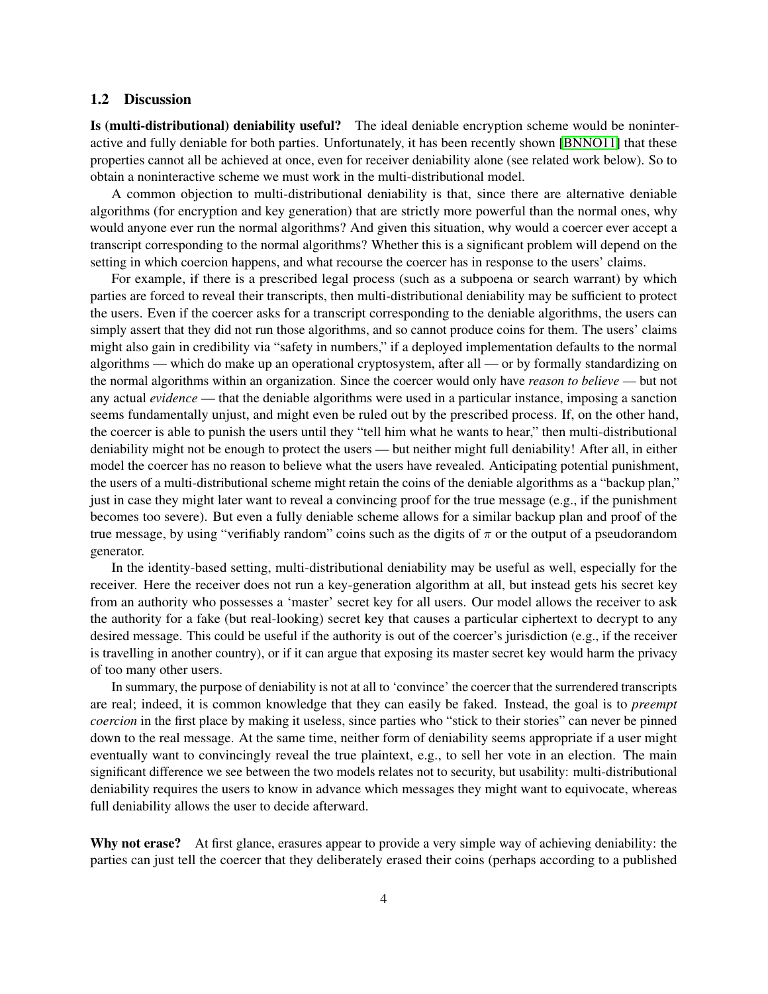### <span id="page-3-0"></span>1.2 Discussion

Is (multi-distributional) deniability useful? The ideal deniable encryption scheme would be noninteractive and fully deniable for both parties. Unfortunately, it has been recently shown [\[BNNO11\]](#page-33-6) that these properties cannot all be achieved at once, even for receiver deniability alone (see related work below). So to obtain a noninteractive scheme we must work in the multi-distributional model.

A common objection to multi-distributional deniability is that, since there are alternative deniable algorithms (for encryption and key generation) that are strictly more powerful than the normal ones, why would anyone ever run the normal algorithms? And given this situation, why would a coercer ever accept a transcript corresponding to the normal algorithms? Whether this is a significant problem will depend on the setting in which coercion happens, and what recourse the coercer has in response to the users' claims.

For example, if there is a prescribed legal process (such as a subpoena or search warrant) by which parties are forced to reveal their transcripts, then multi-distributional deniability may be sufficient to protect the users. Even if the coercer asks for a transcript corresponding to the deniable algorithms, the users can simply assert that they did not run those algorithms, and so cannot produce coins for them. The users' claims might also gain in credibility via "safety in numbers," if a deployed implementation defaults to the normal algorithms — which do make up an operational cryptosystem, after all — or by formally standardizing on the normal algorithms within an organization. Since the coercer would only have *reason to believe* — but not any actual *evidence* — that the deniable algorithms were used in a particular instance, imposing a sanction seems fundamentally unjust, and might even be ruled out by the prescribed process. If, on the other hand, the coercer is able to punish the users until they "tell him what he wants to hear," then multi-distributional deniability might not be enough to protect the users — but neither might full deniability! After all, in either model the coercer has no reason to believe what the users have revealed. Anticipating potential punishment, the users of a multi-distributional scheme might retain the coins of the deniable algorithms as a "backup plan," just in case they might later want to reveal a convincing proof for the true message (e.g., if the punishment becomes too severe). But even a fully deniable scheme allows for a similar backup plan and proof of the true message, by using "verifiably random" coins such as the digits of  $\pi$  or the output of a pseudorandom generator.

In the identity-based setting, multi-distributional deniability may be useful as well, especially for the receiver. Here the receiver does not run a key-generation algorithm at all, but instead gets his secret key from an authority who possesses a 'master' secret key for all users. Our model allows the receiver to ask the authority for a fake (but real-looking) secret key that causes a particular ciphertext to decrypt to any desired message. This could be useful if the authority is out of the coercer's jurisdiction (e.g., if the receiver is travelling in another country), or if it can argue that exposing its master secret key would harm the privacy of too many other users.

In summary, the purpose of deniability is not at all to 'convince' the coercer that the surrendered transcripts are real; indeed, it is common knowledge that they can easily be faked. Instead, the goal is to *preempt coercion* in the first place by making it useless, since parties who "stick to their stories" can never be pinned down to the real message. At the same time, neither form of deniability seems appropriate if a user might eventually want to convincingly reveal the true plaintext, e.g., to sell her vote in an election. The main significant difference we see between the two models relates not to security, but usability: multi-distributional deniability requires the users to know in advance which messages they might want to equivocate, whereas full deniability allows the user to decide afterward.

Why not erase? At first glance, erasures appear to provide a very simple way of achieving deniability: the parties can just tell the coercer that they deliberately erased their coins (perhaps according to a published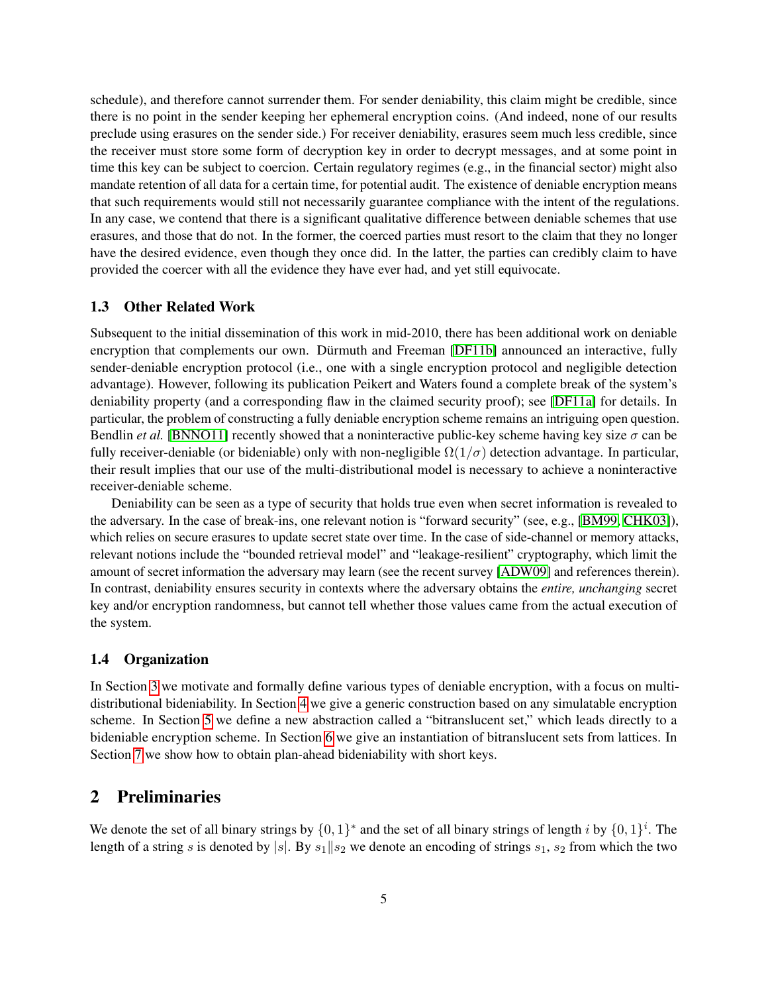schedule), and therefore cannot surrender them. For sender deniability, this claim might be credible, since there is no point in the sender keeping her ephemeral encryption coins. (And indeed, none of our results preclude using erasures on the sender side.) For receiver deniability, erasures seem much less credible, since the receiver must store some form of decryption key in order to decrypt messages, and at some point in time this key can be subject to coercion. Certain regulatory regimes (e.g., in the financial sector) might also mandate retention of all data for a certain time, for potential audit. The existence of deniable encryption means that such requirements would still not necessarily guarantee compliance with the intent of the regulations. In any case, we contend that there is a significant qualitative difference between deniable schemes that use erasures, and those that do not. In the former, the coerced parties must resort to the claim that they no longer have the desired evidence, even though they once did. In the latter, the parties can credibly claim to have provided the coercer with all the evidence they have ever had, and yet still equivocate.

## <span id="page-4-0"></span>1.3 Other Related Work

Subsequent to the initial dissemination of this work in mid-2010, there has been additional work on deniable encryption that complements our own. Dürmuth and Freeman [[DF11b\]](#page-34-9) announced an interactive, fully sender-deniable encryption protocol (i.e., one with a single encryption protocol and negligible detection advantage). However, following its publication Peikert and Waters found a complete break of the system's deniability property (and a corresponding flaw in the claimed security proof); see [\[DF11a\]](#page-33-7) for details. In particular, the problem of constructing a fully deniable encryption scheme remains an intriguing open question. Bendlin *et al.* [\[BNNO11\]](#page-33-6) recently showed that a noninteractive public-key scheme having key size  $\sigma$  can be fully receiver-deniable (or bideniable) only with non-negligible  $\Omega(1/\sigma)$  detection advantage. In particular, their result implies that our use of the multi-distributional model is necessary to achieve a noninteractive receiver-deniable scheme.

Deniability can be seen as a type of security that holds true even when secret information is revealed to the adversary. In the case of break-ins, one relevant notion is "forward security" (see, e.g., [\[BM99,](#page-33-8) [CHK03\]](#page-33-9)), which relies on secure erasures to update secret state over time. In the case of side-channel or memory attacks, relevant notions include the "bounded retrieval model" and "leakage-resilient" cryptography, which limit the amount of secret information the adversary may learn (see the recent survey [\[ADW09\]](#page-32-0) and references therein). In contrast, deniability ensures security in contexts where the adversary obtains the *entire, unchanging* secret key and/or encryption randomness, but cannot tell whether those values came from the actual execution of the system.

### 1.4 Organization

In Section [3](#page-5-0) we motivate and formally define various types of deniable encryption, with a focus on multidistributional bideniability. In Section [4](#page-8-0) we give a generic construction based on any simulatable encryption scheme. In Section [5](#page-15-0) we define a new abstraction called a "bitranslucent set," which leads directly to a bideniable encryption scheme. In Section [6](#page-18-0) we give an instantiation of bitranslucent sets from lattices. In Section [7](#page-27-0) we show how to obtain plan-ahead bideniability with short keys.

## <span id="page-4-1"></span>2 Preliminaries

We denote the set of all binary strings by  $\{0,1\}^*$  and the set of all binary strings of length i by  $\{0,1\}^i$ . The length of a string s is denoted by |s|. By  $s_1||s_2$  we denote an encoding of strings  $s_1$ ,  $s_2$  from which the two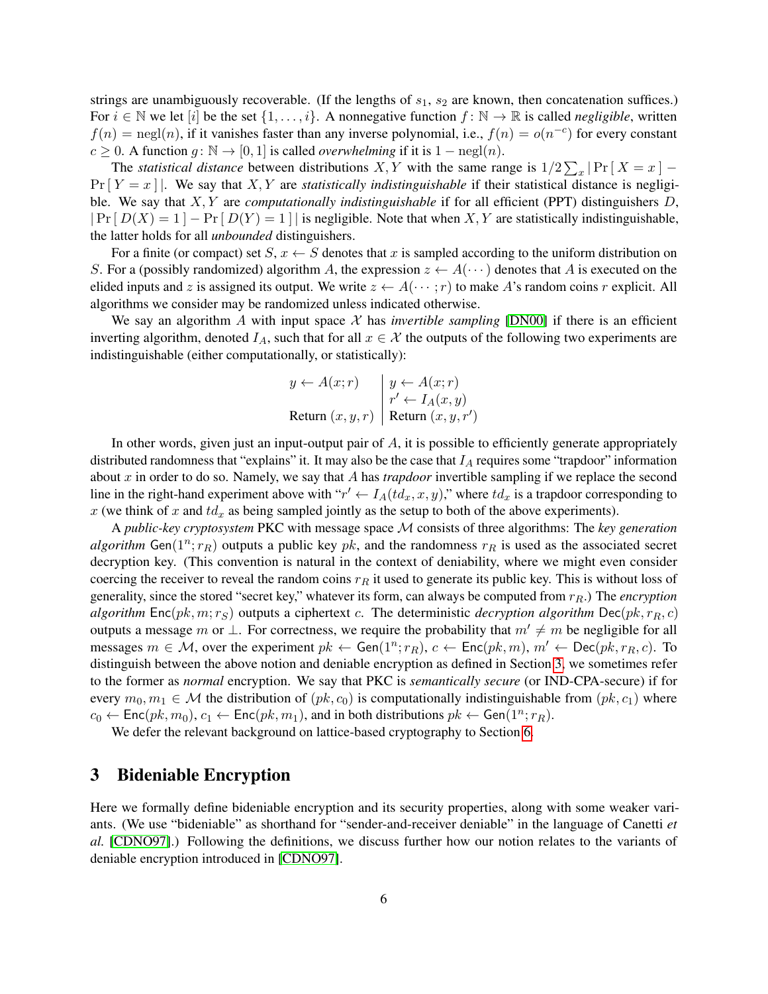strings are unambiguously recoverable. (If the lengths of  $s_1$ ,  $s_2$  are known, then concatenation suffices.) For  $i \in \mathbb{N}$  we let [i] be the set  $\{1, \ldots, i\}$ . A nonnegative function  $f : \mathbb{N} \to \mathbb{R}$  is called *negligible*, written  $f(n) = \text{negl}(n)$ , if it vanishes faster than any inverse polynomial, i.e.,  $f(n) = o(n^{-c})$  for every constant  $c \ge 0$ . A function  $g: \mathbb{N} \to [0, 1]$  is called *overwhelming* if it is 1 − negl(*n*).

The *statistical distance* between distributions X, Y with the same range is  $1/2\sum_x |\Pr[X=x]|$  $Pr[Y = x]$ . We say that X, Y are *statistically indistinguishable* if their statistical distance is negligible. We say that X, Y are *computationally indistinguishable* if for all efficient (PPT) distinguishers D,  $|\Pr(D(X) = 1| - \Pr(D(Y) = 1)|$  is negligible. Note that when X, Y are statistically indistinguishable, the latter holds for all *unbounded* distinguishers.

For a finite (or compact) set  $S, x \leftarrow S$  denotes that x is sampled according to the uniform distribution on S. For a (possibly randomized) algorithm A, the expression  $z \leftarrow A(\cdots)$  denotes that A is executed on the elided inputs and z is assigned its output. We write  $z \leftarrow A(\cdots;r)$  to make A's random coins r explicit. All algorithms we consider may be randomized unless indicated otherwise.

We say an algorithm A with input space  $X$  has *invertible sampling* [\[DN00\]](#page-34-3) if there is an efficient inverting algorithm, denoted  $I_A$ , such that for all  $x \in \mathcal{X}$  the outputs of the following two experiments are indistinguishable (either computationally, or statistically):

$$
y \leftarrow A(x; r)
$$
  
\n
$$
y \leftarrow A(x; r)
$$
  
\n
$$
r' \leftarrow I_A(x, y)
$$
  
\nReturn  $(x, y, r')$   
\nReturn  $(x, y, r')$ 

In other words, given just an input-output pair of  $A$ , it is possible to efficiently generate appropriately distributed randomness that "explains" it. It may also be the case that  $I_A$  requires some "trapdoor" information about x in order to do so. Namely, we say that A has *trapdoor* invertible sampling if we replace the second line in the right-hand experiment above with " $r' \leftarrow I_A(t_d, x, y)$ ," where  $td_x$  is a trapdoor corresponding to x (we think of x and  $td_x$  as being sampled jointly as the setup to both of the above experiments).

A *public-key cryptosystem* PKC with message space M consists of three algorithms: The *key generation algorithm* Gen( $1^n$ ;  $r_R$ ) outputs a public key pk, and the randomness  $r_R$  is used as the associated secret decryption key. (This convention is natural in the context of deniability, where we might even consider coercing the receiver to reveal the random coins  $r_R$  it used to generate its public key. This is without loss of generality, since the stored "secret key," whatever its form, can always be computed from  $r_R$ .) The *encryption algorithm*  $Enc(pk, m; r_S)$  outputs a ciphertext c. The deterministic *decryption algorithm*  $Dec(pk, r_R, c)$ outputs a message m or  $\perp$ . For correctness, we require the probability that  $m' \neq m$  be negligible for all messages  $m \in \mathcal{M}$ , over the experiment  $pk \leftarrow$  Gen $(1^n; r_R)$ ,  $c \leftarrow$  Enc $(pk, m)$ ,  $m' \leftarrow$  Dec $(pk, r_R, c)$ . To distinguish between the above notion and deniable encryption as defined in Section [3,](#page-5-0) we sometimes refer to the former as *normal* encryption. We say that PKC is *semantically secure* (or IND-CPA-secure) if for every  $m_0, m_1 \in \mathcal{M}$  the distribution of  $(pk, c_0)$  is computationally indistinguishable from  $(pk, c_1)$  where  $c_0 \leftarrow \mathsf{Enc}(pk, m_0), c_1 \leftarrow \mathsf{Enc}(pk, m_1)$ , and in both distributions  $pk \leftarrow \mathsf{Gen}(1^n; r_R)$ .

We defer the relevant background on lattice-based cryptography to Section [6.](#page-18-0)

## <span id="page-5-0"></span>3 Bideniable Encryption

Here we formally define bideniable encryption and its security properties, along with some weaker variants. (We use "bideniable" as shorthand for "sender-and-receiver deniable" in the language of Canetti *et al.* [\[CDNO97\]](#page-33-0).) Following the definitions, we discuss further how our notion relates to the variants of deniable encryption introduced in [\[CDNO97\]](#page-33-0).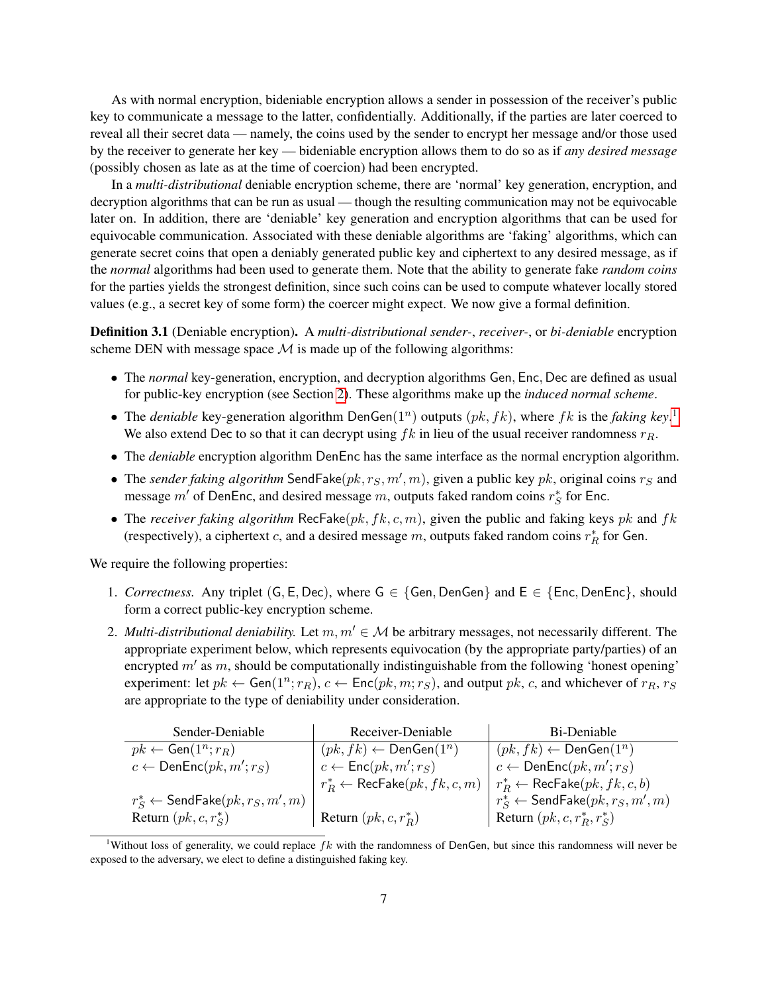As with normal encryption, bideniable encryption allows a sender in possession of the receiver's public key to communicate a message to the latter, confidentially. Additionally, if the parties are later coerced to reveal all their secret data — namely, the coins used by the sender to encrypt her message and/or those used by the receiver to generate her key — bideniable encryption allows them to do so as if *any desired message* (possibly chosen as late as at the time of coercion) had been encrypted.

In a *multi-distributional* deniable encryption scheme, there are 'normal' key generation, encryption, and decryption algorithms that can be run as usual — though the resulting communication may not be equivocable later on. In addition, there are 'deniable' key generation and encryption algorithms that can be used for equivocable communication. Associated with these deniable algorithms are 'faking' algorithms, which can generate secret coins that open a deniably generated public key and ciphertext to any desired message, as if the *normal* algorithms had been used to generate them. Note that the ability to generate fake *random coins* for the parties yields the strongest definition, since such coins can be used to compute whatever locally stored values (e.g., a secret key of some form) the coercer might expect. We now give a formal definition.

<span id="page-6-1"></span>Definition 3.1 (Deniable encryption). A *multi-distributional sender-*, *receiver-*, or *bi-deniable* encryption scheme DEN with message space  $M$  is made up of the following algorithms:

- The *normal* key-generation, encryption, and decryption algorithms Gen, Enc, Dec are defined as usual for public-key encryption (see Section [2\)](#page-4-1). These algorithms make up the *induced normal scheme*.
- The *deniable* key-generation algorithm DenGen $(1^n)$  $(1^n)$  $(1^n)$  outputs  $(pk, fk)$ , where  $fk$  is the *faking key*.<sup>1</sup> We also extend Dec to so that it can decrypt using  $fk$  in lieu of the usual receiver randomness  $r_R$ .
- The *deniable* encryption algorithm DenEnc has the same interface as the normal encryption algorithm.
- The *sender faking algorithm* SendFake $(pk, rs, m', m)$ , given a public key  $pk$ , original coins  $rs$  and message  $m'$  of DenEnc, and desired message m, outputs faked random coins  $r_S^*$  for Enc.
- The *receiver faking algorithm* RecFake $(pk, fk, c, m)$ , given the public and faking keys pk and  $fk$ (respectively), a ciphertext c, and a desired message m, outputs faked random coins  $r_R^*$  for Gen.

We require the following properties:

- 1. *Correctness.* Any triplet  $(G, E, Dec)$ , where  $G \in \{Gen, DenGen\}$  and  $E \in \{Enc, DenEnc\}$ , should form a correct public-key encryption scheme.
- 2. *Multi-distributional deniability.* Let  $m, m' \in M$  be arbitrary messages, not necessarily different. The appropriate experiment below, which represents equivocation (by the appropriate party/parties) of an encrypted  $m'$  as m, should be computationally indistinguishable from the following 'honest opening' experiment: let  $pk \leftarrow$  Gen $(1^n; r_R)$ ,  $c \leftarrow$  Enc $(pk, m; r_S)$ , and output  $pk$ , c, and whichever of  $r_R$ ,  $r_S$ are appropriate to the type of deniability under consideration.

| Sender-Deniable                                      | Receiver-Deniable                                 | Bi-Deniable                                            |
|------------------------------------------------------|---------------------------------------------------|--------------------------------------------------------|
| $pk \leftarrow$ Gen $(1^n; r_R)$                     | $(pk, fk) \leftarrow \text{DenGen}(1^n)$          | $(pk, fk) \leftarrow \mathsf{DenGen}(1^n)$             |
| $c \leftarrow$ DenEnc $(pk, m'; r_S)$                | $c \leftarrow \mathsf{Enc}(pk, m'; r_S)$          | $c \leftarrow$ DenEnc $(pk, m'; r_S)$                  |
|                                                      | $r_R^* \leftarrow \mathsf{RecFake}(pk, fk, c, m)$ | $\mid r_B^* \leftarrow \mathsf{RecFake}(pk, fk, c, b)$ |
| $r_S^* \leftarrow \mathsf{SendFake}(pk, r_S, m', m)$ |                                                   | $r_S^* \leftarrow$ SendFake $(pk, r_S, m', m)$         |
| Return $(pk, c, r_s^*)$                              | Return $(pk, c, r_R^*)$                           | Return $(pk, c, r_B^*, r_S^*)$                         |

<span id="page-6-0"></span><sup>&</sup>lt;sup>1</sup>Without loss of generality, we could replace  $fk$  with the randomness of DenGen, but since this randomness will never be exposed to the adversary, we elect to define a distinguished faking key.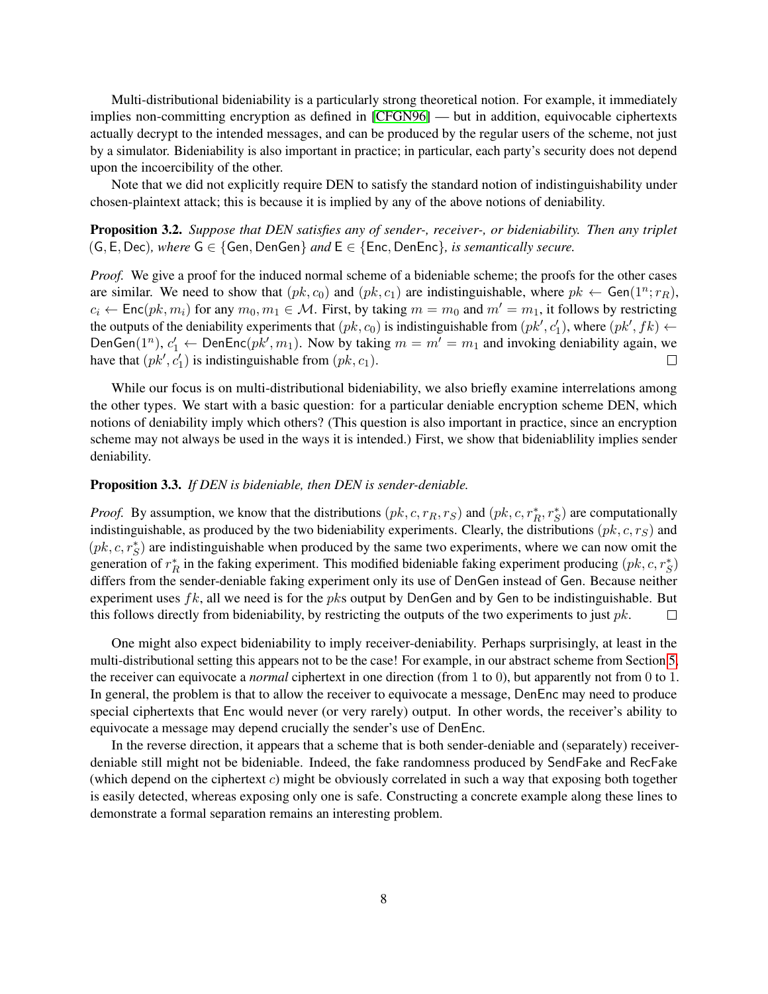Multi-distributional bideniability is a particularly strong theoretical notion. For example, it immediately implies non-committing encryption as defined in [\[CFGN96\]](#page-33-2) — but in addition, equivocable ciphertexts actually decrypt to the intended messages, and can be produced by the regular users of the scheme, not just by a simulator. Bideniability is also important in practice; in particular, each party's security does not depend upon the incoercibility of the other.

Note that we did not explicitly require DEN to satisfy the standard notion of indistinguishability under chosen-plaintext attack; this is because it is implied by any of the above notions of deniability.

Proposition 3.2. *Suppose that DEN satisfies any of sender-, receiver-, or bideniability. Then any triplet* (G, E, Dec)*, where*  $G \in \{Gen, DenGen\}$  *and*  $E \in \{Enc, DenEnc\}$ *, is semantically secure.* 

*Proof.* We give a proof for the induced normal scheme of a bideniable scheme; the proofs for the other cases are similar. We need to show that  $(pk, c_0)$  and  $(pk, c_1)$  are indistinguishable, where  $pk \leftarrow Gen(1^n; r_R)$ ,  $c_i \leftarrow \text{Enc}(pk, m_i)$  for any  $m_0, m_1 \in \mathcal{M}$ . First, by taking  $m = m_0$  and  $m' = m_1$ , it follows by restricting the outputs of the deniability experiments that  $(pk, c_0)$  is indistinguishable from  $(pk', c'_1)$ , where  $(pk', fk) \leftarrow$ DenGen(1<sup>n</sup>),  $c'_1 \leftarrow$  DenEnc(pk', m<sub>1</sub>). Now by taking  $m = m' = m_1$  and invoking deniability again, we have that  $(pk', c'_1)$  is indistinguishable from  $(pk, c_1)$ .  $\Box$ 

While our focus is on multi-distributional bideniability, we also briefly examine interrelations among the other types. We start with a basic question: for a particular deniable encryption scheme DEN, which notions of deniability imply which others? (This question is also important in practice, since an encryption scheme may not always be used in the ways it is intended.) First, we show that bideniablility implies sender deniability.

#### Proposition 3.3. *If DEN is bideniable, then DEN is sender-deniable.*

*Proof.* By assumption, we know that the distributions  $(pk, c, r_R, r_S)$  and  $(pk, c, r_R^*, r_S^*)$  are computationally indistinguishable, as produced by the two bideniability experiments. Clearly, the distributions  $(pk, c, rs)$  and  $(pk, c, r^*_{S})$  are indistinguishable when produced by the same two experiments, where we can now omit the generation of  $r_R^*$  in the faking experiment. This modified bideniable faking experiment producing  $(pk, c, r_S^*)$ differs from the sender-deniable faking experiment only its use of DenGen instead of Gen. Because neither experiment uses  $fk$ , all we need is for the *pks* output by DenGen and by Gen to be indistinguishable. But this follows directly from bideniability, by restricting the outputs of the two experiments to just  $pk$ .  $\Box$ 

One might also expect bideniability to imply receiver-deniability. Perhaps surprisingly, at least in the multi-distributional setting this appears not to be the case! For example, in our abstract scheme from Section [5,](#page-15-0) the receiver can equivocate a *normal* ciphertext in one direction (from 1 to 0), but apparently not from 0 to 1. In general, the problem is that to allow the receiver to equivocate a message, DenEnc may need to produce special ciphertexts that Enc would never (or very rarely) output. In other words, the receiver's ability to equivocate a message may depend crucially the sender's use of DenEnc.

In the reverse direction, it appears that a scheme that is both sender-deniable and (separately) receiverdeniable still might not be bideniable. Indeed, the fake randomness produced by SendFake and RecFake (which depend on the ciphertext c) might be obviously correlated in such a way that exposing both together is easily detected, whereas exposing only one is safe. Constructing a concrete example along these lines to demonstrate a formal separation remains an interesting problem.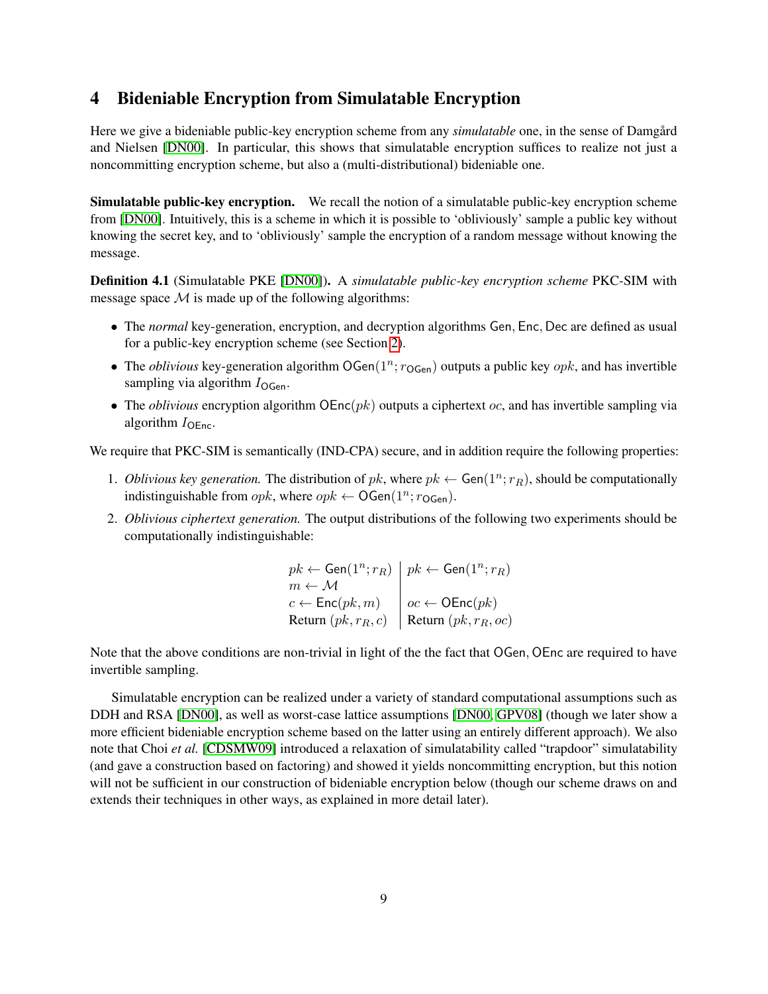## <span id="page-8-0"></span>4 Bideniable Encryption from Simulatable Encryption

Here we give a bideniable public-key encryption scheme from any *simulatable* one, in the sense of Damgård and Nielsen [\[DN00\]](#page-34-3). In particular, this shows that simulatable encryption suffices to realize not just a noncommitting encryption scheme, but also a (multi-distributional) bideniable one.

Simulatable public-key encryption. We recall the notion of a simulatable public-key encryption scheme from [\[DN00\]](#page-34-3). Intuitively, this is a scheme in which it is possible to 'obliviously' sample a public key without knowing the secret key, and to 'obliviously' sample the encryption of a random message without knowing the message.

<span id="page-8-1"></span>Definition 4.1 (Simulatable PKE [\[DN00\]](#page-34-3)). A *simulatable public-key encryption scheme* PKC-SIM with message space  $M$  is made up of the following algorithms:

- The *normal* key-generation, encryption, and decryption algorithms Gen, Enc, Dec are defined as usual for a public-key encryption scheme (see Section [2\)](#page-4-1).
- The *oblivious* key-generation algorithm  $OGen(1^n; r_{OGen})$  outputs a public key *opk*, and has invertible sampling via algorithm  $I_{\text{OGen}}$ .
- The *oblivious* encryption algorithm  $OEnc(pk)$  outputs a ciphertext *oc*, and has invertible sampling via algorithm  $I_{\text{OFnc}}$ .

We require that PKC-SIM is semantically (IND-CPA) secure, and in addition require the following properties:

- 1. *Oblivious key generation*. The distribution of  $pk$ , where  $pk \leftarrow$  Gen $(1^n; r_R)$ , should be computationally indistinguishable from  $opk$ , where  $opk \leftarrow \mathsf{OGen}(1^n; r_{\mathsf{OGen}})$ .
- <span id="page-8-2"></span>2. *Oblivious ciphertext generation.* The output distributions of the following two experiments should be computationally indistinguishable:

$$
pk \leftarrow Gen(1^n; r_R)
$$
\n
$$
m \leftarrow \mathcal{M}
$$
\n
$$
c \leftarrow Enc(pk, m)
$$
\n
$$
oc \leftarrow One(pk)
$$
\n
$$
oc \leftarrow One(pk)
$$
\n
$$
oc \leftarrow One(pk)
$$
\n
$$
oc \leftarrow One(pk)
$$
\n
$$
oc \leftarrow One(pk)
$$

Note that the above conditions are non-trivial in light of the the fact that OGen, OEnc are required to have invertible sampling.

Simulatable encryption can be realized under a variety of standard computational assumptions such as DDH and RSA [\[DN00\]](#page-34-3), as well as worst-case lattice assumptions [\[DN00,](#page-34-3) [GPV08\]](#page-34-6) (though we later show a more efficient bideniable encryption scheme based on the latter using an entirely different approach). We also note that Choi *et al.* [\[CDSMW09\]](#page-33-3) introduced a relaxation of simulatability called "trapdoor" simulatability (and gave a construction based on factoring) and showed it yields noncommitting encryption, but this notion will not be sufficient in our construction of bideniable encryption below (though our scheme draws on and extends their techniques in other ways, as explained in more detail later).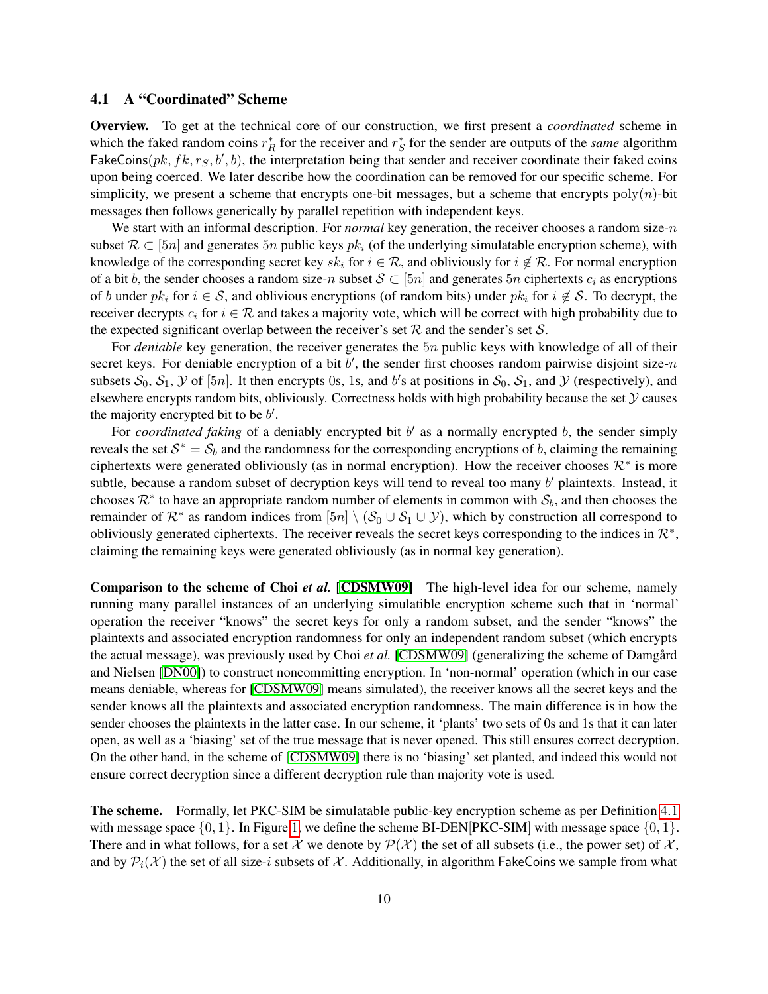### 4.1 A "Coordinated" Scheme

Overview. To get at the technical core of our construction, we first present a *coordinated* scheme in which the faked random coins  $r_R^*$  for the receiver and  $r_S^*$  for the sender are outputs of the *same* algorithm FakeCoins $(pk, fk, rs, b', b)$ , the interpretation being that sender and receiver coordinate their faked coins upon being coerced. We later describe how the coordination can be removed for our specific scheme. For simplicity, we present a scheme that encrypts one-bit messages, but a scheme that encrypts  $poly(n)$ -bit messages then follows generically by parallel repetition with independent keys.

We start with an informal description. For *normal* key generation, the receiver chooses a random size-*n* subset  $\mathcal{R} \subset [5n]$  and generates 5n public keys  $pk_i$  (of the underlying simulatable encryption scheme), with knowledge of the corresponding secret key  $sk_i$  for  $i \in \mathcal{R}$ , and obliviously for  $i \notin \mathcal{R}$ . For normal encryption of a bit b, the sender chooses a random size-n subset  $S \subset [5n]$  and generates 5n ciphertexts  $c_i$  as encryptions of b under  $pk_i$  for  $i \in S$ , and oblivious encryptions (of random bits) under  $pk_i$  for  $i \notin S$ . To decrypt, the receiver decrypts  $c_i$  for  $i \in \mathcal{R}$  and takes a majority vote, which will be correct with high probability due to the expected significant overlap between the receiver's set  $R$  and the sender's set  $S$ .

For *deniable* key generation, the receiver generates the 5n public keys with knowledge of all of their secret keys. For deniable encryption of a bit  $b'$ , the sender first chooses random pairwise disjoint size-n subsets  $S_0$ ,  $S_1$ ,  $Y$  of  $[5n]$ . It then encrypts 0s, 1s, and b's at positions in  $S_0$ ,  $S_1$ , and  $Y$  (respectively), and elsewhere encrypts random bits, obliviously. Correctness holds with high probability because the set  $Y$  causes the majority encrypted bit to be  $b'$ .

For *coordinated faking* of a deniably encrypted bit  $b'$  as a normally encrypted  $b$ , the sender simply reveals the set  $S^* = S_b$  and the randomness for the corresponding encryptions of b, claiming the remaining ciphertexts were generated obliviously (as in normal encryption). How the receiver chooses  $\mathcal{R}^*$  is more subtle, because a random subset of decryption keys will tend to reveal too many  $b'$  plaintexts. Instead, it chooses  $\mathcal{R}^*$  to have an appropriate random number of elements in common with  $\mathcal{S}_b$ , and then chooses the remainder of  $\mathcal{R}^*$  as random indices from  $[5n] \setminus (\mathcal{S}_0 \cup \mathcal{S}_1 \cup \mathcal{Y})$ , which by construction all correspond to obliviously generated ciphertexts. The receiver reveals the secret keys corresponding to the indices in  $\mathbb{R}^*$ , claiming the remaining keys were generated obliviously (as in normal key generation).

Comparison to the scheme of Choi *et al.* [\[CDSMW09\]](#page-33-3) The high-level idea for our scheme, namely running many parallel instances of an underlying simulatible encryption scheme such that in 'normal' operation the receiver "knows" the secret keys for only a random subset, and the sender "knows" the plaintexts and associated encryption randomness for only an independent random subset (which encrypts the actual message), was previously used by Choi *et al.* [\[CDSMW09\]](#page-33-3) (generalizing the scheme of Damgard and Nielsen [\[DN00\]](#page-34-3)) to construct noncommitting encryption. In 'non-normal' operation (which in our case means deniable, whereas for [\[CDSMW09\]](#page-33-3) means simulated), the receiver knows all the secret keys and the sender knows all the plaintexts and associated encryption randomness. The main difference is in how the sender chooses the plaintexts in the latter case. In our scheme, it 'plants' two sets of 0s and 1s that it can later open, as well as a 'biasing' set of the true message that is never opened. This still ensures correct decryption. On the other hand, in the scheme of [\[CDSMW09\]](#page-33-3) there is no 'biasing' set planted, and indeed this would not ensure correct decryption since a different decryption rule than majority vote is used.

The scheme. Formally, let PKC-SIM be simulatable public-key encryption scheme as per Definition [4.1](#page-8-1) with message space  $\{0, 1\}$ . In Figure [1,](#page-11-0) we define the scheme BI-DEN[PKC-SIM] with message space  $\{0, 1\}$ . There and in what follows, for a set X we denote by  $\mathcal{P}(\mathcal{X})$  the set of all subsets (i.e., the power set) of X, and by  $\mathcal{P}_i(\mathcal{X})$  the set of all size-i subsets of X. Additionally, in algorithm FakeCoins we sample from what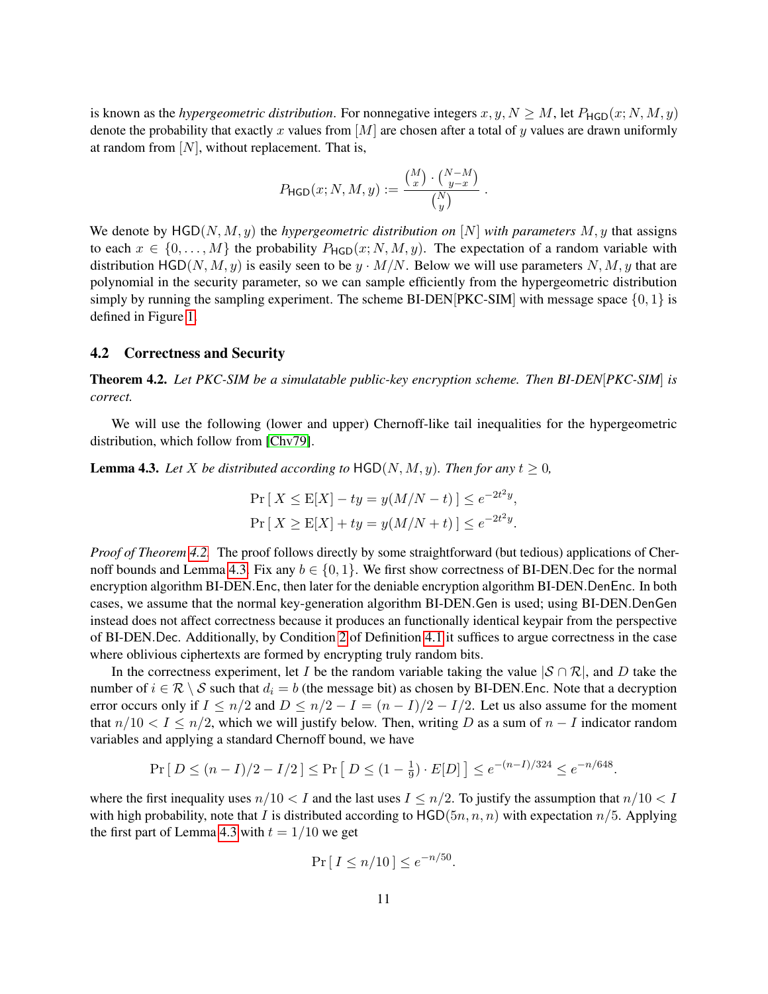is known as the *hypergeometric distribution*. For nonnegative integers  $x, y, N \ge M$ , let  $P_{\text{HGD}}(x; N, M, y)$ denote the probability that exactly x values from  $[M]$  are chosen after a total of y values are drawn uniformly at random from  $[N]$ , without replacement. That is,

$$
P_{\mathsf{HGD}}(x; N, M, y) := \frac{\binom{M}{x} \cdot \binom{N-M}{y-x}}{\binom{N}{y}}.
$$

We denote by HGD(N, M, y) the *hypergeometric distribution on* [N] *with parameters* M, y that assigns to each  $x \in \{0, \ldots, M\}$  the probability  $P_{\text{HGD}}(x; N, M, y)$ . The expectation of a random variable with distribution HGD(N, M, y) is easily seen to be  $y \cdot M/N$ . Below we will use parameters N, M, y that are polynomial in the security parameter, so we can sample efficiently from the hypergeometric distribution simply by running the sampling experiment. The scheme BI-DEN[PKC-SIM] with message space  $\{0, 1\}$  is defined in Figure [1.](#page-11-0)

### 4.2 Correctness and Security

<span id="page-10-0"></span>Theorem 4.2. *Let PKC-SIM be a simulatable public-key encryption scheme. Then BI-DEN*[*PKC-SIM*] *is correct.*

We will use the following (lower and upper) Chernoff-like tail inequalities for the hypergeometric distribution, which follow from [\[Chv79\]](#page-33-10).

<span id="page-10-1"></span>**Lemma 4.3.** *Let X be distributed according to* HGD(*N, M, y). Then for any*  $t \geq 0$ *,* 

$$
\Pr[X \le E[X] - ty = y(M/N - t)] \le e^{-2t^2y},
$$
  
 
$$
\Pr[X \ge E[X] + ty = y(M/N + t)] \le e^{-2t^2y}.
$$

*Proof of Theorem [4.2.](#page-10-0)* The proof follows directly by some straightforward (but tedious) applications of Cher-noff bounds and Lemma [4.3.](#page-10-1) Fix any  $b \in \{0, 1\}$ . We first show correctness of BI-DEN. Dec for the normal encryption algorithm BI-DEN.Enc, then later for the deniable encryption algorithm BI-DEN.DenEnc. In both cases, we assume that the normal key-generation algorithm BI-DEN.Gen is used; using BI-DEN.DenGen instead does not affect correctness because it produces an functionally identical keypair from the perspective of BI-DEN.Dec. Additionally, by Condition [2](#page-8-2) of Definition [4.1](#page-8-1) it suffices to argue correctness in the case where oblivious ciphertexts are formed by encrypting truly random bits.

In the correctness experiment, let I be the random variable taking the value  $|S \cap \mathcal{R}|$ , and D take the number of  $i \in \mathcal{R} \setminus \mathcal{S}$  such that  $d_i = b$  (the message bit) as chosen by BI-DEN. Enc. Note that a decryption error occurs only if  $I \leq n/2$  and  $D \leq n/2 - I = (n - I)/2 - I/2$ . Let us also assume for the moment that  $n/10 < I \leq n/2$ , which we will justify below. Then, writing D as a sum of  $n - I$  indicator random variables and applying a standard Chernoff bound, we have

$$
\Pr\left[\,D \leq (n-I)/2 - I/2\,\right] \leq \Pr\left[\,D \leq (1-\frac{1}{9}) \cdot E[D]\,\right] \leq e^{-(n-I)/324} \leq e^{-n/648}.
$$

where the first inequality uses  $n/10 < I$  and the last uses  $I \leq n/2$ . To justify the assumption that  $n/10 < I$ with high probability, note that I is distributed according to HGD(5n, n, n) with expectation  $n/5$ . Applying the first part of Lemma [4.3](#page-10-1) with  $t = 1/10$  we get

$$
\Pr\left[I \le n/10\right] \le e^{-n/50}.
$$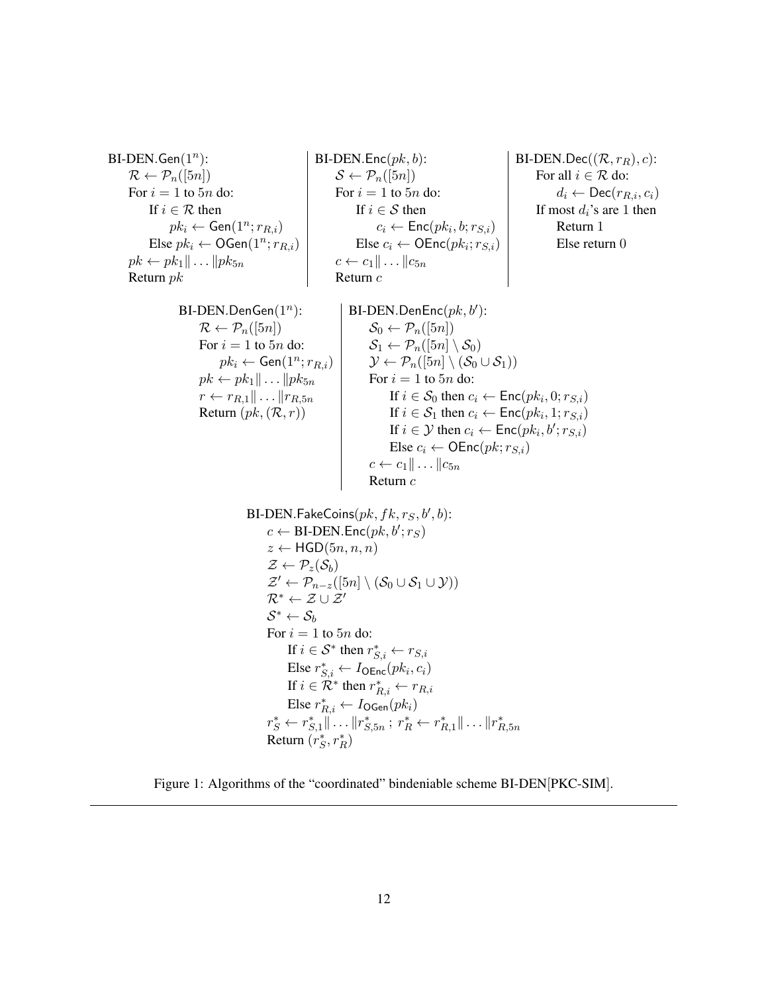$BI$ -DEN.Gen $(1^n)$ :  $\mathcal{R} \leftarrow \mathcal{P}_n([5n])$ For  $i = 1$  to  $5n$  do: If  $i \in \mathcal{R}$  then  $pk_i \leftarrow \mathsf{Gen}(1^n; r_{R,i})$ Else  $pk_i \leftarrow \mathsf{OGen}(1^n; r_{R,i})$  $pk \leftarrow pk_1 || \dots || pk_{5n}$ Return pk  $BI-DEN.Enc(pk, b)$ :  $S \leftarrow \mathcal{P}_n([5n])$ For  $i = 1$  to  $5n$  do: If  $i \in S$  then  $c_i \leftarrow \mathsf{Enc}(pk_i, b; r_{S,i})$ Else  $c_i \leftarrow \mathsf{OEnc}(pk_i; r_{S,i})$  $c \leftarrow c_1 \| \dots \| c_{5n}$ Return c BI-DEN.Dec( $(\mathcal{R}, r_R), c$ ): For all  $i \in \mathcal{R}$  do:  $d_i \leftarrow \mathsf{Dec}(r_{R,i}, c_i)$ If most  $d_i$ 's are 1 then Return 1 Else return 0  $BI$ - $DEN$ . $Den Gen(1<sup>n</sup>)$ :  $\mathcal{R} \leftarrow \mathcal{P}_n([5n])$ For  $i = 1$  to  $5n$  do:  $pk_i \leftarrow \mathsf{Gen}(1^n; r_{R,i})$  $pk \leftarrow pk_1 \| \dots \| pk_{5n}$  $r \leftarrow r_{R,1} || \ldots || r_{R,5n}$ Return  $(pk, (\mathcal{R}, r))$  $BI-DEN.DenEnc(pk, b')$ :  $\mathcal{S}_0 \leftarrow \mathcal{P}_n([5n])$  $\mathcal{S}_1 \leftarrow \mathcal{P}_n([5n] \setminus \mathcal{S}_0)$  $\mathcal{Y} \leftarrow \mathcal{P}_n([5n] \setminus (\mathcal{S}_0 \cup \mathcal{S}_1))$ For  $i = 1$  to  $5n$  do: If  $i \in \mathcal{S}_0$  then  $c_i \leftarrow \mathsf{Enc}(pk_i, 0; r_{S,i})$ If  $i \in S_1$  then  $c_i \leftarrow \text{Enc}(pk_i, 1; r_{S,i})$ If  $i \in \mathcal{Y}$  then  $c_i \leftarrow \mathsf{Enc}(pk_i, b'; r_{S,i})$ Else  $c_i \leftarrow \mathsf{OEnc}(pk; r_{S,i})$  $c \leftarrow c_1 \Vert \dots \Vert c_{5n}$ Return c  $\text{BI-DEN.FakeCoins}(pk, fk, rs, b', b)$ :  $c \leftarrow \text{BI-DEN}.\text{Enc}(pk, b'; r_S)$  $z \leftarrow \text{HGD}(5n, n, n)$  $\mathcal{Z} \leftarrow \mathcal{P}_z(\mathcal{S}_b)$  $\mathcal{Z}' \leftarrow \mathcal{P}_{n-z}([5n] \setminus (\mathcal{S}_0 \cup \mathcal{S}_1 \cup \mathcal{Y}))$  $\mathcal{R}^* \leftarrow \mathcal{Z} \cup \mathcal{Z}'$  $\mathcal{S}^* \leftarrow \mathcal{S}_b$ For  $i = 1$  to  $5n$  do: If  $i \in S^*$  then  $r_{S,i}^* \leftarrow r_{S,i}$ Else  $r_{S,i}^* \leftarrow I_{\text{OEnc}}(pk_i, c_i)$ If  $i \in \mathcal{R}^*$  then  $r^*_{R,i} \leftarrow r_{R,i}$ Else  $r_{R,i}^* \leftarrow I_{\mathsf{OGen}}(pk_i)$  $r_S^* \leftarrow r_{S,1}^* \| \dots \| r_{S,5n}^*; r_R^* \leftarrow r_{R,1}^* \| \dots \| r_{R,5n}^*$ Return  $(r_S^*, r_R^*)$ 

<span id="page-11-0"></span>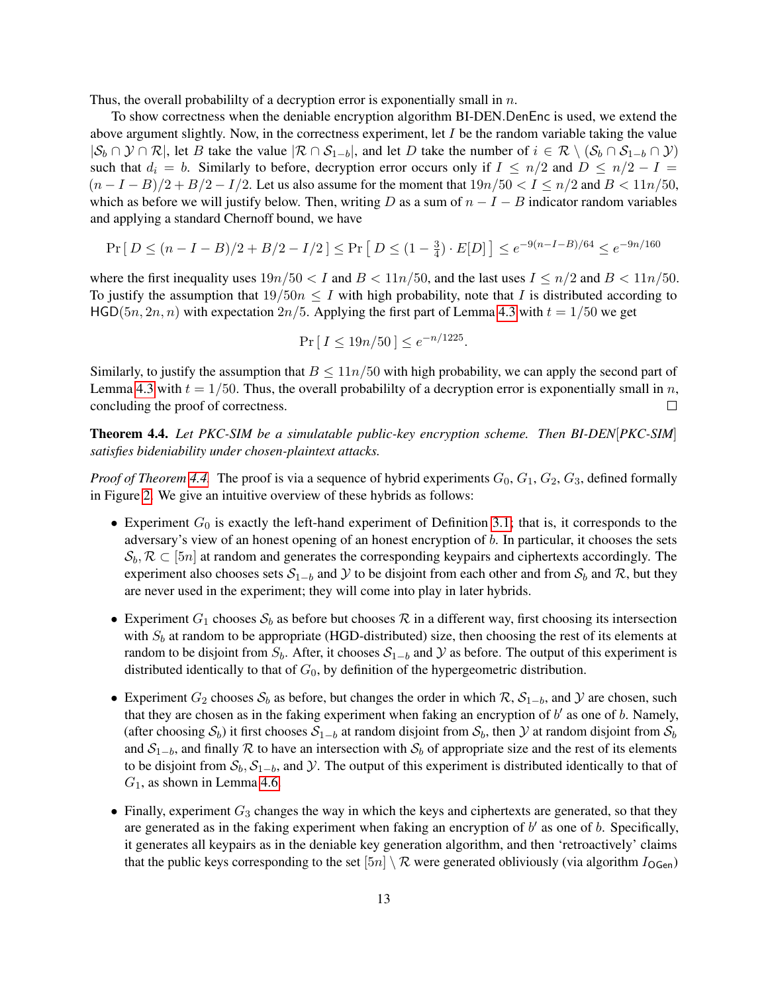Thus, the overall probabililty of a decryption error is exponentially small in  $n$ .

To show correctness when the deniable encryption algorithm BI-DEN.DenEnc is used, we extend the above argument slightly. Now, in the correctness experiment, let  $I$  be the random variable taking the value  $|S_b \cap Y \cap \mathcal{R}|$ , let B take the value  $|\mathcal{R} \cap S_{1-b}|$ , and let D take the number of  $i \in \mathcal{R} \setminus (S_b \cap S_{1-b} \cap Y)$ such that  $d_i = b$ . Similarly to before, decryption error occurs only if  $I \leq n/2$  and  $D \leq n/2 - I =$  $(n - I - B)/2 + B/2 - I/2$ . Let us also assume for the moment that  $19n/50 < I \le n/2$  and  $B < 11n/50$ , which as before we will justify below. Then, writing D as a sum of  $n - I - B$  indicator random variables and applying a standard Chernoff bound, we have

$$
\Pr[D \le (n - I - B)/2 + B/2 - I/2] \le \Pr[D \le (1 - \frac{3}{4}) \cdot E[D]] \le e^{-9(n - I - B)/64} \le e^{-9n/160}
$$

where the first inequality uses  $19n/50 < I$  and  $B < 11n/50$ , and the last uses  $I \le n/2$  and  $B < 11n/50$ . To justify the assumption that  $19/50n \leq I$  with high probability, note that I is distributed according to HGD(5n, 2n, n) with expectation  $2n/5$ . Applying the first part of Lemma [4.3](#page-10-1) with  $t = 1/50$  we get

$$
\Pr\left[I \le 19n/50\right] \le e^{-n/1225}.
$$

Similarly, to justify the assumption that  $B \le 11n/50$  with high probability, we can apply the second part of Lemma [4.3](#page-10-1) with  $t = 1/50$ . Thus, the overall probability of a decryption error is exponentially small in n, concluding the proof of correctness.  $\Box$ 

<span id="page-12-0"></span>Theorem 4.4. *Let PKC-SIM be a simulatable public-key encryption scheme. Then BI-DEN*[*PKC-SIM*] *satisfies bideniability under chosen-plaintext attacks.*

*Proof of Theorem [4.4.](#page-12-0)* The proof is via a sequence of hybrid experiments  $G_0, G_1, G_2, G_3$ , defined formally in Figure [2.](#page-14-0) We give an intuitive overview of these hybrids as follows:

- Experiment  $G_0$  is exactly the left-hand experiment of Definition [3.1;](#page-6-1) that is, it corresponds to the adversary's view of an honest opening of an honest encryption of b. In particular, it chooses the sets  $S_b$ ,  $\mathcal{R} \subset [5n]$  at random and generates the corresponding keypairs and ciphertexts accordingly. The experiment also chooses sets  $S_{1-b}$  and Y to be disjoint from each other and from  $S_b$  and R, but they are never used in the experiment; they will come into play in later hybrids.
- Experiment  $G_1$  chooses  $S_b$  as before but chooses  $R$  in a different way, first choosing its intersection with  $S_b$  at random to be appropriate (HGD-distributed) size, then choosing the rest of its elements at random to be disjoint from  $S_b$ . After, it chooses  $S_{1-b}$  and  $\mathcal Y$  as before. The output of this experiment is distributed identically to that of  $G_0$ , by definition of the hypergeometric distribution.
- Experiment  $G_2$  chooses  $S_b$  as before, but changes the order in which  $\mathcal{R}, S_{1-b}$ , and  $\mathcal Y$  are chosen, such that they are chosen as in the faking experiment when faking an encryption of  $b'$  as one of  $b$ . Namely, (after choosing  $S_b$ ) it first chooses  $S_{1-b}$  at random disjoint from  $S_b$ , then Y at random disjoint from  $S_b$ and  $S_{1-b}$ , and finally R to have an intersection with  $S_b$  of appropriate size and the rest of its elements to be disjoint from  $S_b$ ,  $S_{1-b}$ , and  $\mathcal Y$ . The output of this experiment is distributed identically to that of  $G_1$ , as shown in Lemma [4.6.](#page-13-0)
- Finally, experiment  $G_3$  changes the way in which the keys and ciphertexts are generated, so that they are generated as in the faking experiment when faking an encryption of  $b'$  as one of  $b$ . Specifically, it generates all keypairs as in the deniable key generation algorithm, and then 'retroactively' claims that the public keys corresponding to the set  $[5n] \setminus R$  were generated obliviously (via algorithm  $I_{OGen}$ )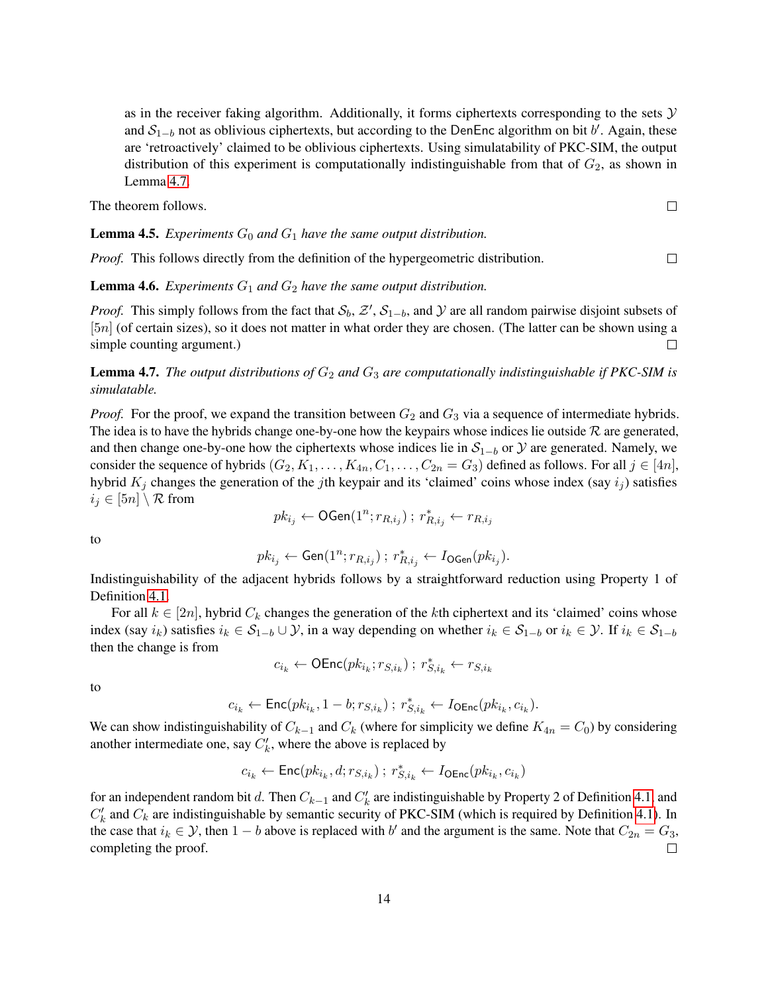as in the receiver faking algorithm. Additionally, it forms ciphertexts corresponding to the sets  $Y$ and  $S_{1-b}$  not as oblivious ciphertexts, but according to the DenEnc algorithm on bit b'. Again, these are 'retroactively' claimed to be oblivious ciphertexts. Using simulatability of PKC-SIM, the output distribution of this experiment is computationally indistinguishable from that of  $G_2$ , as shown in Lemma [4.7.](#page-13-1)

The theorem follows.

 $\Box$ 

**Lemma 4.5.** *Experiments*  $G_0$  *and*  $G_1$  *have the same output distribution.* 

*Proof.* This follows directly from the definition of the hypergeometric distribution.  $\Box$ 

<span id="page-13-0"></span>**Lemma 4.6.** *Experiments*  $G_1$  *and*  $G_2$  *have the same output distribution.* 

*Proof.* This simply follows from the fact that  $S_b$ ,  $Z'$ ,  $S_{1-b}$ , and  $Y$  are all random pairwise disjoint subsets of [5n] (of certain sizes), so it does not matter in what order they are chosen. (The latter can be shown using a simple counting argument.)  $\Box$ 

<span id="page-13-1"></span>**Lemma 4.7.** *The output distributions of*  $G_2$  *and*  $G_3$  *are computationally indistinguishable if PKC-SIM is simulatable.*

*Proof.* For the proof, we expand the transition between  $G_2$  and  $G_3$  via a sequence of intermediate hybrids. The idea is to have the hybrids change one-by-one how the keypairs whose indices lie outside  $R$  are generated, and then change one-by-one how the ciphertexts whose indices lie in  $S_{1-b}$  or  $\mathcal Y$  are generated. Namely, we consider the sequence of hybrids  $(G_2, K_1, \ldots, K_{4n}, C_1, \ldots, C_{2n} = G_3)$  defined as follows. For all  $j \in [4n]$ , hybrid  $K_j$  changes the generation of the jth keypair and its 'claimed' coins whose index (say  $i_j$ ) satisfies  $i_j \in [5n] \setminus \mathcal{R}$  from

$$
pk_{i_j} \leftarrow \mathsf{OGen}(1^n; r_{R,i_j}) \; ; \; r_{R,i_j}^* \leftarrow r_{R,i_j}
$$

to

$$
pk_{i_j} \leftarrow \textsf{Gen}(1^n; r_{R,i_j}) \; ; \; r_{R,i_j}^* \leftarrow I_{\textsf{OGen}}(pk_{i_j}).
$$

Indistinguishability of the adjacent hybrids follows by a straightforward reduction using Property 1 of Definition [4.1.](#page-8-1)

For all  $k \in [2n]$ , hybrid  $C_k$  changes the generation of the kth ciphertext and its 'claimed' coins whose index (say  $i_k$ ) satisfies  $i_k \in S_{1-b} \cup \mathcal{Y}$ , in a way depending on whether  $i_k \in S_{1-b}$  or  $i_k \in \mathcal{Y}$ . If  $i_k \in S_{1-b}$ then the change is from

$$
c_{i_k} \leftarrow \mathsf{OEnc}(pk_{i_k}; r_{S,i_k}) \; ; \; r^*_{S,i_k} \leftarrow r_{S,i_k}
$$

to

 $c_{i_k} \leftarrow \textsf{Enc}(pk_{i_k}, 1-b; r_{S,i_k})$ ;  $r_{S,i_k}^* \leftarrow I_{\textsf{OEnc}}(pk_{i_k}, c_{i_k}).$ 

We can show indistinguishability of  $C_{k-1}$  and  $C_k$  (where for simplicity we define  $K_{4n} = C_0$ ) by considering another intermediate one, say  $C'_{k}$ , where the above is replaced by

$$
c_{i_k} \leftarrow \text{Enc}(pk_{i_k}, d; r_{S, i_k}) \; ; \; r_{S, i_k}^* \leftarrow I_{\text{OEnc}}(pk_{i_k}, c_{i_k})
$$

for an independent random bit d. Then  $C_{k-1}$  and  $C'_{k}$  are indistinguishable by Property 2 of Definition [4.1,](#page-8-1) and  $C'_{k}$  and  $C_{k}$  are indistinguishable by semantic security of PKC-SIM (which is required by Definition [4.1\)](#page-8-1). In the case that  $i_k \in \mathcal{Y}$ , then  $1 - b$  above is replaced with b' and the argument is the same. Note that  $C_{2n} = G_3$ , completing the proof.  $\Box$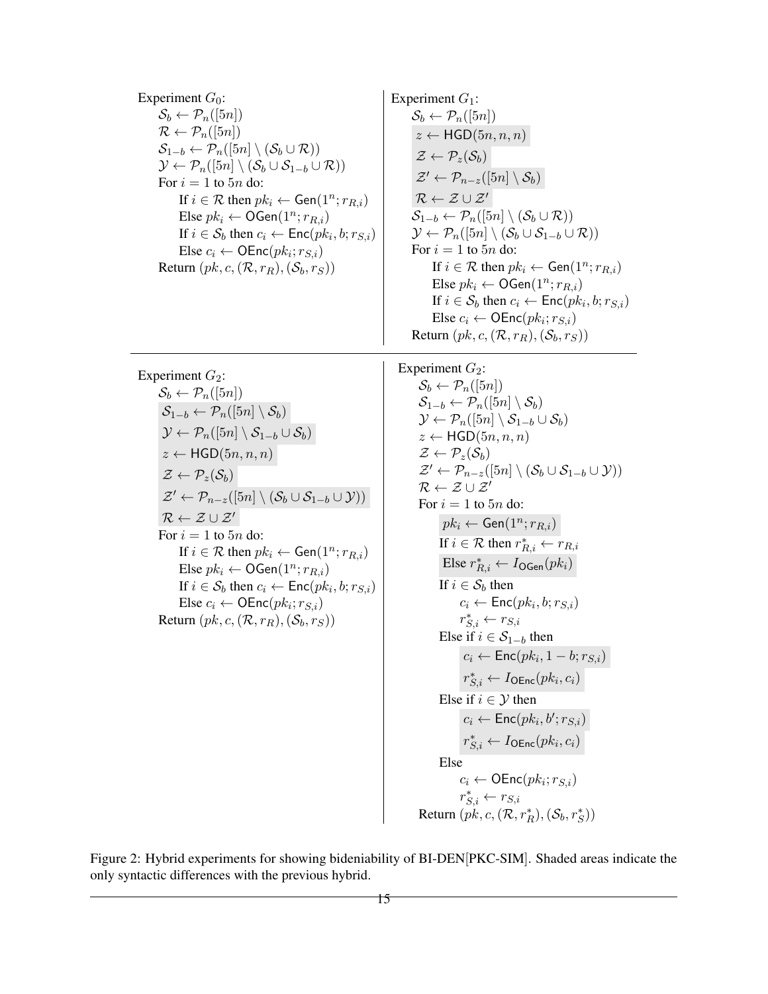| Experiment $G_0$ :<br>$S_b \leftarrow \mathcal{P}_n([5n])$<br>$\mathcal{R} \leftarrow \mathcal{P}_n([5n])$<br>$S_{1-b} \leftarrow \mathcal{P}_n([5n] \setminus (\mathcal{S}_b \cup \mathcal{R}))$<br>$\mathcal{Y} \leftarrow \mathcal{P}_n([5n] \setminus (\mathcal{S}_b \cup \mathcal{S}_{1-b} \cup \mathcal{R}))$<br>For $i = 1$ to 5 <i>n</i> do:<br>If $i \in \mathcal{R}$ then $pk_i \leftarrow$ Gen $(1^n; r_{R,i})$<br>Else $pk_i \leftarrow \mathsf{OGen}(1^n; r_{R,i})$<br>If $i \in S_b$ then $c_i \leftarrow \text{Enc}(pk_i, b; r_{S,i})$<br>Else $c_i \leftarrow \text{OEnc}(pk_i; r_{S,i})$<br>Return $(pk, c, (\mathcal{R}, r_R), (\mathcal{S}_b, r_S))$<br>Experiment $G_2$ :                                                                                                                                                | Experiment $G_1$ :<br>$S_b \leftarrow \mathcal{P}_n([5n])$<br>$z \leftarrow \text{HGD}(5n, n, n)$<br>$\mathcal{Z} \leftarrow \mathcal{P}_z(\mathcal{S}_h)$<br>$\mathcal{Z}' \leftarrow \mathcal{P}_{n-z}([5n] \setminus \mathcal{S}_b)$<br>$\mathcal{R} \leftarrow \mathcal{Z} \cup \mathcal{Z}'$<br>$S_{1-b} \leftarrow \mathcal{P}_n([5n] \setminus (\mathcal{S}_b \cup \mathcal{R}))$<br>$\mathcal{Y} \leftarrow \mathcal{P}_n([5n] \setminus (\mathcal{S}_b \cup \mathcal{S}_{1-b} \cup \mathcal{R}))$<br>For $i = 1$ to 5 <i>n</i> do:<br>If $i \in \mathcal{R}$ then $pk_i \leftarrow$ Gen $(1^n; r_{R,i})$<br>Else $pk_i \leftarrow \mathsf{OGen}(1^n; r_{R,i})$<br>If $i \in S_b$ then $c_i \leftarrow \text{Enc}(pk_i, b; r_{S,i})$<br>Else $c_i \leftarrow \text{OEnc}(pk_i; r_{S,i})$<br>Return $(pk, c, (\mathcal{R}, r_R), (\mathcal{S}_b, r_S))$<br>Experiment $G_2$ :                                                                                                                                                                                                                                                                                                                                                                 |
|----------------------------------------------------------------------------------------------------------------------------------------------------------------------------------------------------------------------------------------------------------------------------------------------------------------------------------------------------------------------------------------------------------------------------------------------------------------------------------------------------------------------------------------------------------------------------------------------------------------------------------------------------------------------------------------------------------------------------------------------------------------------------------------------------------------------------------------------|------------------------------------------------------------------------------------------------------------------------------------------------------------------------------------------------------------------------------------------------------------------------------------------------------------------------------------------------------------------------------------------------------------------------------------------------------------------------------------------------------------------------------------------------------------------------------------------------------------------------------------------------------------------------------------------------------------------------------------------------------------------------------------------------------------------------------------------------------------------------------------------------------------------------------------------------------------------------------------------------------------------------------------------------------------------------------------------------------------------------------------------------------------------------------------------------------------------------------------------------------|
| $S_b \leftarrow \mathcal{P}_n([5n])$<br>$S_{1-h} \leftarrow \mathcal{P}_n([5n] \setminus \mathcal{S}_h)$<br>$\mathcal{Y} \leftarrow \mathcal{P}_n([5n] \setminus \mathcal{S}_{1-b} \cup \mathcal{S}_b)$<br>$z \leftarrow \text{HGD}(5n, n, n)$<br>$\mathcal{Z} \leftarrow \mathcal{P}_z(\mathcal{S}_h)$<br>$\mathcal{Z}' \leftarrow \mathcal{P}_{n-z}([5n] \setminus (\mathcal{S}_b \cup \mathcal{S}_{1-b} \cup \mathcal{Y}))$<br>$\mathcal{R} \leftarrow \mathcal{Z} \cup \mathcal{Z}'$<br>For $i = 1$ to 5 <i>n</i> do:<br>If $i \in \mathcal{R}$ then $pk_i \leftarrow$ Gen $(1^n; r_{R,i})$<br>Else $pk_i \leftarrow \mathsf{OGen}(1^n; r_{R,i})$<br>If $i \in S_b$ then $c_i \leftarrow \text{Enc}(pk_i, b; r_{S,i})$<br>Else $c_i \leftarrow \text{OEnc}(pk_i; r_{S,i})$<br>Return $(pk, c, (\mathcal{R}, r_R), (\mathcal{S}_b, r_S))$ | $S_b \leftarrow \mathcal{P}_n([5n])$<br>$S_{1-b} \leftarrow \mathcal{P}_n([5n] \setminus \mathcal{S}_b)$<br>$\mathcal{Y} \leftarrow \mathcal{P}_n([5n] \setminus \mathcal{S}_{1-b} \cup \mathcal{S}_b)$<br>$z \leftarrow \text{HGD}(5n, n, n)$<br>$\mathcal{Z} \leftarrow \mathcal{P}_z(\mathcal{S}_h)$<br>$\mathcal{Z}' \leftarrow \mathcal{P}_{n-z}([5n] \setminus (\mathcal{S}_b \cup \mathcal{S}_{1-b} \cup \mathcal{Y}))$<br>$\mathcal{R} \leftarrow \mathcal{Z} \cup \mathcal{Z}'$<br>For $i = 1$ to $5n$ do:<br>$pk_i \leftarrow$ Gen $(1^n; r_{R,i})$<br>If $i \in \mathcal{R}$ then $r_{R,i}^* \leftarrow r_{R,i}$<br>Else $r_{R,i}^* \leftarrow I_{\text{OGen}}(pk_i)$<br>If $i \in S_b$ then<br>$c_i \leftarrow \mathsf{Enc}(pk_i, b; r_{S,i})$<br>$r_{S,i}^* \leftarrow r_{S,i}$<br>Else if $i \in S_{1-b}$ then<br>$c_i \leftarrow \mathsf{Enc}(pk_i, 1 - b; r_{S,i})$<br>$r_{S,i}^* \leftarrow I_{\mathsf{OEnc}}(pk_i, c_i)$<br>Else if $i \in \mathcal{Y}$ then<br>$c_i \leftarrow \mathsf{Enc}(pk_i, b'; r_{S,i})$<br>$r_{S,i}^* \leftarrow I_{\text{OEnc}}(pk_i, c_i)$<br>Else<br>$c_i \leftarrow \mathsf{OEnc}(pk_i; r_{S,i})$<br>$r_{S,i}^* \leftarrow r_{S,i}$<br>Return $(pk, c, (\mathcal{R}, r_B^*), (\mathcal{S}_b, r_S^*))$ |

<span id="page-14-0"></span>Figure 2: Hybrid experiments for showing bideniability of BI-DEN[PKC-SIM]. Shaded areas indicate the only syntactic differences with the previous hybrid.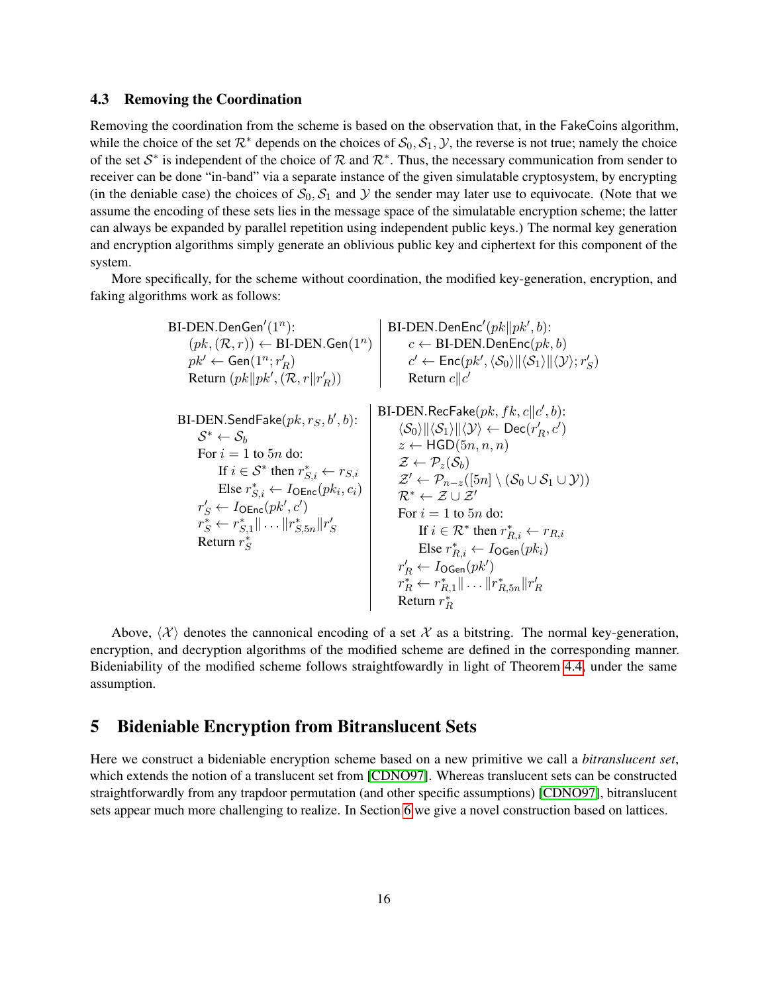### 4.3 Removing the Coordination

Removing the coordination from the scheme is based on the observation that, in the FakeCoins algorithm, while the choice of the set  $\mathcal{R}^*$  depends on the choices of  $\mathcal{S}_0$ ,  $\mathcal{S}_1$ ,  $\mathcal{Y}$ , the reverse is not true; namely the choice of the set  $S^*$  is independent of the choice of  $R$  and  $R^*$ . Thus, the necessary communication from sender to receiver can be done "in-band" via a separate instance of the given simulatable cryptosystem, by encrypting (in the deniable case) the choices of  $S_0$ ,  $S_1$  and Y the sender may later use to equivocate. (Note that we assume the encoding of these sets lies in the message space of the simulatable encryption scheme; the latter can always be expanded by parallel repetition using independent public keys.) The normal key generation and encryption algorithms simply generate an oblivious public key and ciphertext for this component of the system.

More specifically, for the scheme without coordination, the modified key-generation, encryption, and faking algorithms work as follows:

| $BI\text{-}DEN\text{.DenGen}'(1^n)$ :                                                                                                                                                                                                                                                                                                                        | BI-DEN.DenEnc'( $pk  pk', b$ ):                                                                                                                                                                                                                                                                                                                                                                                                                                                                                                                                                                                                                         |
|--------------------------------------------------------------------------------------------------------------------------------------------------------------------------------------------------------------------------------------------------------------------------------------------------------------------------------------------------------------|---------------------------------------------------------------------------------------------------------------------------------------------------------------------------------------------------------------------------------------------------------------------------------------------------------------------------------------------------------------------------------------------------------------------------------------------------------------------------------------------------------------------------------------------------------------------------------------------------------------------------------------------------------|
| $(pk, (\mathcal{R}, r)) \leftarrow \text{BI-DEN.Gen}(1^n)$                                                                                                                                                                                                                                                                                                   | $c \leftarrow$ BI-DEN.DenEnc $(pk, b)$                                                                                                                                                                                                                                                                                                                                                                                                                                                                                                                                                                                                                  |
| $pk' \leftarrow$ Gen $(1^n; r'_R)$                                                                                                                                                                                                                                                                                                                           | $c' \leftarrow \mathsf{Enc}(pk', \langle \mathcal{S}_0 \rangle    \langle \mathcal{S}_1 \rangle    \langle \mathcal{Y} \rangle; r'_{\mathcal{S}})$                                                                                                                                                                                                                                                                                                                                                                                                                                                                                                      |
| Return $(pk  pk', (\mathcal{R}, r  r'_B))$                                                                                                                                                                                                                                                                                                                   | Return $c  c'$                                                                                                                                                                                                                                                                                                                                                                                                                                                                                                                                                                                                                                          |
| BI-DEN.SendFake $(pk, rs, b', b)$ :<br>$\mathcal{S}^* \leftarrow \mathcal{S}_h$<br>For $i = 1$ to $5n$ do:<br>If $i \in S^*$ then $r_{S,i}^* \leftarrow r_{S,i}$<br>Else $r_{S,i}^* \leftarrow I_{\text{OEnc}}(pk_i, c_i)$<br>$r'_{\rm S} \leftarrow I_{\rm OEnc}(pk', c')$<br>$r_S^* \leftarrow r_{S,1}^*    \dots    r_{S,5n}^*    r_S'$<br>Return $r_S^*$ | <b>BI-DEN.RecFake</b> $(pk, fk, c  c', b)$ :<br>$\langle \mathcal{S}_0 \rangle$ $\langle \mathcal{S}_1 \rangle$ $\langle \mathcal{Y} \rangle$ $\leftarrow$ Dec( $r'_R, c'$ )<br>$z \leftarrow \text{HGD}(5n, n, n)$<br>$\mathcal{Z} \leftarrow \mathcal{P}_z(\mathcal{S}_h)$<br>$\mathcal{Z}' \leftarrow \mathcal{P}_{n-z}([5n] \setminus (\mathcal{S}_0 \cup \mathcal{S}_1 \cup \mathcal{Y}))$<br>$\mathcal{R}^* \leftarrow \mathcal{Z} \cup \mathcal{Z}'$<br>For $i = 1$ to $5n$ do:<br>If $i \in \mathcal{R}^*$ then $r_{R,i}^* \leftarrow r_{R,i}$<br>Else $r_{R,i}^* \leftarrow I_{\text{OGen}}(pk_i)$<br>$r'_B \leftarrow I_{\mathsf{OGen}}(pk')$ |
|                                                                                                                                                                                                                                                                                                                                                              |                                                                                                                                                                                                                                                                                                                                                                                                                                                                                                                                                                                                                                                         |
|                                                                                                                                                                                                                                                                                                                                                              | $r_R^* \leftarrow r_{R,1}^*    \ldots    r_{R,5n}^*    r_R'$                                                                                                                                                                                                                                                                                                                                                                                                                                                                                                                                                                                            |
|                                                                                                                                                                                                                                                                                                                                                              | Return $r_R^*$                                                                                                                                                                                                                                                                                                                                                                                                                                                                                                                                                                                                                                          |

Above,  $\langle X \rangle$  denotes the cannonical encoding of a set X as a bitstring. The normal key-generation, encryption, and decryption algorithms of the modified scheme are defined in the corresponding manner. Bideniability of the modified scheme follows straightfowardly in light of Theorem [4.4,](#page-12-0) under the same assumption.

## <span id="page-15-0"></span>5 Bideniable Encryption from Bitranslucent Sets

Here we construct a bideniable encryption scheme based on a new primitive we call a *bitranslucent set*, which extends the notion of a translucent set from [\[CDNO97\]](#page-33-0). Whereas translucent sets can be constructed straightforwardly from any trapdoor permutation (and other specific assumptions) [\[CDNO97\]](#page-33-0), bitranslucent sets appear much more challenging to realize. In Section [6](#page-18-0) we give a novel construction based on lattices.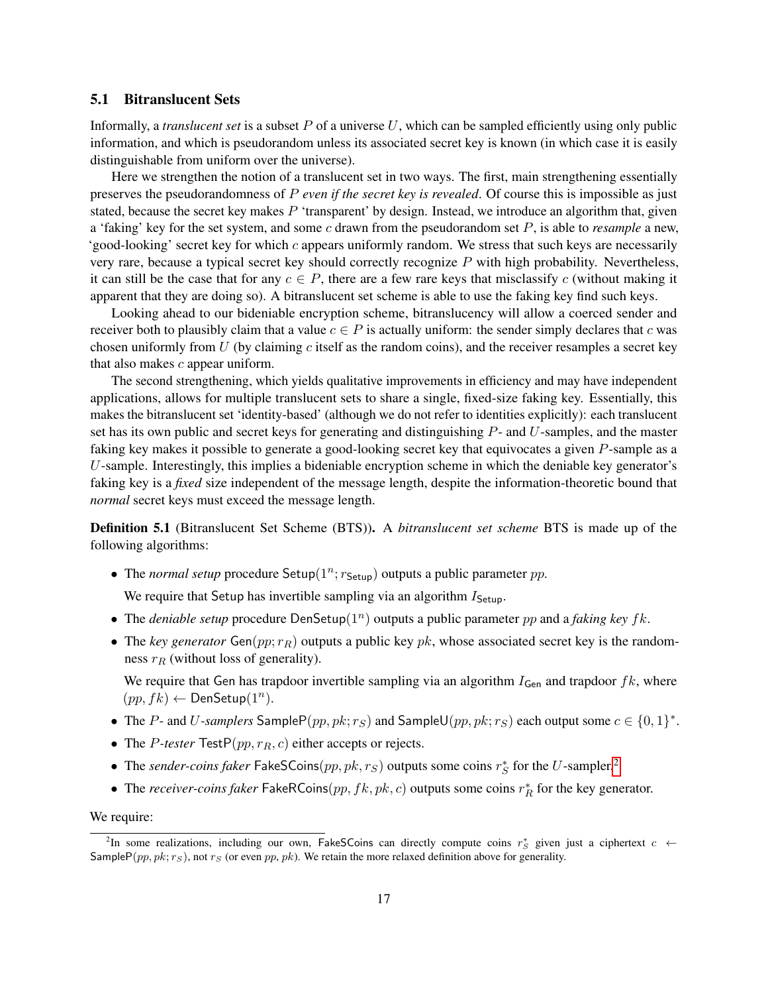### 5.1 Bitranslucent Sets

Informally, a *translucent set* is a subset P of a universe U, which can be sampled efficiently using only public information, and which is pseudorandom unless its associated secret key is known (in which case it is easily distinguishable from uniform over the universe).

Here we strengthen the notion of a translucent set in two ways. The first, main strengthening essentially preserves the pseudorandomness of P *even if the secret key is revealed*. Of course this is impossible as just stated, because the secret key makes  $P'$  transparent' by design. Instead, we introduce an algorithm that, given a 'faking' key for the set system, and some c drawn from the pseudorandom set P, is able to *resample* a new, 'good-looking' secret key for which c appears uniformly random. We stress that such keys are necessarily very rare, because a typical secret key should correctly recognize P with high probability. Nevertheless, it can still be the case that for any  $c \in P$ , there are a few rare keys that misclassify c (without making it apparent that they are doing so). A bitranslucent set scheme is able to use the faking key find such keys.

Looking ahead to our bideniable encryption scheme, bitranslucency will allow a coerced sender and receiver both to plausibly claim that a value  $c \in P$  is actually uniform: the sender simply declares that c was chosen uniformly from U (by claiming c itself as the random coins), and the receiver resamples a secret key that also makes  $c$  appear uniform.

The second strengthening, which yields qualitative improvements in efficiency and may have independent applications, allows for multiple translucent sets to share a single, fixed-size faking key. Essentially, this makes the bitranslucent set 'identity-based' (although we do not refer to identities explicitly): each translucent set has its own public and secret keys for generating and distinguishing P- and U-samples, and the master faking key makes it possible to generate a good-looking secret key that equivocates a given P-sample as a U-sample. Interestingly, this implies a bideniable encryption scheme in which the deniable key generator's faking key is a *fixed* size independent of the message length, despite the information-theoretic bound that *normal* secret keys must exceed the message length.

<span id="page-16-1"></span>Definition 5.1 (Bitranslucent Set Scheme (BTS)). A *bitranslucent set scheme* BTS is made up of the following algorithms:

• The *normal setup* procedure Setup( $1^n$ ;  $r_{\text{Setup}}$ ) outputs a public parameter  $pp$ .

We require that Setup has invertible sampling via an algorithm  $I_{\text{Setup}}$ .

- The *deniable setup* procedure  $DenSetup(1^n)$  outputs a public parameter  $pp$  and a *faking key fk*.
- The *key generator* Gen( $pp; r_R$ ) outputs a public key  $pk$ , whose associated secret key is the randomness  $r_R$  (without loss of generality).

We require that Gen has trapdoor invertible sampling via an algorithm  $I_{Gen}$  and trapdoor  $fk$ , where  $(pp, fk) \leftarrow \text{DenSetup}(1^n)$ .

- The P- and U-samplers SampleP $(pp, pk; rs)$  and SampleU $(pp, pk; rs)$  each output some  $c \in \{0, 1\}^*$ .
- The *P-tester* Test  $P(pp, r_R, c)$  either accepts or rejects.
- The *sender-coins faker* FakeSCoins $(pp, pk, r_S)$  outputs some coins  $r_S^*$  for the U-sampler.<sup>[2](#page-16-0)</sup>
- The *receiver-coins faker* FakeRCoins $(pp, fk, pk, c)$  outputs some coins  $r_R^*$  for the key generator.

We require:

<span id="page-16-0"></span><sup>&</sup>lt;sup>2</sup>In some realizations, including our own, FakeSCoins can directly compute coins  $r_S^*$  given just a ciphertext  $c \leftarrow$ SampleP(pp,  $pk; rs$ ), not  $rs$  (or even pp,  $pk$ ). We retain the more relaxed definition above for generality.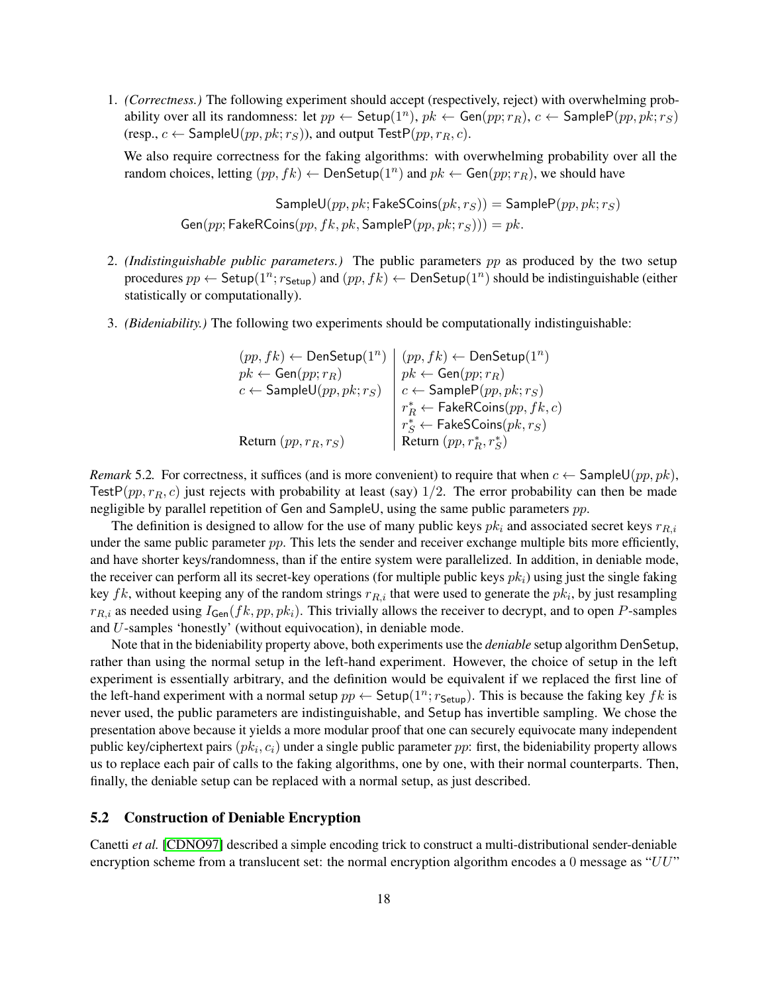<span id="page-17-0"></span>1. *(Correctness.)* The following experiment should accept (respectively, reject) with overwhelming probability over all its randomness: let  $pp \leftarrow$  Setup $(1^n)$ ,  $pk \leftarrow$  Gen $(pp; r_R)$ ,  $c \leftarrow$  Sample $P(pp, pk; r_S)$ (resp.,  $c \leftarrow$  SampleU $(pp, pk; r_S)$ ), and output TestP $(pp, r_R, c)$ .

We also require correctness for the faking algorithms: with overwhelming probability over all the random choices, letting  $(pp, fk) \leftarrow$  DenSetup $(1^n)$  and  $pk \leftarrow$  Gen $(pp; r_R)$ , we should have

> $SampleU(pp, pk; FalseSCoins(pk, rs)) = SampleP(pp, pk; rs)$  $Gen(pp; FakeRCoins(pp, fk, pk, SampleP(pp, pk; rs))) = pk.$

- <span id="page-17-1"></span>2. *(Indistinguishable public parameters.)* The public parameters pp as produced by the two setup procedures  $pp \leftarrow$  Setup $(1^n; r_{\text{Setup}})$  and  $(pp, fk) \leftarrow$  DenSetup $(1^n)$  should be indistinguishable (either statistically or computationally).
- <span id="page-17-2"></span>3. *(Bideniability.)* The following two experiments should be computationally indistinguishable:

$$
(pp, fk) \leftarrow \text{DenSetup}(1^n) \quad | \quad (pp, fk) \leftarrow \text{DenSetup}(1^n) \\ \textit{pk} \leftarrow \text{Gen}(pp; r_R) \\ \textit{c} \leftarrow \text{SampleU}(pp, pk; r_S) \quad | \quad \textit{ck} \leftarrow \text{SampleP}(pp, pk; r_S) \\ \textit{r}_R^* \leftarrow \text{FakeRCons}(pp, fk, c) \\ \textit{r}_S^* \leftarrow \text{FakeRCons}(pk, r_S) \\ \textit{Return } (pp, r_R, r_S) \quad | \quad \text{Return } (pp, r_R^*, r_S^*)
$$

<span id="page-17-3"></span>*Remark* 5.2. For correctness, it suffices (and is more convenient) to require that when  $c \leftarrow$  SampleU(pp, pk), TestP(pp,  $r<sub>B</sub>$ , c) just rejects with probability at least (say) 1/2. The error probability can then be made negligible by parallel repetition of Gen and SampleU, using the same public parameters pp.

The definition is designed to allow for the use of many public keys  $pk_i$  and associated secret keys  $r_{R,i}$ under the same public parameter  $pp$ . This lets the sender and receiver exchange multiple bits more efficiently, and have shorter keys/randomness, than if the entire system were parallelized. In addition, in deniable mode, the receiver can perform all its secret-key operations (for multiple public keys  $pk<sub>i</sub>$ ) using just the single faking key  $fk$ , without keeping any of the random strings  $r_{R,i}$  that were used to generate the  $pk_i$ , by just resampling  $r_{R,i}$  as needed using  $I_{Gen}(fk, pp, pk_i)$ . This trivially allows the receiver to decrypt, and to open P-samples and U-samples 'honestly' (without equivocation), in deniable mode.

Note that in the bideniability property above, both experiments use the *deniable* setup algorithm DenSetup, rather than using the normal setup in the left-hand experiment. However, the choice of setup in the left experiment is essentially arbitrary, and the definition would be equivalent if we replaced the first line of the left-hand experiment with a normal setup  $pp \leftarrow$  Setup $(1^n; r_{\text{Setup}})$ . This is because the faking key  $fk$  is never used, the public parameters are indistinguishable, and Setup has invertible sampling. We chose the presentation above because it yields a more modular proof that one can securely equivocate many independent public key/ciphertext pairs  $(pk_i, c_i)$  under a single public parameter  $pp$ : first, the bideniability property allows us to replace each pair of calls to the faking algorithms, one by one, with their normal counterparts. Then, finally, the deniable setup can be replaced with a normal setup, as just described.

## 5.2 Construction of Deniable Encryption

Canetti *et al.* [\[CDNO97\]](#page-33-0) described a simple encoding trick to construct a multi-distributional sender-deniable encryption scheme from a translucent set: the normal encryption algorithm encodes a 0 message as "UU"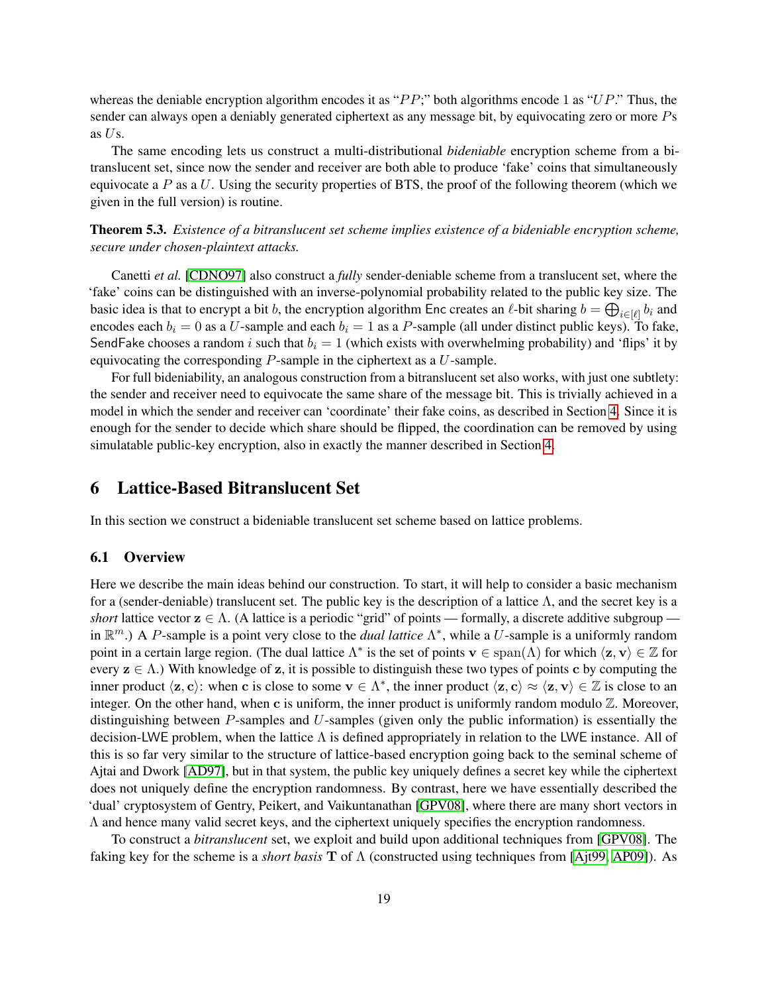whereas the deniable encryption algorithm encodes it as " $PP$ ;" both algorithms encode 1 as " $UP$ ." Thus, the sender can always open a deniably generated ciphertext as any message bit, by equivocating zero or more Ps as  $U$ s.

The same encoding lets us construct a multi-distributional *bideniable* encryption scheme from a bitranslucent set, since now the sender and receiver are both able to produce 'fake' coins that simultaneously equivocate a  $P$  as a  $U$ . Using the security properties of BTS, the proof of the following theorem (which we given in the full version) is routine.

Theorem 5.3. *Existence of a bitranslucent set scheme implies existence of a bideniable encryption scheme, secure under chosen-plaintext attacks.*

Canetti *et al.* [\[CDNO97\]](#page-33-0) also construct a *fully* sender-deniable scheme from a translucent set, where the 'fake' coins can be distinguished with an inverse-polynomial probability related to the public key size. The basic idea is that to encrypt a bit b, the encryption algorithm Enc creates an  $\ell$ -bit sharing  $b = \bigoplus_{i \in [\ell]} b_i$  and encodes each  $b_i = 0$  as a U-sample and each  $b_i = 1$  as a P-sample (all under distinct public keys). To fake, SendFake chooses a random i such that  $b_i = 1$  (which exists with overwhelming probability) and 'flips' it by equivocating the corresponding  $P$ -sample in the ciphertext as a  $U$ -sample.

For full bideniability, an analogous construction from a bitranslucent set also works, with just one subtlety: the sender and receiver need to equivocate the same share of the message bit. This is trivially achieved in a model in which the sender and receiver can 'coordinate' their fake coins, as described in Section [4.](#page-8-0) Since it is enough for the sender to decide which share should be flipped, the coordination can be removed by using simulatable public-key encryption, also in exactly the manner described in Section [4.](#page-8-0)

## <span id="page-18-0"></span>6 Lattice-Based Bitranslucent Set

In this section we construct a bideniable translucent set scheme based on lattice problems.

### 6.1 Overview

Here we describe the main ideas behind our construction. To start, it will help to consider a basic mechanism for a (sender-deniable) translucent set. The public key is the description of a lattice  $\Lambda$ , and the secret key is a *short* lattice vector  $z \in \Lambda$ . (A lattice is a periodic "grid" of points — formally, a discrete additive subgroup in  $\mathbb{R}^m$ .) A P-sample is a point very close to the *dual lattice*  $\Lambda^*$ , while a U-sample is a uniformly random point in a certain large region. (The dual lattice  $\Lambda^*$  is the set of points  $\mathbf{v} \in \text{span}(\Lambda)$  for which  $\langle \mathbf{z}, \mathbf{v} \rangle \in \mathbb{Z}$  for every  $z \in \Lambda$ .) With knowledge of z, it is possible to distinguish these two types of points c by computing the inner product  $\langle z, c \rangle$ : when c is close to some  $v \in \Lambda^*$ , the inner product  $\langle z, c \rangle \approx \langle z, v \rangle \in \mathbb{Z}$  is close to an integer. On the other hand, when c is uniform, the inner product is uniformly random modulo  $\mathbb{Z}$ . Moreover, distinguishing between P-samples and U-samples (given only the public information) is essentially the decision-LWE problem, when the lattice  $\Lambda$  is defined appropriately in relation to the LWE instance. All of this is so far very similar to the structure of lattice-based encryption going back to the seminal scheme of Ajtai and Dwork [\[AD97\]](#page-32-1), but in that system, the public key uniquely defines a secret key while the ciphertext does not uniquely define the encryption randomness. By contrast, here we have essentially described the 'dual' cryptosystem of Gentry, Peikert, and Vaikuntanathan [\[GPV08\]](#page-34-6), where there are many short vectors in  $\Lambda$  and hence many valid secret keys, and the ciphertext uniquely specifies the encryption randomness.

To construct a *bitranslucent* set, we exploit and build upon additional techniques from [\[GPV08\]](#page-34-6). The faking key for the scheme is a *short basis* T of Λ (constructed using techniques from [\[Ajt99,](#page-33-11) [AP09\]](#page-33-12)). As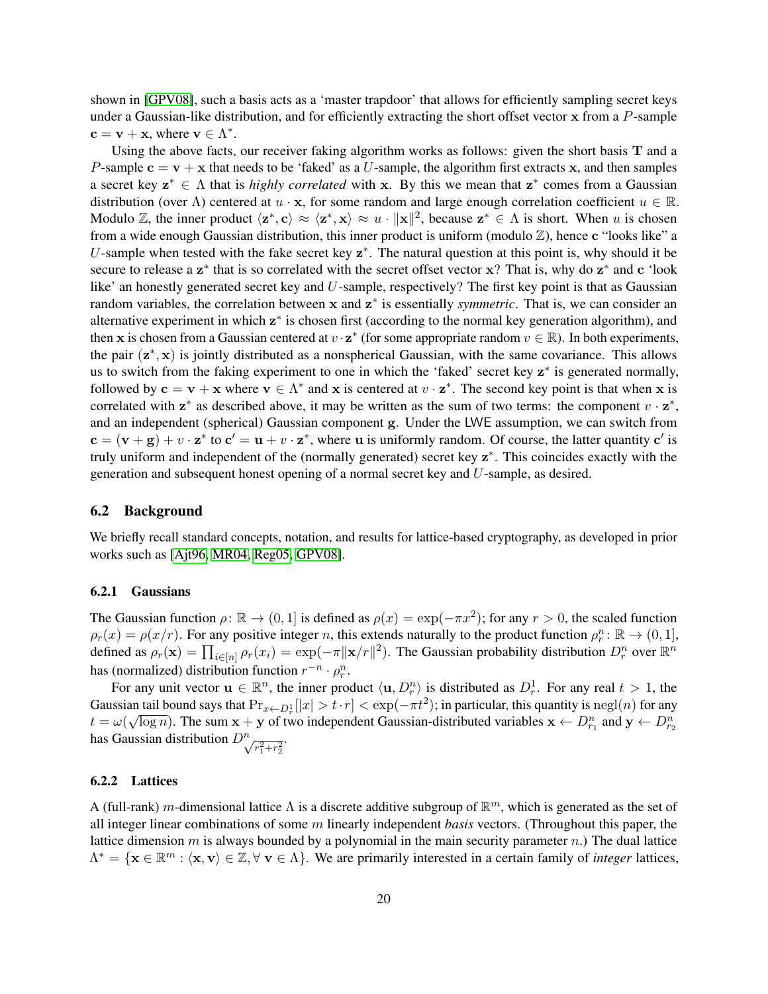shown in [\[GPV08\]](#page-34-6), such a basis acts as a 'master trapdoor' that allows for efficiently sampling secret keys under a Gaussian-like distribution, and for efficiently extracting the short offset vector x from a P-sample  $\mathbf{c} = \mathbf{v} + \mathbf{x}$ , where  $\mathbf{v} \in \Lambda^*$ .

Using the above facts, our receiver faking algorithm works as follows: given the short basis T and a P-sample  $c = v + x$  that needs to be 'faked' as a U-sample, the algorithm first extracts x, and then samples a secret key  $z^* \in \Lambda$  that is *highly correlated* with x. By this we mean that  $z^*$  comes from a Gaussian distribution (over  $\Lambda$ ) centered at  $u \cdot \mathbf{x}$ , for some random and large enough correlation coefficient  $u \in \mathbb{R}$ . Modulo Z, the inner product  $\langle \mathbf{z}^*, \mathbf{c} \rangle \approx \langle \mathbf{z}^*, \mathbf{x} \rangle \approx u \cdot ||\mathbf{x}||^2$ , because  $\mathbf{z}^* \in \Lambda$  is short. When u is chosen from a wide enough Gaussian distribution, this inner product is uniform (modulo  $\mathbb{Z}$ ), hence c "looks like" a U-sample when tested with the fake secret key  $z^*$ . The natural question at this point is, why should it be secure to release a  $z^*$  that is so correlated with the secret offset vector  $x$ ? That is, why do  $z^*$  and c 'look like' an honestly generated secret key and U-sample, respectively? The first key point is that as Gaussian random variables, the correlation between x and z<sup>\*</sup> is essentially *symmetric*. That is, we can consider an alternative experiment in which  $z^*$  is chosen first (according to the normal key generation algorithm), and then x is chosen from a Gaussian centered at  $v \cdot z^*$  (for some appropriate random  $v \in \mathbb{R}$ ). In both experiments, the pair  $(z^*, x)$  is jointly distributed as a nonspherical Gaussian, with the same covariance. This allows us to switch from the faking experiment to one in which the 'faked' secret key  $z^*$  is generated normally, followed by  $c = v + x$  where  $v \in \Lambda^*$  and x is centered at  $v \cdot z^*$ . The second key point is that when x is correlated with  $z^*$  as described above, it may be written as the sum of two terms: the component  $v \cdot z^*$ , and an independent (spherical) Gaussian component g. Under the LWE assumption, we can switch from  $\mathbf{c} = (\mathbf{v} + \mathbf{g}) + v \cdot \mathbf{z}^*$  to  $\mathbf{c}' = \mathbf{u} + v \cdot \mathbf{z}^*$ , where u is uniformly random. Of course, the latter quantity  $\mathbf{c}'$  is truly uniform and independent of the (normally generated) secret key  $z^*$ . This coincides exactly with the generation and subsequent honest opening of a normal secret key and U-sample, as desired.

#### 6.2 Background

We briefly recall standard concepts, notation, and results for lattice-based cryptography, as developed in prior works such as [\[Ajt96,](#page-33-13) [MR04,](#page-34-10) [Reg05,](#page-34-5) [GPV08\]](#page-34-6).

#### 6.2.1 Gaussians

The Gaussian function  $\rho: \mathbb{R} \to (0, 1]$  is defined as  $\rho(x) = \exp(-\pi x^2)$ ; for any  $r > 0$ , the scaled function  $\rho_r(x) = \rho(x/r)$ . For any positive integer *n*, this extends naturally to the product function  $\rho_r^n : \mathbb{R} \to (0, 1]$ , defined as  $\rho_r(\mathbf{x}) = \prod_{i \in [n]} \rho_r(x_i) = \exp(-\pi ||\mathbf{x}/r||^2)$ . The Gaussian probability distribution  $D_r^n$  over  $\mathbb{R}^n$ has (normalized) distribution function  $r^{-n} \cdot \rho_r^n$ .

For any unit vector  $\mathbf{u} \in \mathbb{R}^n$ , the inner product  $\langle \mathbf{u}, D_r^n \rangle$  is distributed as  $D_r^1$ . For any real  $t > 1$ , the Gaussian tail bound says that  $Pr_{x \leftarrow D_r^1}[|x| > t \cdot r] < \exp(-\pi t^2)$ ; in particular, this quantity is negl(n) for any  $t = \omega(\sqrt{\log n})$ . The sum  $x + y$  of two independent Gaussian-distributed variables  $x \leftarrow D_{r_1}^n$  and  $y \leftarrow D_{r_2}^n$ has Gaussian distribution  $D_{\sqrt{r_1^2+r_2^2}}^n$ .

#### 6.2.2 Lattices

A (full-rank) m-dimensional lattice  $\Lambda$  is a discrete additive subgroup of  $\mathbb{R}^m$ , which is generated as the set of all integer linear combinations of some m linearly independent *basis* vectors. (Throughout this paper, the lattice dimension m is always bounded by a polynomial in the main security parameter n.) The dual lattice  $\Lambda^* = \{ \mathbf{x} \in \mathbb{R}^m : \langle \mathbf{x}, \mathbf{v} \rangle \in \mathbb{Z}, \forall \mathbf{v} \in \Lambda \}.$  We are primarily interested in a certain family of *integer* lattices,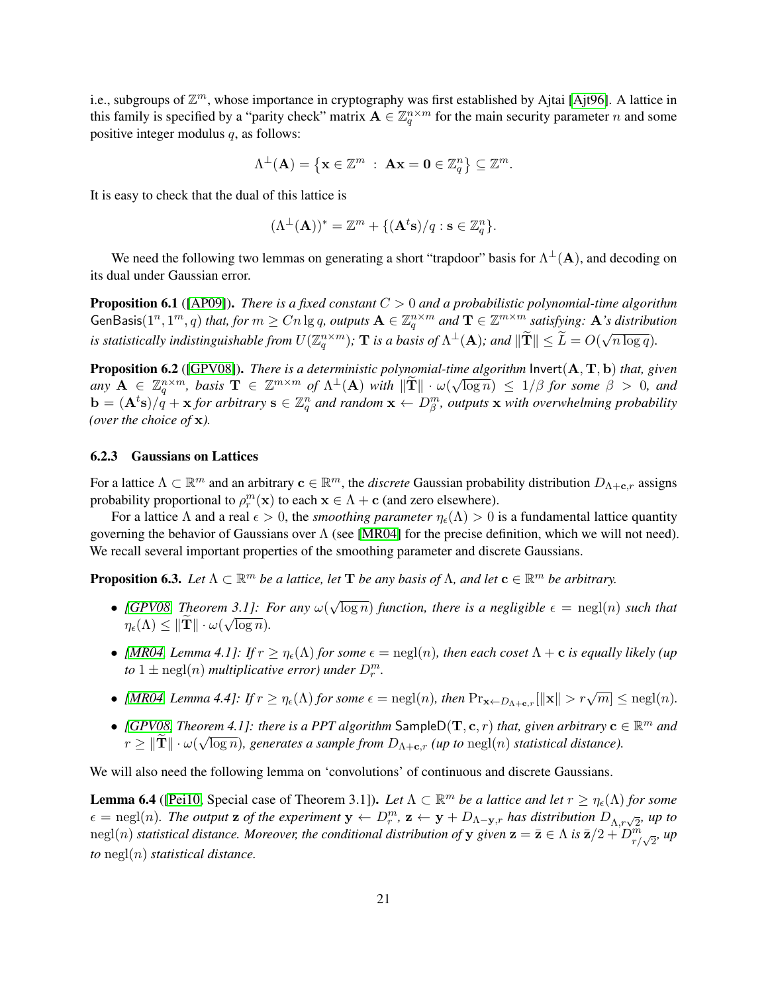i.e., subgroups of  $\mathbb{Z}^m$ , whose importance in cryptography was first established by Ajtai [\[Ajt96\]](#page-33-13). A lattice in this family is specified by a "parity check" matrix  $A \in \mathbb{Z}_q^{n \times m}$  for the main security parameter n and some positive integer modulus  $q$ , as follows:

$$
\Lambda^{\perp}(\mathbf{A}) = \left\{ \mathbf{x} \in \mathbb{Z}^m \; : \; \mathbf{A}\mathbf{x} = \mathbf{0} \in \mathbb{Z}_q^n \right\} \subseteq \mathbb{Z}^m.
$$

It is easy to check that the dual of this lattice is

$$
(\Lambda^{\perp}(\mathbf{A}))^* = \mathbb{Z}^m + \{ (\mathbf{A}^t \mathbf{s})/q : \mathbf{s} \in \mathbb{Z}_q^n \}.
$$

We need the following two lemmas on generating a short "trapdoor" basis for  $\Lambda^{\perp}(A)$ , and decoding on its dual under Gaussian error.

<span id="page-20-0"></span>Proposition 6.1 ([\[AP09\]](#page-33-12)). *There is a fixed constant* C > 0 *and a probabilistic polynomial-time algorithm*  $\mathsf{GenBasis}(1^n,1^m,q)$  that, for  $m \geq Cn \lg q$ , outputs  $\mathbf{A} \in \mathbb{Z}_q^{n \times m}$  and  $\mathbf{T} \in \mathbb{Z}^{m \times m}$  satisfying:  $\mathbf{A}$ 's distribution *is statistically indistinguishable from*  $U(\mathbb{Z}_q^{n \times m})$ ; **T** *is a basis of*  $\Lambda^{\perp}(\mathbf{A})$ ; and  $\|\widetilde{\mathbf{T}}\| \leq \widetilde{L} = O(\sqrt{\frac{1}{n}})$  $\overline{n \log q}$ ).

Proposition 6.2 ([\[GPV08\]](#page-34-6)). *There is a deterministic polynomial-time algorithm* Invert(A, T, b) *that, given any*  $A \in \mathbb{Z}_q^{n \times m}$ , basis  $\mathbf{T} \in \mathbb{Z}^{m \times m}$  of  $\Lambda^{\perp}(A)$  with  $\|\widetilde{\mathbf{T}}\| \cdot \omega(\sqrt{d})$  $\overline{\log n}$ )  $\leq$  1/ $\beta$  for some  $\beta > 0$ , and  $\mathbf{b} = (\mathbf{A}^t \mathbf{s})/q + \mathbf{x}$  for arbitrary  $\mathbf{s} \in \mathbb{Z}_q^n$  and random  $\mathbf{x} \leftarrow D_\beta^m$ , outputs  $\mathbf{x}$  with overwhelming probability *(over the choice of* x*).*

#### 6.2.3 Gaussians on Lattices

For a lattice  $\Lambda \subset \mathbb{R}^m$  and an arbitrary  $\mathbf{c} \in \mathbb{R}^m$ , the *discrete* Gaussian probability distribution  $D_{\Lambda+\mathbf{c},r}$  assigns probability proportional to  $\rho_r^m(\mathbf{x})$  to each  $\mathbf{x} \in \Lambda + \mathbf{c}$  (and zero elsewhere).

For a lattice  $\Lambda$  and a real  $\epsilon > 0$ , the *smoothing parameter*  $\eta_{\epsilon}(\Lambda) > 0$  is a fundamental lattice quantity governing the behavior of Gaussians over Λ (see [\[MR04\]](#page-34-10) for the precise definition, which we will not need). We recall several important properties of the smoothing parameter and discrete Gaussians.

<span id="page-20-1"></span>**Proposition 6.3.** Let  $\Lambda \subset \mathbb{R}^m$  be a lattice, let **T** be any basis of  $\Lambda$ , and let  $\mathbf{c} \in \mathbb{R}^m$  be arbitrary.

- *[\[GPV08,](#page-34-6) Theorem 3.1]: For any* ω( √  $\lim_{n \to \infty} \frac{\partial f}{\partial x}$  *function, there is a negligible*  $\epsilon = \text{negl}(n)$  *such that*  $\eta_{\epsilon}(\Lambda) \leq ||\mathbf{T}|| \cdot \omega(\sqrt{\log n}).$
- *[\[MR04,](#page-34-10) Lemma 4.1]: If*  $r \geq \eta_{\epsilon}(\Lambda)$  *for some*  $\epsilon = \text{negl}(n)$ *, then each coset*  $\Lambda + c$  *is equally likely (up to*  $1 \pm \text{negl}(n)$  *multiplicative error) under*  $D_r^m$ .
- *[\[MR04,](#page-34-10) Lemma 4.4]: If*  $r \geq \eta_{\epsilon}(\Lambda)$  *for some*  $\epsilon = \text{negl}(n)$ *, then*  $\Pr_{\mathbf{x} \leftarrow D_{\Lambda + \mathbf{c},r}} [\|\mathbf{x}\| > r\sqrt{m}] \leq \text{negl}(n)$ *.*
- *[\[GPV08,](#page-34-6) Theorem 4.1]: there is a PPT algorithm* SampleD( $\mathbf{T}, \mathbf{c}, r$ ) *that, given arbitrary*  $\mathbf{c} \in \mathbb{R}^m$  *and*  $r \geq ||\mathbf{T}|| \cdot \omega(\sqrt{\log n})$ , generates a sample from  $D_{\Lambda+\mathbf{c},r}$  *(up to* negl(n) statistical distance).

We will also need the following lemma on 'convolutions' of continuous and discrete Gaussians.

<span id="page-20-2"></span>**Lemma 6.4** ([\[Pei10,](#page-34-11) Special case of Theorem 3.1]). Let  $\Lambda \subset \mathbb{R}^m$  be a lattice and let  $r \ge \eta_\epsilon(\Lambda)$  for some  $\epsilon = \text{negl}(n)$ *. The output* **z** *of the experiment*  $y \leftarrow D_r^m$ ,  $z \leftarrow y + D_{\Lambda - y,r}$  *has distribution*  $D_{\Lambda,r\sqrt{2}}$ *, up to*  $degl(n)$  *statistical distance. Moreover, the conditional distribution of* y *given*  $\mathbf{z} = \bar{\mathbf{z}} \in \Lambda$  *is*  $\bar{\mathbf{z}}/2 + D_{r/\sqrt{2}}^m$ , *up to* negl(n) *statistical distance.*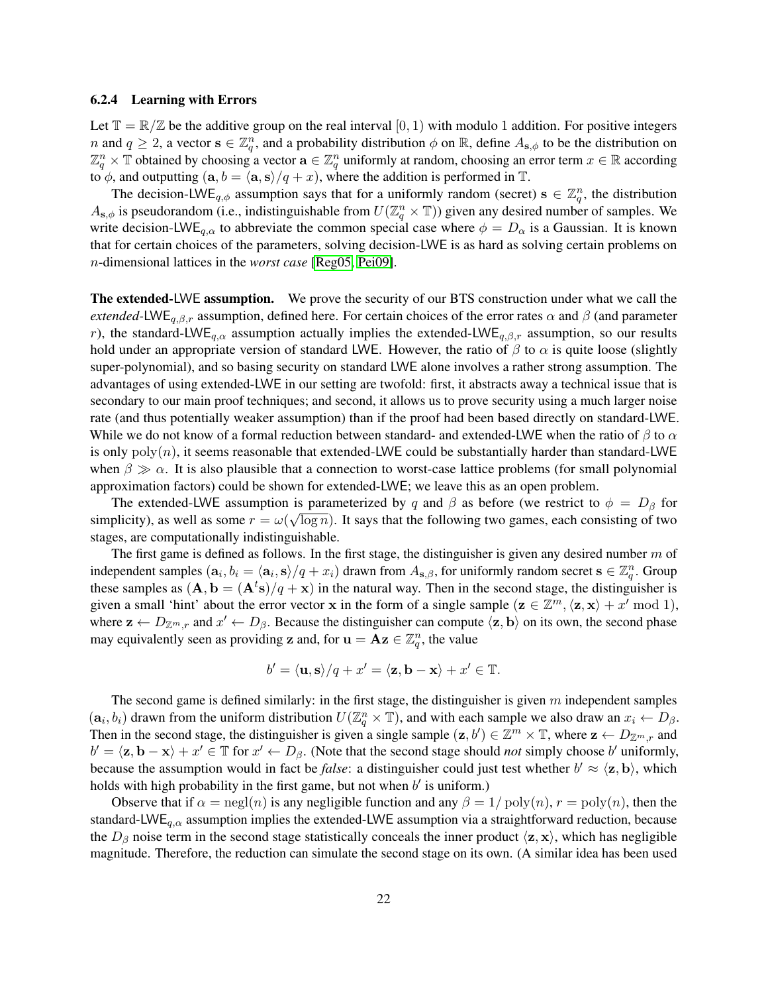#### 6.2.4 Learning with Errors

Let  $\mathbb{T} = \mathbb{R}/\mathbb{Z}$  be the additive group on the real interval [0, 1) with modulo 1 addition. For positive integers n and  $q \ge 2$ , a vector  $s \in \mathbb{Z}_q^n$ , and a probability distribution  $\phi$  on  $\mathbb{R}$ , define  $A_{s,\phi}$  to be the distribution on  $\mathbb{Z}_q^n\times\mathbb{T}$  obtained by choosing a vector  $\mathbf{a}\in\mathbb{Z}_q^n$  uniformly at random, choosing an error term  $x\in\mathbb{R}$  according to  $\phi$ , and outputting  $(\mathbf{a}, b = \langle \mathbf{a}, \mathbf{s} \rangle /q + x)$ , where the addition is performed in T.

The decision-LWE<sub>q, $\phi$ </sub> assumption says that for a uniformly random (secret)  $s \in \mathbb{Z}_q^n$ , the distribution  $A_{s,\phi}$  is pseudorandom (i.e., indistinguishable from  $U(\mathbb{Z}_q^n\times \mathbb{T})$ ) given any desired number of samples. We write decision-LWE<sub>q, $\alpha$ </sub> to abbreviate the common special case where  $\phi = D_{\alpha}$  is a Gaussian. It is known that for certain choices of the parameters, solving decision-LWE is as hard as solving certain problems on n-dimensional lattices in the *worst case* [\[Reg05,](#page-34-5) [Pei09\]](#page-34-12).

The extended-LWE assumption. We prove the security of our BTS construction under what we call the *extended*-LWE<sub>q,β,r</sub> assumption, defined here. For certain choices of the error rates  $\alpha$  and  $\beta$  (and parameter r), the standard-LWE<sub>q, $\alpha$ </sub> assumption actually implies the extended-LWE<sub>q, $\beta$ , assumption, so our results</sub> hold under an appropriate version of standard LWE. However, the ratio of  $\beta$  to  $\alpha$  is quite loose (slightly super-polynomial), and so basing security on standard LWE alone involves a rather strong assumption. The advantages of using extended-LWE in our setting are twofold: first, it abstracts away a technical issue that is secondary to our main proof techniques; and second, it allows us to prove security using a much larger noise rate (and thus potentially weaker assumption) than if the proof had been based directly on standard-LWE. While we do not know of a formal reduction between standard- and extended-LWE when the ratio of  $\beta$  to  $\alpha$ is only  $poly(n)$ , it seems reasonable that extended-LWE could be substantially harder than standard-LWE when  $\beta \gg \alpha$ . It is also plausible that a connection to worst-case lattice problems (for small polynomial approximation factors) could be shown for extended-LWE; we leave this as an open problem.

The extended-LWE assumption is parameterized by q and  $\beta$  as before (we restrict to  $\phi = D_{\beta}$  for simplicity), as well as some  $r = \omega(\sqrt{\log n})$ . It says that the following two games, each consisting of two stages, are computationally indistinguishable.

The first game is defined as follows. In the first stage, the distinguisher is given any desired number  $m$  of independent samples  $(a_i, b_i = \langle a_i, s \rangle / q + x_i)$  drawn from  $A_{s,\beta}$ , for uniformly random secret  $s \in \mathbb{Z}_q^n$ . Group these samples as  $(A, b = (A^t s)/q + x)$  in the natural way. Then in the second stage, the distinguisher is given a small 'hint' about the error vector x in the form of a single sample  $(z \in \mathbb{Z}^m, \langle z, x \rangle + x' \mod 1)$ , where  $\mathbf{z} \leftarrow D_{\mathbb{Z}^m,r}$  and  $x' \leftarrow D_\beta$ . Because the distinguisher can compute  $\langle \mathbf{z}, \mathbf{b} \rangle$  on its own, the second phase may equivalently seen as providing **z** and, for  $\mathbf{u} = \mathbf{A}\mathbf{z} \in \mathbb{Z}_q^n$ , the value

$$
b' = \langle \mathbf{u}, \mathbf{s} \rangle / q + x' = \langle \mathbf{z}, \mathbf{b} - \mathbf{x} \rangle + x' \in \mathbb{T}.
$$

The second game is defined similarly: in the first stage, the distinguisher is given  $m$  independent samples  $(a_i, b_i)$  drawn from the uniform distribution  $U(\mathbb{Z}_q^n \times \mathbb{T})$ , and with each sample we also draw an  $x_i \leftarrow D_\beta$ . Then in the second stage, the distinguisher is given a single sample  $(z, b') \in \mathbb{Z}^m \times \mathbb{T}$ , where  $z \leftarrow D_{\mathbb{Z}^m,r}$  and  $b' = \langle z, b - x \rangle + x' \in \mathbb{T}$  for  $x' \leftarrow D_{\beta}$ . (Note that the second stage should *not* simply choose b' uniformly, because the assumption would in fact be *false*: a distinguisher could just test whether  $b' \approx \langle z, b \rangle$ , which holds with high probability in the first game, but not when  $b'$  is uniform.)

Observe that if  $\alpha = \text{negl}(n)$  is any negligible function and any  $\beta = 1/\text{poly}(n)$ ,  $r = \text{poly}(n)$ , then the standard-LWE<sub>q, $\alpha$ </sub> assumption implies the extended-LWE assumption via a straightforward reduction, because the  $D_\beta$  noise term in the second stage statistically conceals the inner product  $\langle z, x \rangle$ , which has negligible magnitude. Therefore, the reduction can simulate the second stage on its own. (A similar idea has been used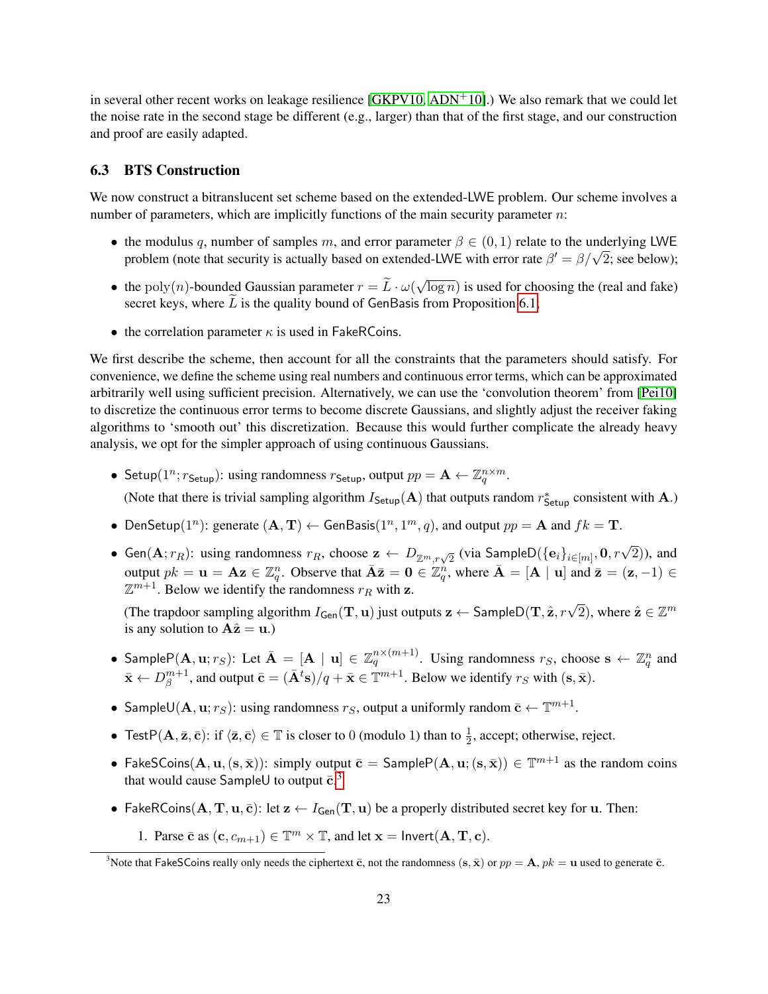in several other recent works on leakage resilience  $[GKPV10, ADN<sup>+</sup>10]$  $[GKPV10, ADN<sup>+</sup>10]$  $[GKPV10, ADN<sup>+</sup>10]$  $[GKPV10, ADN<sup>+</sup>10]$ .) We also remark that we could let the noise rate in the second stage be different (e.g., larger) than that of the first stage, and our construction and proof are easily adapted.

#### 6.3 BTS Construction

We now construct a bitranslucent set scheme based on the extended-LWE problem. Our scheme involves a number of parameters, which are implicitly functions of the main security parameter  $n$ :

- the modulus q, number of samples m, and error parameter  $\beta \in (0,1)$  relate to the underlying LWE the modulus q, number of samples m, and error parameter  $\rho \in (0, 1)$  relate to the underlying LWE<br>problem (note that security is actually based on extended-LWE with error rate  $\beta' = \beta/\sqrt{2}$ ; see below);
- the poly(n)-bounded Gaussian parameter  $r = L \cdot \omega$ √  $\overline{\log n}$ ) is used for choosing the (real and fake) secret keys, where  $\overline{L}$  is the quality bound of GenBasis from Proposition [6.1;](#page-20-0)
- the correlation parameter  $\kappa$  is used in FakeRCoins.

We first describe the scheme, then account for all the constraints that the parameters should satisfy. For convenience, we define the scheme using real numbers and continuous error terms, which can be approximated arbitrarily well using sufficient precision. Alternatively, we can use the 'convolution theorem' from [\[Pei10\]](#page-34-11) to discretize the continuous error terms to become discrete Gaussians, and slightly adjust the receiver faking algorithms to 'smooth out' this discretization. Because this would further complicate the already heavy analysis, we opt for the simpler approach of using continuous Gaussians.

- Setup( $1^n$ ;  $r_{\text{Setup}}$ ): using randomness  $r_{\text{Setup}}$ , output  $pp = \mathbf{A} \leftarrow \mathbb{Z}_q^{n \times m}$ . (Note that there is trivial sampling algorithm  $I_{\text{Setup}}(A)$  that outputs random  $r^*_{\text{Setup}}$  consistent with A.)
- DenSetup(1<sup>n</sup>): generate  $(A, T) \leftarrow$  GenBasis(1<sup>n</sup>, 1<sup>m</sup>, q), and output  $pp = A$  and  $fk = T$ .
- Gen $(A; r_R)$ : using randomness  $r_R$ , choose  $\mathbf{z} \leftarrow D_{\mathbb{Z}^m, r\sqrt{2}}$  (via SampleD $(\{\mathbf{e}_i\}_{i \in [m]}, \mathbf{0}, r\sqrt{2})$ ), and output  $pk = \mathbf{u} = \mathbf{A}\mathbf{z} \in \mathbb{Z}_q^n$ . Observe that  $\bar{\mathbf{A}}\bar{\mathbf{z}} = \mathbf{0} \in \mathbb{Z}_q^n$ , where  $\bar{\mathbf{A}} = [\mathbf{A} \mid \mathbf{u}]$  and  $\bar{\mathbf{z}} = (\mathbf{z}, -1) \in \mathbb{Z}_q$  $\mathbb{Z}^{m+1}$ . Below we identify the randomness  $r_R$  with z.

(The trapdoor sampling algorithm  $I_{Gen}(\mathbf{T}, \mathbf{u})$  just outputs  $\mathbf{z} \leftarrow$  Sample $D(\mathbf{T}, \hat{\mathbf{z}}, r\sqrt{2})$ , where  $\hat{\mathbf{z}} \in \mathbb{Z}^m$ is any solution to  $\mathbf{A}\hat{\mathbf{z}} = \mathbf{u}$ .

- Sample $P(\mathbf{A}, \mathbf{u}; r_S)$ : Let  $\bar{\mathbf{A}} = [\mathbf{A} \mid \mathbf{u}] \in \mathbb{Z}_q^{n \times (m+1)}$ . Using randomness  $r_S$ , choose  $\mathbf{s} \leftarrow \mathbb{Z}_q^n$  and  $\bar{\mathbf{x}} \leftarrow D_{\beta}^{m+1}$  $_{\beta}^{m+1}$ , and output  $\bar{\mathbf{c}} = (\bar{\mathbf{A}}^t \mathbf{s})/q + \bar{\mathbf{x}} \in \mathbb{T}^{m+1}$ . Below we identify  $r_S$  with  $(\mathbf{s}, \bar{\mathbf{x}})$ .
- SampleU(A, u; r<sub>S</sub>): using randomness r<sub>S</sub>, output a uniformly random  $\bar{c} \leftarrow \mathbb{T}^{m+1}$ .
- TestP( $\mathbf{A}, \bar{\mathbf{z}}, \bar{\mathbf{c}}$ ): if  $\langle \bar{\mathbf{z}}, \bar{\mathbf{c}} \rangle \in \mathbb{T}$  is closer to 0 (modulo 1) than to  $\frac{1}{2}$ , accept; otherwise, reject.
- FakeSCoins $(A, u, (s, \bar{x}))$ : simply output  $\bar{c} =$  Sample $P(A, u; (s, \bar{x})) \in \mathbb{T}^{m+1}$  as the random coins that would cause SampleU to output  $\bar{c}$ .<sup>[3](#page-22-0)</sup>
- FakeRCoins $(A, T, u, \bar{c})$ : let  $z \leftarrow I_{Gen}(T, u)$  be a properly distributed secret key for u. Then:
	- 1. Parse  $\bar{\mathbf{c}}$  as  $(\mathbf{c}, c_{m+1}) \in \mathbb{T}^m \times \mathbb{T}$ , and let  $\mathbf{x} = \text{Invert}(\mathbf{A}, \mathbf{T}, \mathbf{c})$ .

<span id="page-22-0"></span><sup>&</sup>lt;sup>3</sup>Note that FakeSCoins really only needs the ciphertext  $\bar{c}$ , not the randomness (s,  $\bar{x}$ ) or  $pp = A$ ,  $pk = u$  used to generate  $\bar{c}$ .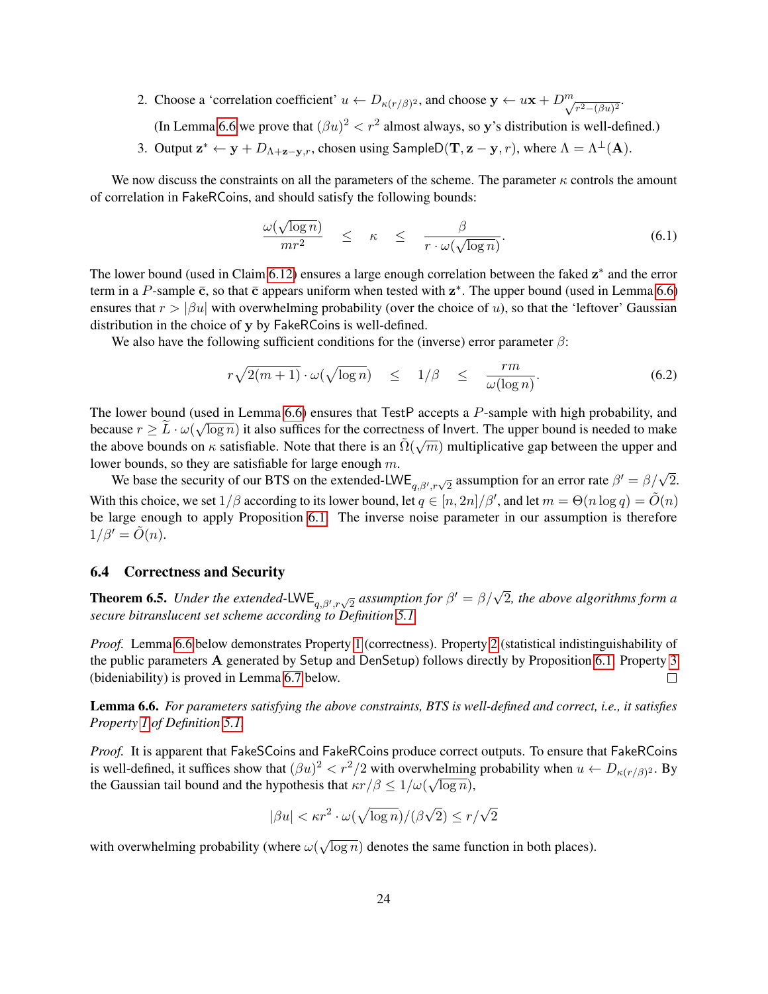- 2. Choose a 'correlation coefficient'  $u \leftarrow D_{\kappa(r/\beta)^2}$ , and choose  $y \leftarrow u\mathbf{x} + D_{\sqrt{r^2 (\beta u)^2}}^m$ .
	- (In Lemma [6.6](#page-23-0) we prove that  $(\beta u)^2 < r^2$  almost always, so y's distribution is well-defined.)
- 3. Output  $\mathbf{z}^* \leftarrow \mathbf{y} + D_{\Lambda + \mathbf{z} \mathbf{y}, r}$ , chosen using SampleD( $\mathbf{T}, \mathbf{z} \mathbf{y}, r$ ), where  $\Lambda = \Lambda^{\perp}(\mathbf{A})$ .

We now discuss the constraints on all the parameters of the scheme. The parameter  $\kappa$  controls the amount of correlation in FakeRCoins, and should satisfy the following bounds:

$$
\frac{\omega(\sqrt{\log n})}{mr^2} \le \kappa \le \frac{\beta}{r \cdot \omega(\sqrt{\log n})}.
$$
\n(6.1)

The lower bound (used in Claim [6.12\)](#page-27-1) ensures a large enough correlation between the faked  $z^*$  and the error term in a P-sample  $\bar{c}$ , so that  $\bar{c}$  appears uniform when tested with  $z^*$ . The upper bound (used in Lemma [6.6\)](#page-23-0) ensures that  $r > |\beta u|$  with overwhelming probability (over the choice of u), so that the 'leftover' Gaussian distribution in the choice of y by FakeRCoins is well-defined.

We also have the following sufficient conditions for the (inverse) error parameter  $\beta$ :

$$
r\sqrt{2(m+1)} \cdot \omega(\sqrt{\log n}) \le 1/\beta \le \frac{rm}{\omega(\log n)}.\tag{6.2}
$$

The lower bound (used in Lemma [6.6\)](#page-23-0) ensures that TestP accepts a P-sample with high probability, and because  $r \geq L \cdot \omega(\sqrt{\log n})$  it also suffices for the correctness of lnvert. The upper bound is needed to make the above bounds on  $\kappa$  satisfiable. Note that there is an  $\tilde{\Omega}(\sqrt{m})$  multiplicative gap between the upper and lower bounds, so they are satisfiable for large enough m.

Er bounds, so they are saushable for large enough m.<br>We base the security of our BTS on the extended-LWE<sub>q,β',r</sub>  $\sqrt{2}$  assumption for an error rate  $\beta' = \beta/\sqrt{2}$ . With this choice, we set  $1/\beta$  according to its lower bound, let  $q \in [n, 2n]/\beta'$ , and let  $m = \Theta(n \log q) = \tilde{O}(n)$ be large enough to apply Proposition [6.1.](#page-20-0) The inverse noise parameter in our assumption is therefore  $1/\beta' = \tilde{O}(n)$ .

### 6.4 Correctness and Security

**Theorem 6.5.** Under the extended-LWE<sub>q, $\beta', r\sqrt{2}$  assumption for  $\beta' = \beta/\sqrt{2}$ , the above algorithms form a</sub> *secure bitranslucent set scheme according to Definition [5.1.](#page-16-1)*

*Proof.* Lemma [6.6](#page-23-0) below demonstrates Property [1](#page-17-0) (correctness). Property [2](#page-17-1) (statistical indistinguishability of the public parameters A generated by Setup and DenSetup) follows directly by Proposition [6.1.](#page-20-0) Property [3](#page-17-2) (bideniability) is proved in Lemma [6.7](#page-24-0) below.  $\Box$ 

<span id="page-23-0"></span>Lemma 6.6. *For parameters satisfying the above constraints, BTS is well-defined and correct, i.e., it satisfies Property [1](#page-17-0) of Definition [5.1.](#page-16-1)*

*Proof.* It is apparent that FakeSCoins and FakeRCoins produce correct outputs. To ensure that FakeRCoins is well-defined, it suffices show that  $(\beta u)^2 < r^2/2$  with overwhelming probability when  $u \leftarrow D_{\kappa(r/\beta)^2}$ . By the Gaussian tail bound and the hypothesis that  $\kappa r/\beta \leq 1/\omega(\sqrt{\log n})$ ,

$$
|\beta u| < \kappa r^2 \cdot \omega(\sqrt{\log n}) / (\beta \sqrt{2}) \le r / \sqrt{2}
$$

with overwhelming probability (where  $\omega($ √  $\overline{\log n}$ ) denotes the same function in both places).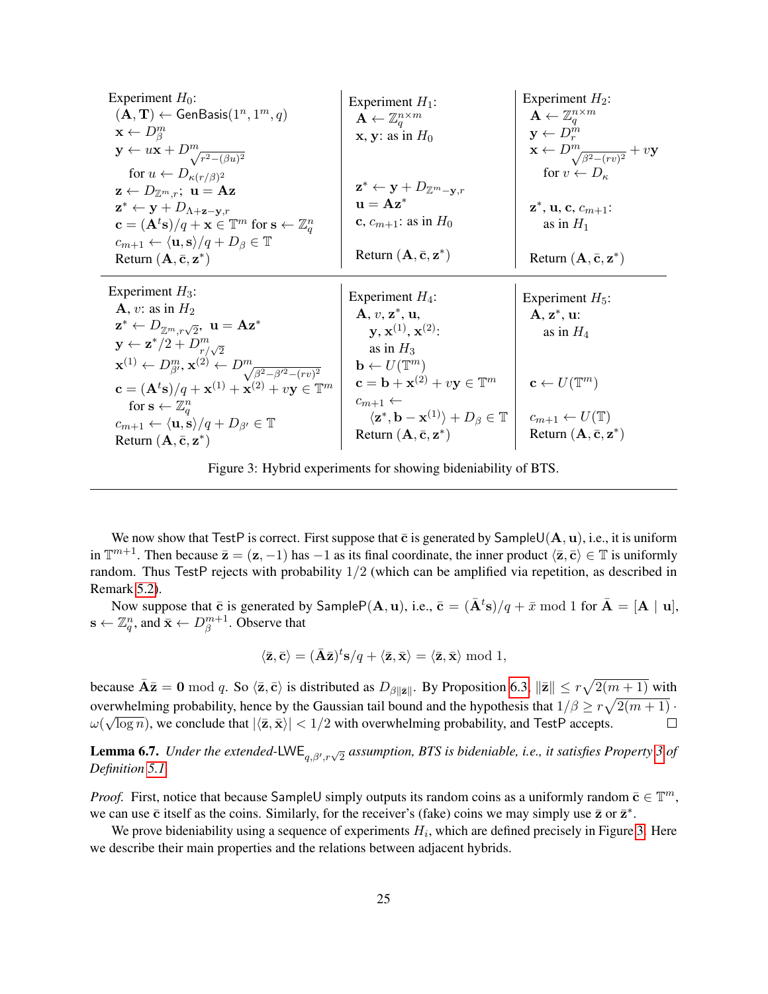| Experiment $H_0$ :                                                                                                                                                                                   | Experiment $H_1$ :                                                               | Experiment $H_2$ :                                                  |
|------------------------------------------------------------------------------------------------------------------------------------------------------------------------------------------------------|----------------------------------------------------------------------------------|---------------------------------------------------------------------|
| $(\mathbf{A}, \mathbf{T}) \leftarrow$ GenBasis $(1^n, 1^m, q)$                                                                                                                                       | $\mathbf{A} \leftarrow \mathbb{Z}_a^{n \times m}$                                | $\mathbf{A} \leftarrow \mathbb{Z}_a^{n \times m}$                   |
| $\mathbf{x} \leftarrow D_{\beta}^m$                                                                                                                                                                  | $x, y$ : as in $H_0$                                                             | $\mathbf{y} \leftarrow D_r^m$                                       |
| $\mathbf{y} \leftarrow u\mathbf{x} + D^m_{\sqrt{r^2 - (\beta u)^2}}$                                                                                                                                 |                                                                                  | $\mathbf{x} \leftarrow D^m_{\sqrt{\beta^2 - (rv)^2}} + v\mathbf{y}$ |
| for $u \leftarrow D_{\kappa(r/\beta)^2}$                                                                                                                                                             |                                                                                  | for $v \leftarrow D_{\kappa}$                                       |
| $\mathbf{z} \leftarrow D_{\mathbb{Z}^m,r}; \ \mathbf{u} = \mathbf{A}\mathbf{z}$                                                                                                                      | $\mathbf{z}^* \leftarrow \mathbf{y} + D_{\mathbb{Z}^m - \mathbf{v}, r}$          |                                                                     |
| $\mathbf{z}^* \leftarrow \mathbf{y} + D_{\Lambda + \mathbf{z} - \mathbf{y}, r}$                                                                                                                      | $\mathbf{u} = \mathbf{A}\mathbf{z}^*$                                            | ${\bf z}^*, {\bf u}, {\bf c}, c_{m+1}$ :                            |
| $\mathbf{c} = (\mathbf{A}^t \mathbf{s})/q + \mathbf{x} \in \mathbb{T}^m$ for $\mathbf{s} \leftarrow \mathbb{Z}_q^n$                                                                                  | c, $c_{m+1}$ : as in $H_0$                                                       | as in $H_1$                                                         |
| $c_{m+1} \leftarrow \langle \mathbf{u}, \mathbf{s} \rangle / q + D_\beta \in \mathbb{T}$                                                                                                             |                                                                                  |                                                                     |
| Return $(A, \bar{c}, z^*)$                                                                                                                                                                           | Return $(A, \bar{c}, z^*)$                                                       | Return $(A, \bar{c}, z^*)$                                          |
| Experiment $H_3$ :                                                                                                                                                                                   | Experiment $H_4$ :                                                               | Experiment $H_5$ :                                                  |
| <b>A</b> , v: as in $H_2$                                                                                                                                                                            | $\mathbf{A}, v, \mathbf{z}^*, \mathbf{u},$                                       | $A, z^*, u$                                                         |
| $\mathbf{z}^* \leftarrow D_{\mathbb{Z}^m, r\sqrt{2}}, \ \mathbf{u} = \mathbf{A}\mathbf{z}^*$                                                                                                         | ${\bf v}, {\bf x}^{(1)}, {\bf x}^{(2)}$ :                                        | as in $H_4$                                                         |
|                                                                                                                                                                                                      |                                                                                  |                                                                     |
| $\begin{array}{l} \mathbf{y} \leftarrow \mathbf{z}^*/2 + D^m_{r/\sqrt{2}} \\ \mathbf{x}^{(1)} \leftarrow D^m_{\beta'}, \mathbf{x}^{(2)} \leftarrow D^m_{\sqrt{\beta^2-\beta'^2-(rv)^2}} \end{array}$ | as in $H_3$                                                                      |                                                                     |
|                                                                                                                                                                                                      | $\mathbf{b} \leftarrow U(\mathbb{T}^m)$                                          |                                                                     |
| ${\bf c} = ({\bf A}^{t}{\bf s})/q + {\bf x}^{(1)} + {\bf x}^{(2)} + v{\bf y} \in {\mathbb T}^{m}$                                                                                                    | $\mathbf{c} = \mathbf{b} + \mathbf{x}^{(2)} + v\mathbf{y} \in \mathbb{T}^m$      | $\mathbf{c} \leftarrow U(\mathbb{T}^m)$                             |
| for $\mathbf{s} \leftarrow \mathbb{Z}_a^n$                                                                                                                                                           | $c_{m+1} \leftarrow$                                                             |                                                                     |
| $c_{m+1} \leftarrow \langle \mathbf{u}, \mathbf{s} \rangle / q + D_{\beta'} \in \mathbb{T}$                                                                                                          | $\langle \mathbf{z}^*, \mathbf{b}-\mathbf{x}^{(1)}\rangle+D_\beta\in \mathbb{T}$ | $c_{m+1} \leftarrow U(\mathbb{T})$                                  |
|                                                                                                                                                                                                      | Return $(A, \bar{c}, z^*)$                                                       | Return $(A, \bar{c}, z^*)$                                          |

<span id="page-24-1"></span>Figure 3: Hybrid experiments for showing bideniability of BTS.

We now show that TestP is correct. First suppose that  $\bar{c}$  is generated by SampleU( $A, u$ ), i.e., it is uniform in  $\mathbb{T}^{m+1}$ . Then because  $\bar{\mathbf{z}} = (\mathbf{z}, -1)$  has  $-1$  as its final coordinate, the inner product  $\langle \bar{\mathbf{z}}, \bar{\mathbf{c}} \rangle \in \mathbb{T}$  is uniformly random. Thus TestP rejects with probability 1/2 (which can be amplified via repetition, as described in Remark [5.2\)](#page-17-3).

Now suppose that  $\bar{\mathbf{c}}$  is generated by SampleP( $(\mathbf{A}, \mathbf{u})$ , i.e.,  $\bar{\mathbf{c}} = (\bar{\mathbf{A}}^t \mathbf{s})/q + \bar{x} \bmod 1$  for  $\bar{\mathbf{A}} = [\mathbf{A} \mid \mathbf{u}]$ ,  $\mathbf{s} \leftarrow \mathbb{Z}_q^n$ , and  $\bar{\mathbf{x}} \leftarrow D_{\beta}^{m+1}$  $_{\beta}^{m+1}$ . Observe that

$$
\langle \bar{\mathbf{z}}, \bar{\mathbf{c}} \rangle = (\bar{\mathbf{A}} \bar{\mathbf{z}})^t \mathbf{s} / q + \langle \bar{\mathbf{z}}, \bar{\mathbf{x}} \rangle = \langle \bar{\mathbf{z}}, \bar{\mathbf{x}} \rangle \bmod 1,
$$

because  $\bar{\mathbf{A}}\bar{\mathbf{z}} = \mathbf{0} \bmod q$ . So  $\langle \bar{\mathbf{z}}, \bar{\mathbf{c}} \rangle$  is distributed as  $D_{\beta \|\bar{\mathbf{z}}\|}$ . By Proposition [6.3,](#page-20-1)  $\|\bar{\mathbf{z}}\| \leq r\sqrt{2(m+1)}$  with overwhelming probability, hence by the Gaussian tail bound and the hypothesis that  $1/\beta \geq r\sqrt{2(m+1)}$ .  $\omega(\sqrt{\log n})$ , we conclude that  $|\langle \bar{\mathbf{z}}, \bar{\mathbf{x}} \rangle| < 1/2$  with overwhelming probability, and TestP accepts.  $\Box$ 

<span id="page-24-0"></span>**Lemma 6.7.** Under the extended-LWE<sub>q,β',r√2</sub> assumption, BTS is bideniable, i.e., it satisfies Property [3](#page-17-2) of *Definition [5.1.](#page-16-1)*

*Proof.* First, notice that because SampleU simply outputs its random coins as a uniformly random  $\bar{c} \in \mathbb{T}^m$ , we can use  $\bar{c}$  itself as the coins. Similarly, for the receiver's (fake) coins we may simply use  $\bar{z}$  or  $\bar{z}^*$ .

We prove bideniability using a sequence of experiments  $H_i$ , which are defined precisely in Figure [3.](#page-24-1) Here we describe their main properties and the relations between adjacent hybrids.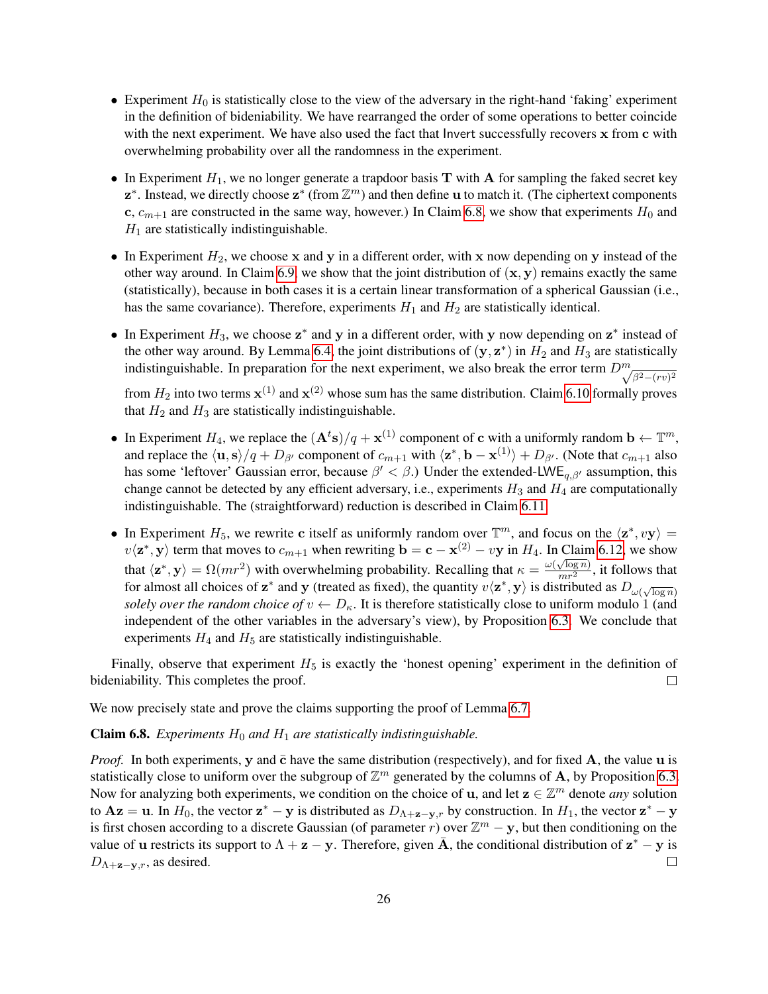- Experiment  $H_0$  is statistically close to the view of the adversary in the right-hand 'faking' experiment in the definition of bideniability. We have rearranged the order of some operations to better coincide with the next experiment. We have also used the fact that Invert successfully recovers x from c with overwhelming probability over all the randomness in the experiment.
- In Experiment  $H_1$ , we no longer generate a trapdoor basis **T** with **A** for sampling the faked secret key  $z^*$ . Instead, we directly choose  $z^*$  (from  $\mathbb{Z}^m$ ) and then define u to match it. (The ciphertext components c,  $c_{m+1}$  are constructed in the same way, however.) In Claim [6.8,](#page-25-0) we show that experiments  $H_0$  and  $H_1$  are statistically indistinguishable.
- In Experiment  $H_2$ , we choose x and y in a different order, with x now depending on y instead of the other way around. In Claim [6.9,](#page-26-0) we show that the joint distribution of  $(x, y)$  remains exactly the same (statistically), because in both cases it is a certain linear transformation of a spherical Gaussian (i.e., has the same covariance). Therefore, experiments  $H_1$  and  $H_2$  are statistically identical.
- In Experiment  $H_3$ , we choose  $z^*$  and y in a different order, with y now depending on  $z^*$  instead of the other way around. By Lemma [6.4,](#page-20-2) the joint distributions of  $(y, z^*)$  in  $H_2$  and  $H_3$  are statistically indistinguishable. In preparation for the next experiment, we also break the error term  $D_{\sqrt{\beta^2-(rv)^2}}^m$ from  $H_2$  into two terms  $\mathbf{x}^{(1)}$  and  $\mathbf{x}^{(2)}$  whose sum has the same distribution. Claim [6.10](#page-26-1) formally proves that  $H_2$  and  $H_3$  are statistically indistinguishable.
- In Experiment  $H_4$ , we replace the  $(\mathbf{A}^t\mathbf{s})/q + \mathbf{x}^{(1)}$  component of c with a uniformly random  $\mathbf{b} \leftarrow \mathbb{T}^m$ , and replace the  $\langle \mathbf{u}, \mathbf{s} \rangle /q + D_{\beta'}$  component of  $c_{m+1}$  with  $\langle \mathbf{z}^*, \mathbf{b} - \mathbf{x}^{(1)} \rangle + D_{\beta'}$ . (Note that  $c_{m+1}$  also has some 'leftover' Gaussian error, because  $\beta' < \beta$ .) Under the extended-LWE<sub>q, $\beta'$ </sub> assumption, this change cannot be detected by any efficient adversary, i.e., experiments  $H_3$  and  $H_4$  are computationally indistinguishable. The (straightforward) reduction is described in Claim [6.11.](#page-26-2)
- In Experiment  $H_5$ , we rewrite c itself as uniformly random over  $\mathbb{T}^m$ , and focus on the  $\langle \mathbf{z}^*, v \mathbf{y} \rangle =$  $v\langle \mathbf{z}^*, \mathbf{y} \rangle$  term that moves to  $c_{m+1}$  when rewriting  $\mathbf{b} = \mathbf{c} - \mathbf{x}^{(2)} - v\mathbf{y}$  in  $H_4$ . In Claim [6.12,](#page-27-1) we show that  $\langle z^*, y \rangle = \Omega(mr^2)$  with overwhelming probability. Recalling that  $\kappa = \frac{\omega(\sqrt{\log n})}{mr^2}$ , it follows that for almost all choices of  $z^*$  and y (treated as fixed), the quantity  $v\langle z^*, y \rangle$  is distributed as  $D_{\omega(\sqrt{\log n})}$ *solely over the random choice of*  $v \leftarrow D_{\kappa}$ . It is therefore statistically close to uniform modulo 1 (and independent of the other variables in the adversary's view), by Proposition [6.3.](#page-20-1) We conclude that experiments  $H_4$  and  $H_5$  are statistically indistinguishable.

Finally, observe that experiment  $H_5$  is exactly the 'honest opening' experiment in the definition of bideniability. This completes the proof.  $\Box$ 

<span id="page-25-0"></span>We now precisely state and prove the claims supporting the proof of Lemma [6.7.](#page-24-0)

**Claim 6.8.** *Experiments*  $H_0$  *and*  $H_1$  *are statistically indistinguishable.* 

*Proof.* In both experiments, y and  $\bar{c}$  have the same distribution (respectively), and for fixed  $\bf{A}$ , the value  $\bf{u}$  is statistically close to uniform over the subgroup of  $\mathbb{Z}^m$  generated by the columns of A, by Proposition [6.3.](#page-20-1) Now for analyzing both experiments, we condition on the choice of **u**, and let  $z \in \mathbb{Z}^m$  denote *any* solution to  $Az = u$ . In  $H_0$ , the vector  $z^* - y$  is distributed as  $D_{\Lambda + z - y,r}$  by construction. In  $H_1$ , the vector  $z^* - y$ is first chosen according to a discrete Gaussian (of parameter r) over  $\mathbb{Z}^m$  – y, but then conditioning on the value of u restricts its support to  $\Lambda + \mathbf{z} - \mathbf{y}$ . Therefore, given  $\overline{A}$ , the conditional distribution of  $\mathbf{z}^* - \mathbf{y}$  is  $D_{\Lambda+\mathbf{z}-\mathbf{y},r}$ , as desired.  $\Box$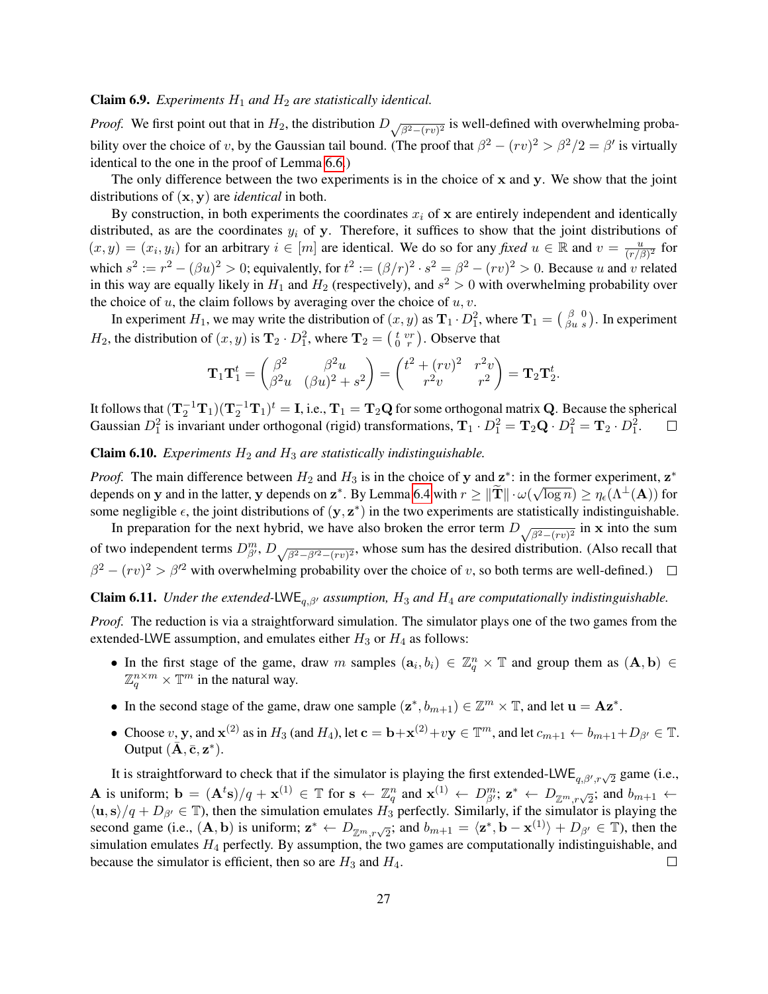#### <span id="page-26-0"></span>**Claim 6.9.** *Experiments*  $H_1$  *and*  $H_2$  *are statistically identical.*

*Proof.* We first point out that in  $H_2$ , the distribution  $D_{\sqrt{\beta^2-(rv)^2}}$  is well-defined with overwhelming probability over the choice of v, by the Gaussian tail bound. (The proof that  $\beta^2 - (rv)^2 > \beta^2/2 = \beta'$  is virtually identical to the one in the proof of Lemma [6.6.](#page-23-0))

The only difference between the two experiments is in the choice of  $x$  and  $y$ . We show that the joint distributions of (x, y) are *identical* in both.

By construction, in both experiments the coordinates  $x_i$  of x are entirely independent and identically distributed, as are the coordinates  $y_i$  of y. Therefore, it suffices to show that the joint distributions of  $(x, y) = (x_i, y_i)$  for an arbitrary  $i \in [m]$  are identical. We do so for any *fixed*  $u \in \mathbb{R}$  and  $v = \frac{u}{\sqrt{u}}$  $\frac{u}{(r/\beta)^2}$  for which  $s^2 := r^2 - (\beta u)^2 > 0$ ; equivalently, for  $t^2 := (\beta/r)^2 \cdot s^2 = \beta^2 - (rv)^2 > 0$ . Because u and v related in this way are equally likely in  $H_1$  and  $H_2$  (respectively), and  $s^2 > 0$  with overwhelming probability over the choice of  $u$ , the claim follows by averaging over the choice of  $u, v$ .

In experiment  $H_1$ , we may write the distribution of  $(x, y)$  as  $\mathbf{T}_1 \cdot D_1^2$ , where  $\mathbf{T}_1 = \begin{pmatrix} \beta & 0 \\ \beta u & s \end{pmatrix}$ . In experiment  $H_2$ , the distribution of  $(x, y)$  is  $\mathbf{T}_2 \cdot D_1^2$ , where  $\mathbf{T}_2 = \begin{pmatrix} t & v \\ 0 & r \end{pmatrix}$ . Observe that

$$
\mathbf{T}_{1}\mathbf{T}_{1}^{t} = \begin{pmatrix} \beta^{2} & \beta^{2} u \\ \beta^{2} u & (\beta u)^{2} + s^{2} \end{pmatrix} = \begin{pmatrix} t^{2} + (rv)^{2} & r^{2} v \\ r^{2} v & r^{2} \end{pmatrix} = \mathbf{T}_{2}\mathbf{T}_{2}^{t}.
$$

It follows that  $({\bf T}_2^{-1}{\bf T}_1)({\bf T}_2^{-1}{\bf T}_1)^t={\bf I}$ , i.e.,  ${\bf T}_1={\bf T}_2{\bf Q}$  for some orthogonal matrix  ${\bf Q}$ . Because the spherical Gaussian  $D_1^2$  is invariant under orthogonal (rigid) transformations,  $T_1 \cdot D_1^2 = T_2 Q \cdot D_1^2 = T_2 \cdot D_1^2$ .

#### <span id="page-26-1"></span>**Claim 6.10.** *Experiments*  $H_2$  *and*  $H_3$  *are statistically indistinguishable.*

*Proof.* The main difference between  $H_2$  and  $H_3$  is in the choice of y and  $z^*$ : in the former experiment,  $z^*$ depends on y and in the latter, y depends on z<sup>\*</sup>. By Lemma [6.4](#page-20-2) with  $r \ge ||\widetilde{T}|| \cdot \omega(\sqrt{\log n}) \ge \eta_e(\Lambda^{\perp}(A))$  for some negligible  $\epsilon$ , the joint distributions of  $(y, z^*)$  in the two experiments are statistically indistinguishable.

In preparation for the next hybrid, we have also broken the error term  $D_{\sqrt{\beta^2-(rv)^2}}$  in x into the sum of two independent terms  $D_{\beta'}^m$ ,  $D_{\sqrt{\beta^2-\beta'^2-(rv)^2}}$ , whose sum has the desired distribution. (Also recall that  $\beta^2 - (rv)^2 > \beta'^2$  with overwhelming probability over the choice of v, so both terms are well-defined.)

#### <span id="page-26-2"></span>**Claim 6.11.** *Under the extended-LWE<sub>a,β'</sub> assumption,*  $H_3$  *and*  $H_4$  *are computationally indistinguishable.*

*Proof.* The reduction is via a straightforward simulation. The simulator plays one of the two games from the extended-LWE assumption, and emulates either  $H_3$  or  $H_4$  as follows:

- In the first stage of the game, draw m samples  $(a_i, b_i) \in \mathbb{Z}_q^n \times \mathbb{T}$  and group them as  $(A, b) \in$  $\mathbb{Z}_q^{n \times m} \times \mathbb{T}^m$  in the natural way.
- In the second stage of the game, draw one sample  $(\mathbf{z}^*, b_{m+1}) \in \mathbb{Z}^m \times \mathbb{T}$ , and let  $\mathbf{u} = \mathbf{A} \mathbf{z}^*$ .
- Choose  $v, y$ , and  $x^{(2)}$  as in  $H_3$  (and  $H_4$ ), let  $\mathbf{c} = \mathbf{b} + \mathbf{x}^{(2)} + v\mathbf{y} \in \mathbb{T}^m$ , and let  $c_{m+1} \leftarrow b_{m+1} + D_{\beta'} \in \mathbb{T}$ . Output  $(\bar{\mathbf{A}}, \bar{\mathbf{c}}, \mathbf{z}^*)$ .

It is straightforward to check that if the simulator is playing the first extended-LWE<sub>q, $\beta', r\sqrt{2}$ </sub> game (i.e., A is uniform;  $\mathbf{b} = (\mathbf{A}^t \mathbf{s})/q + \mathbf{x}^{(1)} \in \mathbb{T}$  for  $\mathbf{s} \leftarrow \mathbb{Z}_q^n$  and  $\mathbf{x}^{(1)} \leftarrow D_{\beta}^m$ ;  $\mathbf{z}^* \leftarrow D_{\mathbb{Z}^m, r\sqrt{2}}$ ; and  $b_{m+1} \leftarrow$  $\langle \mathbf{u}, \mathbf{s} \rangle / q + D_{\beta'} \in \mathbb{T}$ ), then the simulation emulates  $H_3$  perfectly. Similarly, if the simulator is playing the second game (i.e.,  $(A, b)$  is uniform;  $z^* \leftarrow D_{\mathbb{Z}^m, r\sqrt{2}}$ ; and  $b_{m+1} = \langle z^*, b - x^{(1)} \rangle + D_{\beta'} \in \mathbb{T}$ ), then the simulation emulates  $H_4$  perfectly. By assumption, the two games are computationally indistinguishable, and because the simulator is efficient, then so are  $H_3$  and  $H_4$ .  $\Box$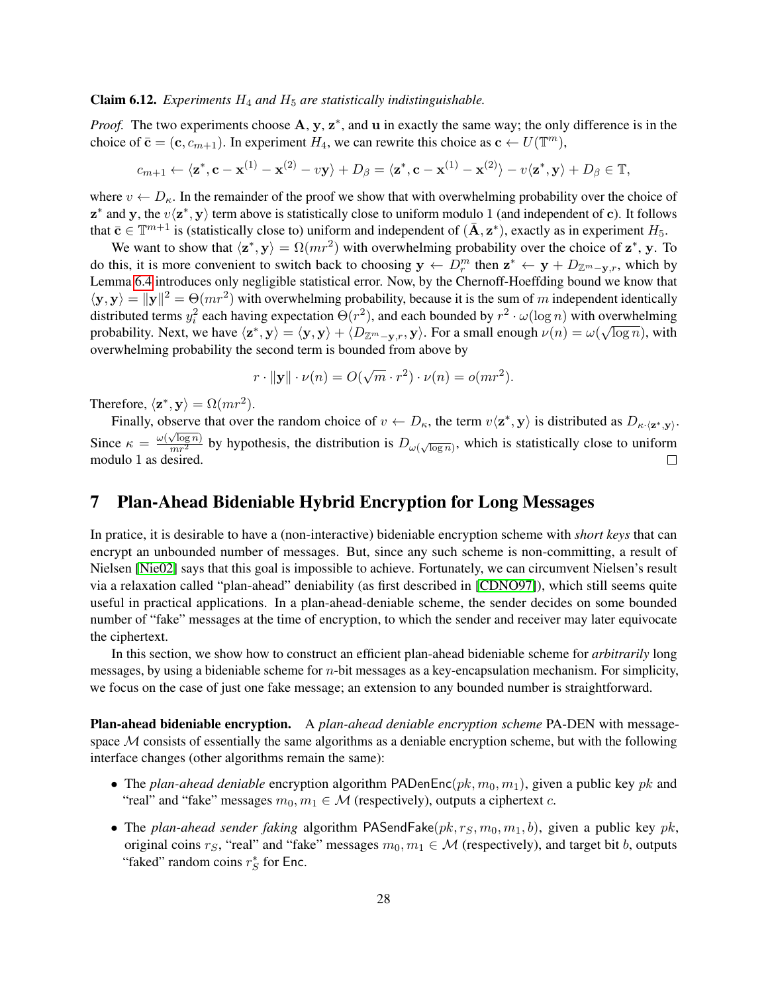#### <span id="page-27-1"></span>**Claim 6.12.** *Experiments*  $H_4$  *and*  $H_5$  *are statistically indistinguishable.*

*Proof.* The two experiments choose A, y, z<sup>\*</sup>, and u in exactly the same way; the only difference is in the choice of  $\bar{\mathbf{c}} = (\mathbf{c}, c_{m+1})$ . In experiment  $H_4$ , we can rewrite this choice as  $\mathbf{c} \leftarrow U(\mathbb{T}^m)$ ,

$$
c_{m+1} \leftarrow \langle \mathbf{z}^*, \mathbf{c} - \mathbf{x}^{(1)} - \mathbf{x}^{(2)} - v\mathbf{y} \rangle + D_{\beta} = \langle \mathbf{z}^*, \mathbf{c} - \mathbf{x}^{(1)} - \mathbf{x}^{(2)} \rangle - v \langle \mathbf{z}^*, \mathbf{y} \rangle + D_{\beta} \in \mathbb{T},
$$

where  $v \leftarrow D_{\kappa}$ . In the remainder of the proof we show that with overwhelming probability over the choice of  $z^*$  and y, the  $v\langle z^*, y \rangle$  term above is statistically close to uniform modulo 1 (and independent of c). It follows that  $\bar{\mathbf{c}} \in \mathbb{T}^{m+1}$  is (statistically close to) uniform and independent of  $(\bar{\mathbf{A}}, \mathbf{z}^*)$ , exactly as in experiment  $H_5$ .

We want to show that  $\langle z^*, y \rangle = \Omega(mr^2)$  with overwhelming probability over the choice of  $z^*, y$ . To do this, it is more convenient to switch back to choosing  $y \leftarrow D_r^m$  then  $z^* \leftarrow y + D_{\mathbb{Z}^m - y,r}$ , which by Lemma [6.4](#page-20-2) introduces only negligible statistical error. Now, by the Chernoff-Hoeffding bound we know that  $\langle y, y \rangle = ||y||^2 = \Theta(mr^2)$  with overwhelming probability, because it is the sum of m independent identically distributed terms  $y_i^2$  each having expectation  $\Theta(r^2)$ , and each bounded by  $r^2 \cdot \omega(\log n)$  with overwhelming probability. Next, we have  $\langle z^*, y \rangle = \langle y, y \rangle + \langle D_{\mathbb{Z}^m - y, r}, y \rangle$ . For a small enough  $\nu(n) = \omega(\sqrt{\log n})$ , with overwhelming probability the second term is bounded from above by

$$
r \cdot ||\mathbf{y}|| \cdot \nu(n) = O(\sqrt{m} \cdot r^2) \cdot \nu(n) = o(mr^2).
$$

Therefore,  $\langle \mathbf{z}^*, \mathbf{y} \rangle = \Omega(mr^2)$ .

Finally, observe that over the random choice of  $v \leftarrow D_{\kappa}$ , the term  $v\langle \mathbf{z}^*, \mathbf{y} \rangle$  is distributed as  $D_{\kappa \cdot (\mathbf{z}^*, \mathbf{y})}$ . Since  $\kappa = \frac{\omega(\sqrt{\log n})}{mr^2}$  by hypothesis, the distribution is  $D_{\omega(\sqrt{\log n})}$ , which is statistically close to uniform modulo 1 as desired.

## <span id="page-27-0"></span>7 Plan-Ahead Bideniable Hybrid Encryption for Long Messages

In pratice, it is desirable to have a (non-interactive) bideniable encryption scheme with *short keys* that can encrypt an unbounded number of messages. But, since any such scheme is non-committing, a result of Nielsen [\[Nie02\]](#page-34-7) says that this goal is impossible to achieve. Fortunately, we can circumvent Nielsen's result via a relaxation called "plan-ahead" deniability (as first described in [\[CDNO97\]](#page-33-0)), which still seems quite useful in practical applications. In a plan-ahead-deniable scheme, the sender decides on some bounded number of "fake" messages at the time of encryption, to which the sender and receiver may later equivocate the ciphertext.

In this section, we show how to construct an efficient plan-ahead bideniable scheme for *arbitrarily* long messages, by using a bideniable scheme for  $n$ -bit messages as a key-encapsulation mechanism. For simplicity, we focus on the case of just one fake message; an extension to any bounded number is straightforward.

Plan-ahead bideniable encryption. A *plan-ahead deniable encryption scheme* PA-DEN with messagespace  $M$  consists of essentially the same algorithms as a deniable encryption scheme, but with the following interface changes (other algorithms remain the same):

- The *plan-ahead deniable* encryption algorithm PADenEnc $(pk, m_0, m_1)$ , given a public key pk and "real" and "fake" messages  $m_0, m_1 \in \mathcal{M}$  (respectively), outputs a ciphertext c.
- The *plan-ahead sender faking* algorithm PASendFake $(pk, r<sub>S</sub>, m<sub>0</sub>, m<sub>1</sub>, b)$ , given a public key  $pk$ , original coins  $r_S$ , "real" and "fake" messages  $m_0, m_1 \in \mathcal{M}$  (respectively), and target bit b, outputs "faked" random coins  $r_S^*$  for Enc.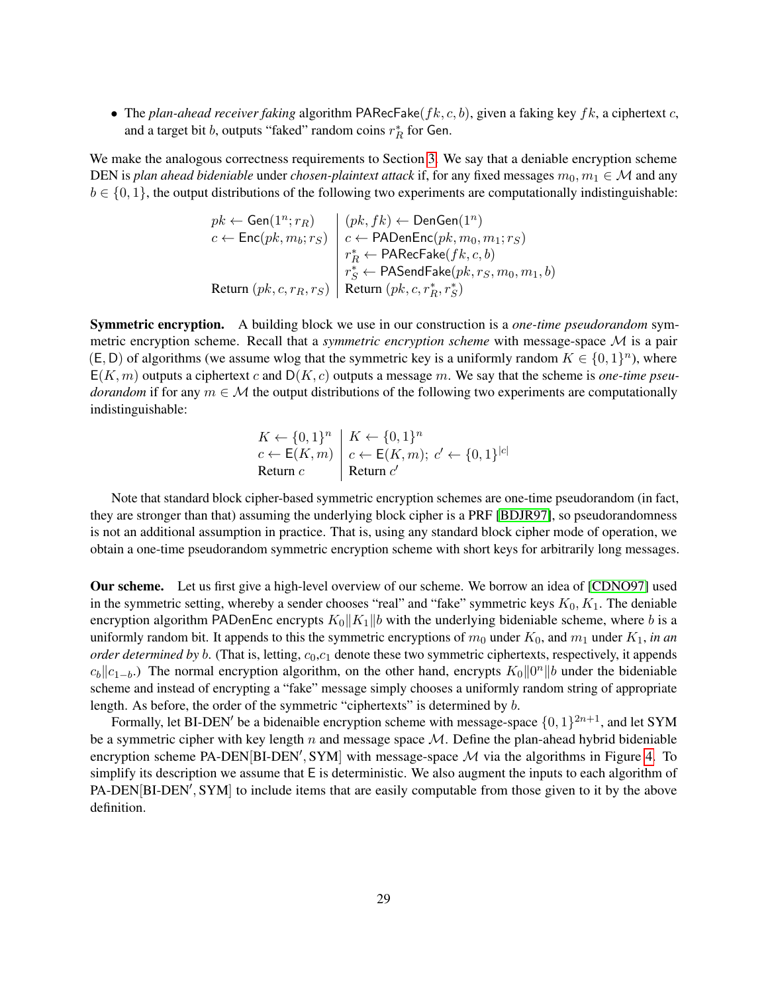• The *plan-ahead receiver faking* algorithm PARecFake( $fk, c, b$ ), given a faking key  $fk$ , a ciphertext c, and a target bit *b*, outputs "faked" random coins  $r_R^*$  for Gen.

We make the analogous correctness requirements to Section [3.](#page-5-0) We say that a deniable encryption scheme DEN is *plan ahead bideniable* under *chosen-plaintext attack* if, for any fixed messages  $m_0, m_1 \in \mathcal{M}$  and any  $b \in \{0, 1\}$ , the output distributions of the following two experiments are computationally indistinguishable:

$$
\begin{array}{c} pk \leftarrow \mathsf{Gen}(1^n;r_R) \\ c \leftarrow \mathsf{Enc}(pk,m_b;r_S) \\ \begin{array}{c} c \leftarrow \mathsf{PADenEnc}(pk,m_0,m_1;r_S) \\ r_R^* \leftarrow \mathsf{PABecFake}(fk,c,b) \\ r_S^* \leftarrow \mathsf{PASendFake}(pk,r_S,m_0,m_1,b) \\ \end{array} \right) \\ \mathsf{Return}\left( pk,c,r_R,r_S \right) \begin{array}{c} \mathsf{Return}\left( pk, fr_S, \mathsf{R} \right) \\ \begin{array}{c} \mathsf{Return}\left( pk, r_S, m_0, m_1, b \right) \\ \end{array} \end{array}
$$

Symmetric encryption. A building block we use in our construction is a *one-time pseudorandom* symmetric encryption scheme. Recall that a *symmetric encryption scheme* with message-space M is a pair  $(E, D)$  of algorithms (we assume wlog that the symmetric key is a uniformly random  $K \in \{0, 1\}^n$ ), where  $E(K, m)$  outputs a ciphertext c and  $D(K, c)$  outputs a message m. We say that the scheme is *one-time pseudorandom* if for any  $m \in \mathcal{M}$  the output distributions of the following two experiments are computationally indistinguishable:

$$
K \leftarrow \{0,1\}^n \mid K \leftarrow \{0,1\}^n
$$
  

$$
c \leftarrow E(K,m) \mid c \leftarrow E(K,m); c' \leftarrow \{0,1\}^{|c|}
$$
  
Return c  

$$
c'
$$

Note that standard block cipher-based symmetric encryption schemes are one-time pseudorandom (in fact, they are stronger than that) assuming the underlying block cipher is a PRF [\[BDJR97\]](#page-33-14), so pseudorandomness is not an additional assumption in practice. That is, using any standard block cipher mode of operation, we obtain a one-time pseudorandom symmetric encryption scheme with short keys for arbitrarily long messages.

Our scheme. Let us first give a high-level overview of our scheme. We borrow an idea of [\[CDNO97\]](#page-33-0) used in the symmetric setting, whereby a sender chooses "real" and "fake" symmetric keys  $K_0, K_1$ . The deniable encryption algorithm PADenEnc encrypts  $K_0||K_1||b$  with the underlying bideniable scheme, where b is a uniformly random bit. It appends to this the symmetric encryptions of  $m_0$  under  $K_0$ , and  $m_1$  under  $K_1$ , *in an order determined by b.* (That is, letting,  $c_0$ ,  $c_1$  denote these two symmetric ciphertexts, respectively, it appends  $c_b || c_{1-b}$ .) The normal encryption algorithm, on the other hand, encrypts  $K_0 || 0^n || b$  under the bideniable scheme and instead of encrypting a "fake" message simply chooses a uniformly random string of appropriate length. As before, the order of the symmetric "ciphertexts" is determined by b.

Formally, let BI-DEN' be a bidenaible encryption scheme with message-space  $\{0, 1\}^{2n+1}$ , and let SYM be a symmetric cipher with key length  $n$  and message space  $M$ . Define the plan-ahead hybrid bideniable encryption scheme PA-DEN $[BI-DEN', SYM]$  with message-space  $M$  via the algorithms in Figure [4.](#page-29-0) To simplify its description we assume that E is deterministic. We also augment the inputs to each algorithm of PA-DEN[BI-DEN', SYM] to include items that are easily computable from those given to it by the above definition.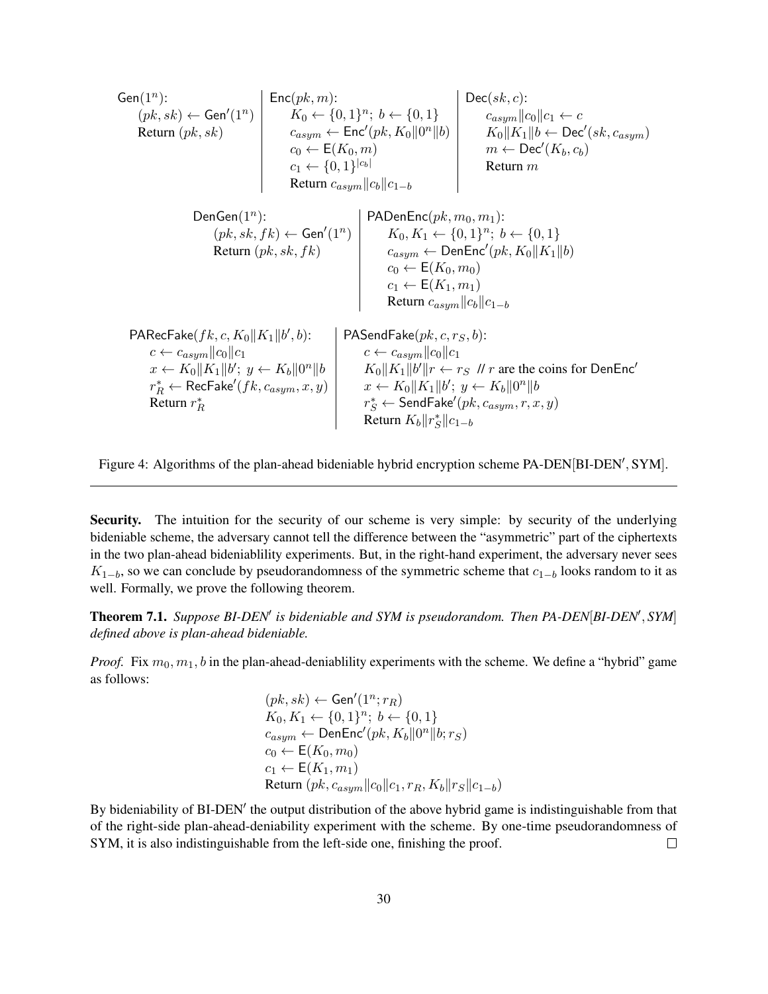Gen(1<sup>n</sup> ): (pk, sk) ← Gen<sup>0</sup> (1<sup>n</sup> ) Return (pk, sk) Enc(pk, m): K<sup>0</sup> ← {0, 1} n ; b ← {0, 1} casym ← Enc<sup>0</sup> (pk, K0k0 <sup>n</sup>kb) c<sup>0</sup> ← E(K0, m) c<sup>1</sup> ← {0, 1} |cb| Return casymkcbkc1−<sup>b</sup> Dec(sk, c): casymkc0kc<sup>1</sup> ← c K0kK1kb ← Dec<sup>0</sup> (sk, casym) m ← Dec<sup>0</sup> (Kb, cb) Return m DenGen(1<sup>n</sup> ): (pk, sk, f k) ← Gen<sup>0</sup> (1<sup>n</sup> ) Return (pk, sk, f k) PADenEnc(pk, m0, m1): K0, K<sup>1</sup> ← {0, 1} n ; b ← {0, 1} casym ← DenEnc<sup>0</sup> (pk, K0kK1kb) c<sup>0</sup> ← E(K0, m0) c<sup>1</sup> ← E(K1, m1) Return casymkcbkc1−<sup>b</sup> PARecFake(f k, c, K0kK1kb 0 , b): c ← casymkc0kc<sup>1</sup> x ← K0kK1kb 0 ; y ← Kbk0 <sup>n</sup>kb r ∗ <sup>R</sup> <sup>←</sup> RecFake<sup>0</sup> (f k, casym, x, y) Return r ∗ R PASendFake(pk, c, rS, b): c ← casymkc0kc<sup>1</sup> K0kK1kb <sup>0</sup>kr ← r<sup>S</sup> // r are the coins for DenEnc<sup>0</sup> x ← K0kK1kb 0 ; y ← Kbk0 <sup>n</sup>kb r ∗ <sup>S</sup> <sup>←</sup> SendFake<sup>0</sup> (pk, casym, r, x, y) Return Kbkr ∗ S kc1−<sup>b</sup>

<span id="page-29-0"></span>Figure 4: Algorithms of the plan-ahead bideniable hybrid encryption scheme PA-DEN[BI-DEN', SYM].

Security. The intuition for the security of our scheme is very simple: by security of the underlying bideniable scheme, the adversary cannot tell the difference between the "asymmetric" part of the ciphertexts in the two plan-ahead bideniablility experiments. But, in the right-hand experiment, the adversary never sees  $K_{1-b}$ , so we can conclude by pseudorandomness of the symmetric scheme that  $c_{1-b}$  looks random to it as well. Formally, we prove the following theorem.

**Theorem 7.1.** Suppose BI-DEN' is bideniable and SYM is pseudorandom. Then PA-DEN [BI-DEN', SYM] *defined above is plan-ahead bideniable.*

*Proof.* Fix  $m_0, m_1, b$  in the plan-ahead-deniablility experiments with the scheme. We define a "hybrid" game as follows:

$$
(pk, sk) \leftarrow Gen'(1^n; r_R)
$$
  
\n $K_0, K_1 \leftarrow \{0, 1\}^n; b \leftarrow \{0, 1\}$   
\n $c_{asym} \leftarrow DenEnc'(pk, K_b || 0^n || b; r_S)$   
\n $c_0 \leftarrow E(K_0, m_0)$   
\n $c_1 \leftarrow E(K_1, m_1)$   
\nReturn  $(pk, c_{asym} || c_0 || c_1, r_R, K_b || r_S || c_{1-b})$ 

By bideniability of BI-DEN' the output distribution of the above hybrid game is indistinguishable from that of the right-side plan-ahead-deniability experiment with the scheme. By one-time pseudorandomness of SYM, it is also indistinguishable from the left-side one, finishing the proof.  $\Box$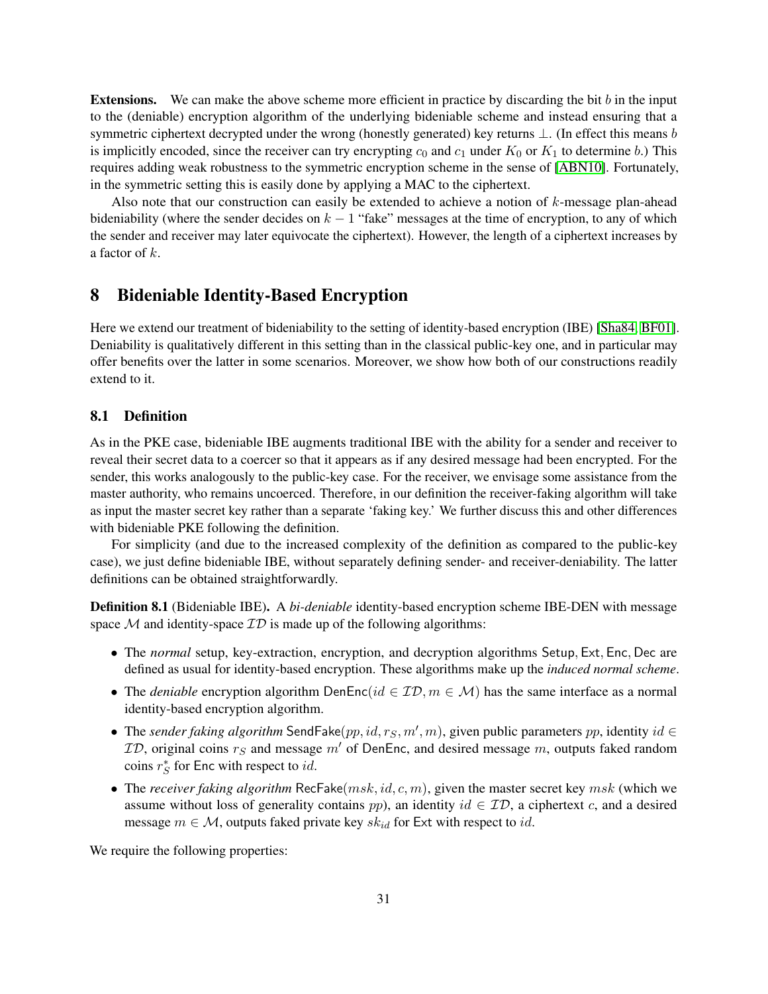Extensions. We can make the above scheme more efficient in practice by discarding the bit b in the input to the (deniable) encryption algorithm of the underlying bideniable scheme and instead ensuring that a symmetric ciphertext decrypted under the wrong (honestly generated) key returns  $\perp$ . (In effect this means b is implicitly encoded, since the receiver can try encrypting  $c_0$  and  $c_1$  under  $K_0$  or  $K_1$  to determine b.) This requires adding weak robustness to the symmetric encryption scheme in the sense of [\[ABN10\]](#page-32-3). Fortunately, in the symmetric setting this is easily done by applying a MAC to the ciphertext.

Also note that our construction can easily be extended to achieve a notion of  $k$ -message plan-ahead bideniability (where the sender decides on  $k - 1$  "fake" messages at the time of encryption, to any of which the sender and receiver may later equivocate the ciphertext). However, the length of a ciphertext increases by a factor of k.

## 8 Bideniable Identity-Based Encryption

Here we extend our treatment of bideniability to the setting of identity-based encryption (IBE) [\[Sha84,](#page-34-14) [BF01\]](#page-33-15). Deniability is qualitatively different in this setting than in the classical public-key one, and in particular may offer benefits over the latter in some scenarios. Moreover, we show how both of our constructions readily extend to it.

## 8.1 Definition

As in the PKE case, bideniable IBE augments traditional IBE with the ability for a sender and receiver to reveal their secret data to a coercer so that it appears as if any desired message had been encrypted. For the sender, this works analogously to the public-key case. For the receiver, we envisage some assistance from the master authority, who remains uncoerced. Therefore, in our definition the receiver-faking algorithm will take as input the master secret key rather than a separate 'faking key.' We further discuss this and other differences with bideniable PKE following the definition.

For simplicity (and due to the increased complexity of the definition as compared to the public-key case), we just define bideniable IBE, without separately defining sender- and receiver-deniability. The latter definitions can be obtained straightforwardly.

Definition 8.1 (Bideniable IBE). A *bi-deniable* identity-based encryption scheme IBE-DEN with message space  $M$  and identity-space  $ID$  is made up of the following algorithms:

- The *normal* setup, key-extraction, encryption, and decryption algorithms Setup, Ext, Enc, Dec are defined as usual for identity-based encryption. These algorithms make up the *induced normal scheme*.
- The *deniable* encryption algorithm DenEnc( $id \in ID, m \in M$ ) has the same interface as a normal identity-based encryption algorithm.
- The *sender faking algorithm* SendFake $(pp, id, r<sub>S</sub>, m', m)$ , given public parameters pp, identity  $id \in$  $ID$ , original coins  $r<sub>S</sub>$  and message m' of DenEnc, and desired message m, outputs faked random coins  $r_S^*$  for Enc with respect to *id*.
- The *receiver faking algorithm* RecFake $(msk, id, c, m)$ , given the master secret key  $msk$  (which we assume without loss of generality contains pp), an identity  $id \in \mathcal{ID}$ , a ciphertext c, and a desired message  $m \in \mathcal{M}$ , outputs faked private key  $sk_{id}$  for Ext with respect to id.

We require the following properties: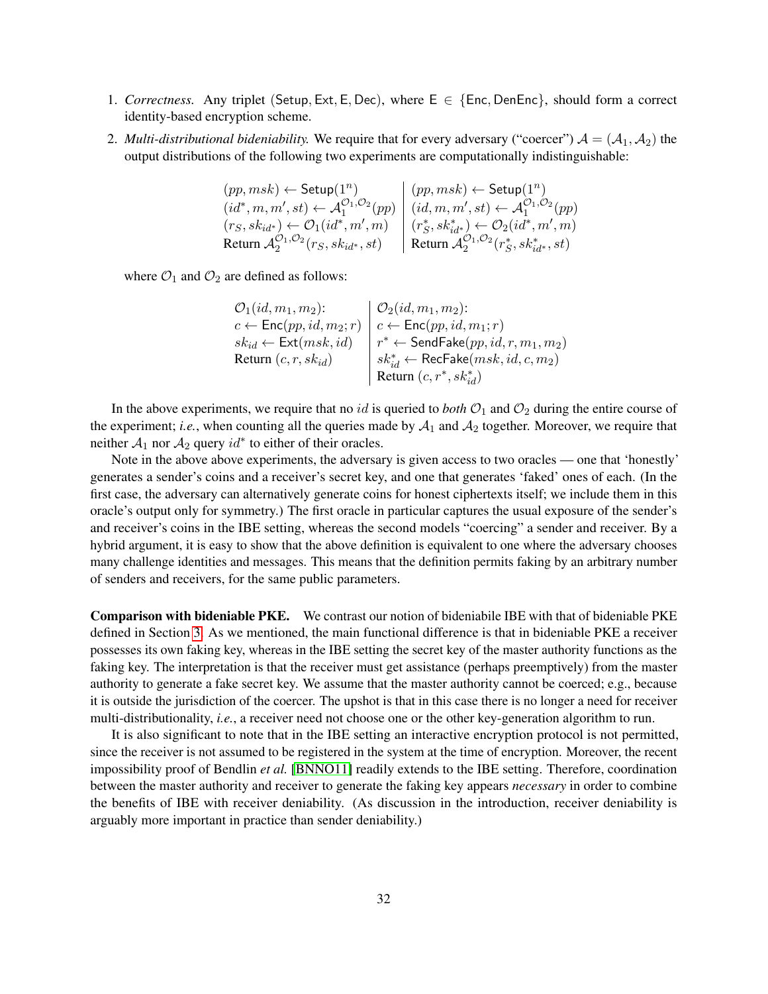- 1. *Correctness.* Any triplet (Setup, Ext, E, Dec), where  $E \in \{Enc, DenEnc\}$ , should form a correct identity-based encryption scheme.
- 2. *Multi-distributional bideniability.* We require that for every adversary ("coercer")  $A = (A_1, A_2)$  the output distributions of the following two experiments are computationally indistinguishable:

| $(pp, msk) \leftarrow$ Setup $(1^n)$                                            | $\mid (pp, msk) \leftarrow$ Setup $(1^n)$                                     |
|---------------------------------------------------------------------------------|-------------------------------------------------------------------------------|
| $(id^*, m, m', st) \leftarrow \mathcal{A}_1^{\mathcal{O}_1, \mathcal{O}_2}(pp)$ | $(id, m, m', st) \leftarrow \mathcal{A}_1^{\mathcal{O}_1, \mathcal{O}_2}(pp)$ |
| $(r_S, sk_{id^*}) \leftarrow \mathcal{O}_1(id^*, m', m)$                        | $(r_S^*, sk_{id^*}^*) \leftarrow \mathcal{O}_2(id^*, m', m)$                  |
| Return $\mathcal{A}_2^{\mathcal{O}_1,\mathcal{O}_2}(r_S, sk_{id^*}, st)$        | Return $\mathcal{A}_2^{\mathcal{O}_1,\mathcal{O}_2}(r_S^*, sk_{id^*}^*, st)$  |

where  $\mathcal{O}_1$  and  $\mathcal{O}_2$  are defined as follows:

$$
\begin{array}{l} \mathcal{O}_1(id,m_1,m_2):\\ c\leftarrow \mathsf{Enc}(pp,id,m_2;r)\\ sk_{id}\leftarrow \mathsf{Ext}(msk,id)\\ \mathsf{Return}\ (c,r,sk_{id}) \end{array} \left| \begin{array}{l} \mathcal{O}_2(id,m_1,m_2): \\ c\leftarrow \mathsf{Enc}(pp,id,m_1;r)\\ r^* \leftarrow \mathsf{SendFake}(pp,id,r,m_1,m_2)\\ sk_{id}^* \leftarrow \mathsf{RecTake}(msk,id,c,m_2)\\ \mathsf{Return}\ (c,r^*,sk_{id}^*) \end{array} \right. \right|
$$

In the above experiments, we require that no *id* is queried to *both*  $\mathcal{O}_1$  and  $\mathcal{O}_2$  during the entire course of the experiment; *i.e.*, when counting all the queries made by  $A_1$  and  $A_2$  together. Moreover, we require that meither  $A_1$  nor  $A_2$  query  $id^*$  to either of their oracles.

Note in the above above experiments, the adversary is given access to two oracles — one that 'honestly' generates a sender's coins and a receiver's secret key, and one that generates 'faked' ones of each. (In the first case, the adversary can alternatively generate coins for honest ciphertexts itself; we include them in this oracle's output only for symmetry.) The first oracle in particular captures the usual exposure of the sender's and receiver's coins in the IBE setting, whereas the second models "coercing" a sender and receiver. By a hybrid argument, it is easy to show that the above definition is equivalent to one where the adversary chooses many challenge identities and messages. This means that the definition permits faking by an arbitrary number of senders and receivers, for the same public parameters.

Comparison with bideniable PKE. We contrast our notion of bideniabile IBE with that of bideniable PKE defined in Section [3.](#page-5-0) As we mentioned, the main functional difference is that in bideniable PKE a receiver possesses its own faking key, whereas in the IBE setting the secret key of the master authority functions as the faking key. The interpretation is that the receiver must get assistance (perhaps preemptively) from the master authority to generate a fake secret key. We assume that the master authority cannot be coerced; e.g., because it is outside the jurisdiction of the coercer. The upshot is that in this case there is no longer a need for receiver multi-distributionality, *i.e.*, a receiver need not choose one or the other key-generation algorithm to run.

It is also significant to note that in the IBE setting an interactive encryption protocol is not permitted, since the receiver is not assumed to be registered in the system at the time of encryption. Moreover, the recent impossibility proof of Bendlin *et al.* [\[BNNO11\]](#page-33-6) readily extends to the IBE setting. Therefore, coordination between the master authority and receiver to generate the faking key appears *necessary* in order to combine the benefits of IBE with receiver deniability. (As discussion in the introduction, receiver deniability is arguably more important in practice than sender deniability.)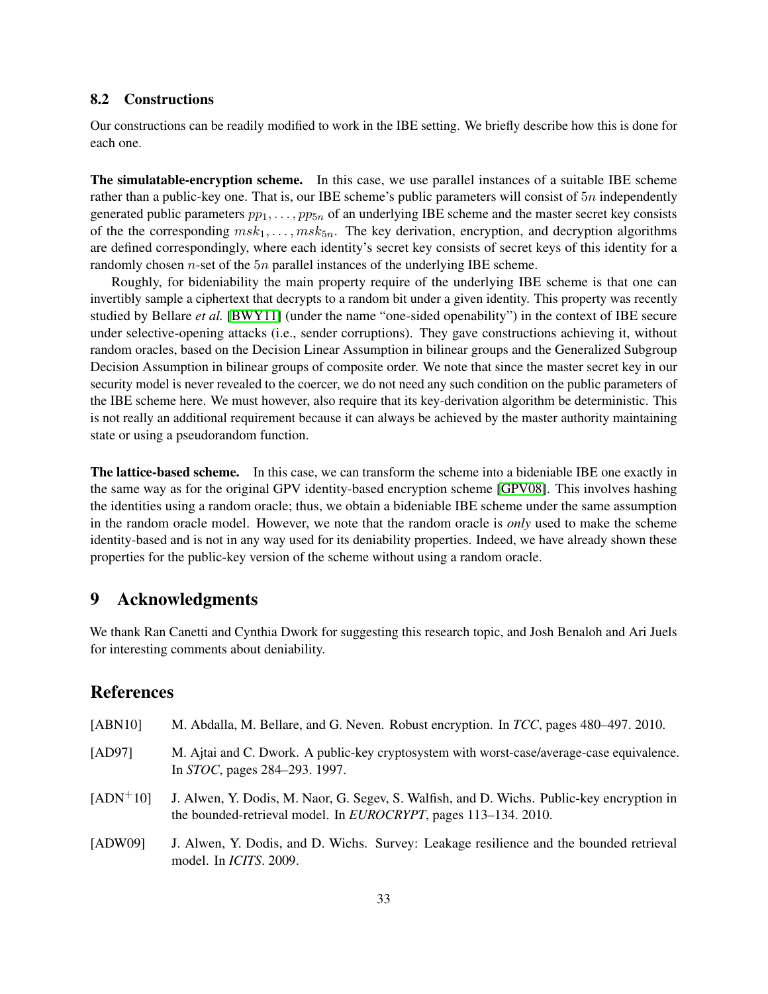### 8.2 Constructions

Our constructions can be readily modified to work in the IBE setting. We briefly describe how this is done for each one.

The simulatable-encryption scheme. In this case, we use parallel instances of a suitable IBE scheme rather than a public-key one. That is, our IBE scheme's public parameters will consist of  $5n$  independently generated public parameters  $pp_1, \ldots, pp_{5n}$  of an underlying IBE scheme and the master secret key consists of the the corresponding  $msk_1, \ldots, msk_{5n}$ . The key derivation, encryption, and decryption algorithms are defined correspondingly, where each identity's secret key consists of secret keys of this identity for a randomly chosen *n*-set of the  $5n$  parallel instances of the underlying IBE scheme.

Roughly, for bideniability the main property require of the underlying IBE scheme is that one can invertibly sample a ciphertext that decrypts to a random bit under a given identity. This property was recently studied by Bellare *et al.* [\[BWY11\]](#page-33-16) (under the name "one-sided openability") in the context of IBE secure under selective-opening attacks (i.e., sender corruptions). They gave constructions achieving it, without random oracles, based on the Decision Linear Assumption in bilinear groups and the Generalized Subgroup Decision Assumption in bilinear groups of composite order. We note that since the master secret key in our security model is never revealed to the coercer, we do not need any such condition on the public parameters of the IBE scheme here. We must however, also require that its key-derivation algorithm be deterministic. This is not really an additional requirement because it can always be achieved by the master authority maintaining state or using a pseudorandom function.

The lattice-based scheme. In this case, we can transform the scheme into a bideniable IBE one exactly in the same way as for the original GPV identity-based encryption scheme [\[GPV08\]](#page-34-6). This involves hashing the identities using a random oracle; thus, we obtain a bideniable IBE scheme under the same assumption in the random oracle model. However, we note that the random oracle is *only* used to make the scheme identity-based and is not in any way used for its deniability properties. Indeed, we have already shown these properties for the public-key version of the scheme without using a random oracle.

## 9 Acknowledgments

We thank Ran Canetti and Cynthia Dwork for suggesting this research topic, and Josh Benaloh and Ari Juels for interesting comments about deniability.

## **References**

<span id="page-32-3"></span><span id="page-32-2"></span><span id="page-32-1"></span><span id="page-32-0"></span>

| [ABN10]    | M. Abdalla, M. Bellare, and G. Neven. Robust encryption. In TCC, pages 480–497. 2010.                                                                                |
|------------|----------------------------------------------------------------------------------------------------------------------------------------------------------------------|
| [AD97]     | M. Ajtai and C. Dwork. A public-key cryptosystem with worst-case/average-case equivalence.<br>In <i>STOC</i> , pages 284–293. 1997.                                  |
| $[ADN+10]$ | J. Alwen, Y. Dodis, M. Naor, G. Segev, S. Walfish, and D. Wichs. Public-key encryption in<br>the bounded-retrieval model. In <i>EUROCRYPT</i> , pages 113–134. 2010. |
| [ADW09]    | J. Alwen, Y. Dodis, and D. Wichs. Survey: Leakage resilience and the bounded retrieval<br>model. In <i>ICITS</i> . 2009.                                             |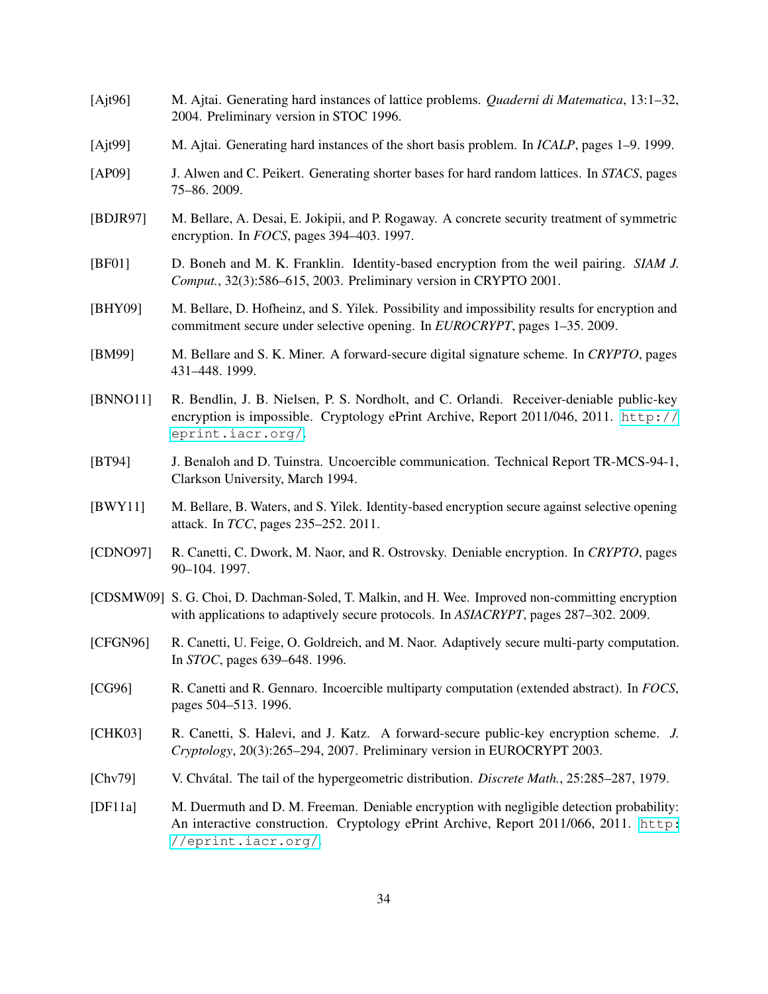<span id="page-33-15"></span><span id="page-33-14"></span><span id="page-33-13"></span><span id="page-33-12"></span><span id="page-33-11"></span><span id="page-33-8"></span><span id="page-33-6"></span><span id="page-33-4"></span><span id="page-33-1"></span>[Ajt96] M. Ajtai. Generating hard instances of lattice problems. *Quaderni di Matematica*, 13:1–32, 2004. Preliminary version in STOC 1996. [Ajt99] M. Ajtai. Generating hard instances of the short basis problem. In *ICALP*, pages 1–9. 1999. [AP09] J. Alwen and C. Peikert. Generating shorter bases for hard random lattices. In *STACS*, pages 75–86. 2009. [BDJR97] M. Bellare, A. Desai, E. Jokipii, and P. Rogaway. A concrete security treatment of symmetric encryption. In *FOCS*, pages 394–403. 1997. [BF01] D. Boneh and M. K. Franklin. Identity-based encryption from the weil pairing. *SIAM J. Comput.*, 32(3):586–615, 2003. Preliminary version in CRYPTO 2001. [BHY09] M. Bellare, D. Hofheinz, and S. Yilek. Possibility and impossibility results for encryption and commitment secure under selective opening. In *EUROCRYPT*, pages 1–35. 2009. [BM99] M. Bellare and S. K. Miner. A forward-secure digital signature scheme. In *CRYPTO*, pages 431–448. 1999. [BNNO11] R. Bendlin, J. B. Nielsen, P. S. Nordholt, and C. Orlandi. Receiver-deniable public-key encryption is impossible. Cryptology ePrint Archive, Report 2011/046, 2011. [http://](http://eprint.iacr.org/) [eprint.iacr.org/](http://eprint.iacr.org/). [BT94] J. Benaloh and D. Tuinstra. Uncoercible communication. Technical Report TR-MCS-94-1, Clarkson University, March 1994. [BWY11] M. Bellare, B. Waters, and S. Yilek. Identity-based encryption secure against selective opening attack. In *TCC*, pages 235–252. 2011. [CDNO97] R. Canetti, C. Dwork, M. Naor, and R. Ostrovsky. Deniable encryption. In *CRYPTO*, pages 90–104. 1997. [CDSMW09] S. G. Choi, D. Dachman-Soled, T. Malkin, and H. Wee. Improved non-committing encryption with applications to adaptively secure protocols. In *ASIACRYPT*, pages 287–302. 2009. [CFGN96] R. Canetti, U. Feige, O. Goldreich, and M. Naor. Adaptively secure multi-party computation. In *STOC*, pages 639–648. 1996. [CG96] R. Canetti and R. Gennaro. Incoercible multiparty computation (extended abstract). In *FOCS*, pages 504–513. 1996. [CHK03] R. Canetti, S. Halevi, and J. Katz. A forward-secure public-key encryption scheme. *J. Cryptology*, 20(3):265–294, 2007. Preliminary version in EUROCRYPT 2003. [Chv79] V. Chvátal. The tail of the hypergeometric distribution. *Discrete Math.*, 25:285–287, 1979. [DF11a] M. Duermuth and D. M. Freeman. Deniable encryption with negligible detection probability: An interactive construction. Cryptology ePrint Archive, Report 2011/066, 2011. [http:](http://eprint.iacr.org/)

<span id="page-33-16"></span><span id="page-33-10"></span><span id="page-33-9"></span><span id="page-33-7"></span><span id="page-33-5"></span><span id="page-33-3"></span><span id="page-33-2"></span><span id="page-33-0"></span>[//eprint.iacr.org/](http://eprint.iacr.org/).